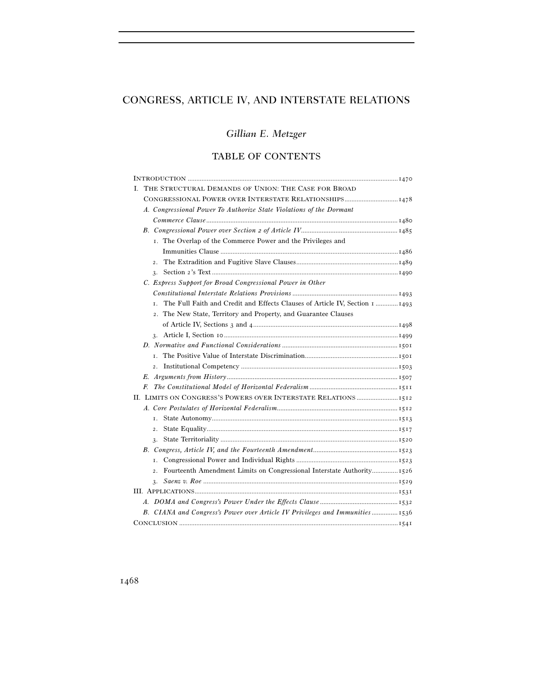# CONGRESS, ARTICLE IV, AND INTERSTATE RELATIONS

# *Gillian E. Metzger*

## TABLE OF CONTENTS

|  | I. THE STRUCTURAL DEMANDS OF UNION: THE CASE FOR BROAD                            |  |
|--|-----------------------------------------------------------------------------------|--|
|  | CONGRESSIONAL POWER OVER INTERSTATE RELATIONSHIPS1478                             |  |
|  | A. Congressional Power To Authorize State Violations of the Dormant               |  |
|  |                                                                                   |  |
|  |                                                                                   |  |
|  | I. The Overlap of the Commerce Power and the Privileges and                       |  |
|  |                                                                                   |  |
|  | $\overline{2}$ .                                                                  |  |
|  | 3.                                                                                |  |
|  | C. Express Support for Broad Congressional Power in Other                         |  |
|  |                                                                                   |  |
|  | The Full Faith and Credit and Effects Clauses of Article IV, Section 1 1493<br>T. |  |
|  | 2. The New State, Territory and Property, and Guarantee Clauses                   |  |
|  |                                                                                   |  |
|  |                                                                                   |  |
|  |                                                                                   |  |
|  | $\mathbf{I}$                                                                      |  |
|  | $\overline{2}$ .                                                                  |  |
|  |                                                                                   |  |
|  | F                                                                                 |  |
|  |                                                                                   |  |
|  |                                                                                   |  |
|  | T.                                                                                |  |
|  | $\overline{2}$ .                                                                  |  |
|  | 3.                                                                                |  |
|  |                                                                                   |  |
|  | T.                                                                                |  |
|  | $\overline{2}$ .                                                                  |  |
|  | 3.                                                                                |  |
|  |                                                                                   |  |
|  |                                                                                   |  |
|  | B. CIANA and Congress's Power over Article IV Privileges and Immunities 1536      |  |
|  |                                                                                   |  |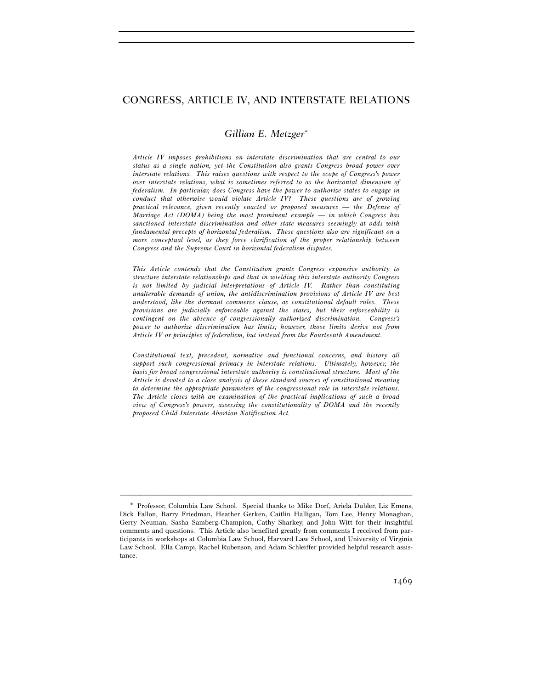## CONGRESS, ARTICLE IV, AND INTERSTATE RELATIONS

## *Gillian E. Metzger*<sup>∗</sup>

*Article IV imposes prohibitions on interstate discrimination that are central to our status as a single nation, yet the Constitution also grants Congress broad power over interstate relations. This raises questions with respect to the scope of Congress's power over interstate relations, what is sometimes referred to as the horizontal dimension of federalism. In particular, does Congress have the power to authorize states to engage in conduct that otherwise would violate Article IV? These questions are of growing practical relevance, given recently enacted or proposed measures — the Defense of Marriage Act (DOMA) being the most prominent example — in which Congress has sanctioned interstate discrimination and other state measures seemingly at odds with fundamental precepts of horizontal federalism. These questions also are significant on a more conceptual level, as they force clarification of the proper relationship between Congress and the Supreme Court in horizontal federalism disputes.* 

*This Article contends that the Constitution grants Congress expansive authority to structure interstate relationships and that in wielding this interstate authority Congress is not limited by judicial interpretations of Article IV. Rather than constituting unalterable demands of union, the antidiscrimination provisions of Article IV are best understood, like the dormant commerce clause, as constitutional default rules. These provisions are judicially enforceable against the states, but their enforceability is contingent on the absence of congressionally authorized discrimination. Congress's power to authorize discrimination has limits; however, those limits derive not from Article IV or principles of federalism, but instead from the Fourteenth Amendment.* 

*Constitutional text, precedent, normative and functional concerns, and history all support such congressional primacy in interstate relations. Ultimately, however, the basis for broad congressional interstate authority is constitutional structure. Most of the Article is devoted to a close analysis of these standard sources of constitutional meaning to determine the appropriate parameters of the congressional role in interstate relations. The Article closes with an examination of the practical implications of such a broad view of Congress's powers, assessing the constitutionality of DOMA and the recently proposed Child Interstate Abortion Notification Act.* 

Professor, Columbia Law School. Special thanks to Mike Dorf, Ariela Dubler, Liz Emens, Dick Fallon, Barry Friedman, Heather Gerken, Caitlin Halligan, Tom Lee, Henry Monaghan, Gerry Neuman, Sasha Samberg-Champion, Cathy Sharkey, and John Witt for their insightful comments and questions. This Article also benefited greatly from comments I received from participants in workshops at Columbia Law School, Harvard Law School, and University of Virginia Law School. Ella Campi, Rachel Rubenson, and Adam Schleiffer provided helpful research assistance.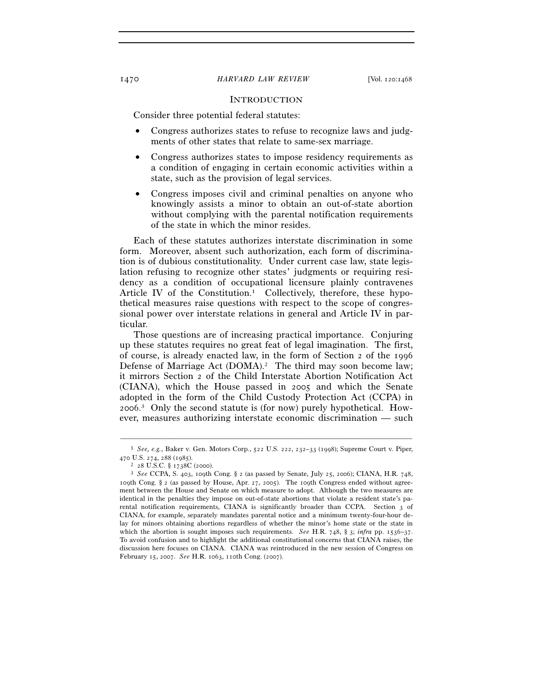#### **INTRODUCTION**

Consider three potential federal statutes:

- Congress authorizes states to refuse to recognize laws and judgments of other states that relate to same-sex marriage.
- Congress authorizes states to impose residency requirements as a condition of engaging in certain economic activities within a state, such as the provision of legal services.
- Congress imposes civil and criminal penalties on anyone who knowingly assists a minor to obtain an out-of-state abortion without complying with the parental notification requirements of the state in which the minor resides.

Each of these statutes authorizes interstate discrimination in some form. Moreover, absent such authorization, each form of discrimination is of dubious constitutionality. Under current case law, state legislation refusing to recognize other states' judgments or requiring residency as a condition of occupational licensure plainly contravenes Article IV of the Constitution.<sup>1</sup> Collectively, therefore, these hypothetical measures raise questions with respect to the scope of congressional power over interstate relations in general and Article IV in particular.

Those questions are of increasing practical importance. Conjuring up these statutes requires no great feat of legal imagination. The first, of course, is already enacted law, in the form of Section 2 of the 1996 Defense of Marriage Act (DOMA).<sup>2</sup> The third may soon become law; it mirrors Section 2 of the Child Interstate Abortion Notification Act (CIANA), which the House passed in 2005 and which the Senate adopted in the form of the Child Custody Protection Act (CCPA) in 2006. 3 Only the second statute is (for now) purely hypothetical. However, measures authorizing interstate economic discrimination — such

<sup>–––––––––––––––––––––––––––––––––––––––––––––––––––––––––––––</sup> 1 *See, e.g.*, Baker v. Gen. Motors Corp., 522 U.S. 222, 232–33 (1998); Supreme Court v. Piper,

<sup>470</sup> U.S. 274, 288 (1985). 2 <sup>28</sup> U.S.C. § 1738C (2000). 3 *See* CCPA, S. 403, 109th Cong. § 2 (as passed by Senate, July 25, 2006); CIANA, H.R. 748, 109th Cong. § 2 (as passed by House, Apr. 27, 2005). The 109th Congress ended without agreement between the House and Senate on which measure to adopt. Although the two measures are identical in the penalties they impose on out-of-state abortions that violate a resident state's parental notification requirements, CIANA is significantly broader than CCPA. Section 3 of CIANA, for example, separately mandates parental notice and a minimum twenty-four-hour delay for minors obtaining abortions regardless of whether the minor's home state or the state in which the abortion is sought imposes such requirements. *See* H.R. 748, § 3; *infra* pp. 1536–37. To avoid confusion and to highlight the additional constitutional concerns that CIANA raises, the discussion here focuses on CIANA. CIANA was reintroduced in the new session of Congress on February 15, 2007. *See* H.R. 1063, 110th Cong. (2007).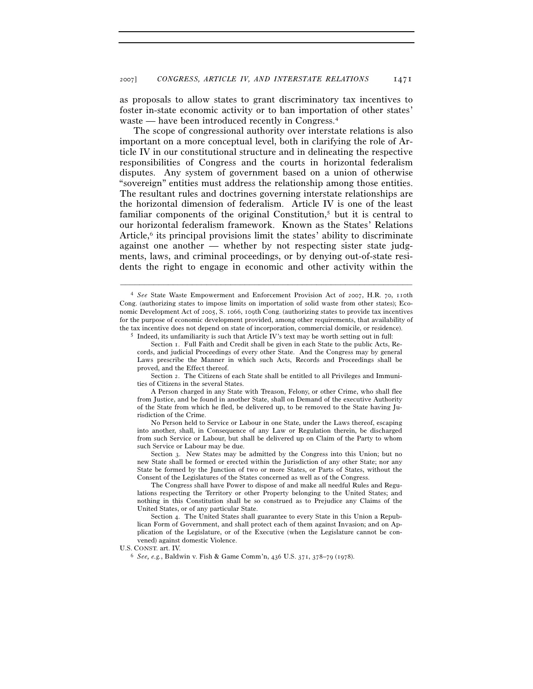as proposals to allow states to grant discriminatory tax incentives to foster in-state economic activity or to ban importation of other states' waste — have been introduced recently in Congress.4

The scope of congressional authority over interstate relations is also important on a more conceptual level, both in clarifying the role of Article IV in our constitutional structure and in delineating the respective responsibilities of Congress and the courts in horizontal federalism disputes. Any system of government based on a union of otherwise "sovereign" entities must address the relationship among those entities. The resultant rules and doctrines governing interstate relationships are the horizontal dimension of federalism. Article IV is one of the least familiar components of the original Constitution,5 but it is central to our horizontal federalism framework. Known as the States' Relations Article, $6$  its principal provisions limit the states' ability to discriminate against one another — whether by not respecting sister state judgments, laws, and criminal proceedings, or by denying out-of-state residents the right to engage in economic and other activity within the

<sup>4</sup> *See* State Waste Empowerment and Enforcement Provision Act of 2007, H.R. 70, 110th Cong. (authorizing states to impose limits on importation of solid waste from other states); Economic Development Act of 2005, S. 1066, 109th Cong. (authorizing states to provide tax incentives for the purpose of economic development provided, among other requirements, that availability of the tax incentive does not depend on state of incorporation, commercial domicile, or residence). 5 Indeed, its unfamiliarity is such that Article IV's text may be worth setting out in full:

Section 1. Full Faith and Credit shall be given in each State to the public Acts, Records, and judicial Proceedings of every other State. And the Congress may by general Laws prescribe the Manner in which such Acts, Records and Proceedings shall be proved, and the Effect thereof.

Section 2. The Citizens of each State shall be entitled to all Privileges and Immunities of Citizens in the several States.

A Person charged in any State with Treason, Felony, or other Crime, who shall flee from Justice, and be found in another State, shall on Demand of the executive Authority of the State from which he fled, be delivered up, to be removed to the State having Jurisdiction of the Crime.

No Person held to Service or Labour in one State, under the Laws thereof, escaping into another, shall, in Consequence of any Law or Regulation therein, be discharged from such Service or Labour, but shall be delivered up on Claim of the Party to whom such Service or Labour may be due.

Section 3. New States may be admitted by the Congress into this Union; but no new State shall be formed or erected within the Jurisdiction of any other State; nor any State be formed by the Junction of two or more States, or Parts of States, without the Consent of the Legislatures of the States concerned as well as of the Congress.

The Congress shall have Power to dispose of and make all needful Rules and Regulations respecting the Territory or other Property belonging to the United States; and nothing in this Constitution shall be so construed as to Prejudice any Claims of the United States, or of any particular State.

Section 4. The United States shall guarantee to every State in this Union a Republican Form of Government, and shall protect each of them against Invasion; and on Application of the Legislature, or of the Executive (when the Legislature cannot be convened) against domestic Violence.

U.S. CONST. art. IV. 6 *See, e.g.*, Baldwin v. Fish & Game Comm'n, 436 U.S. 371, 378–79 (1978).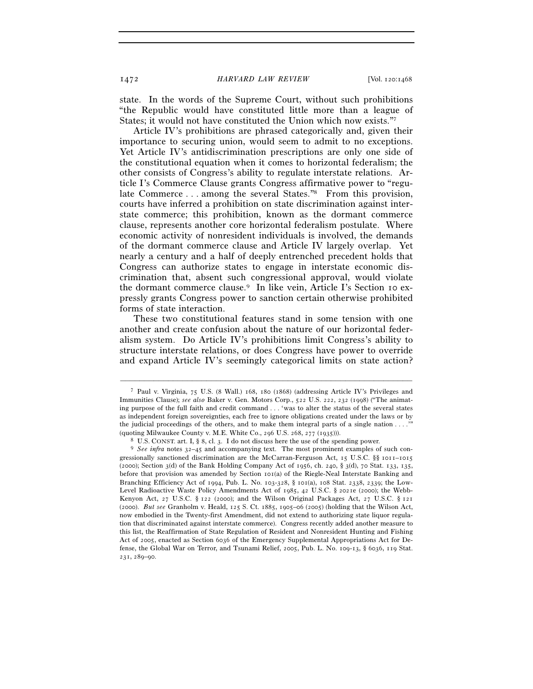state. In the words of the Supreme Court, without such prohibitions "the Republic would have constituted little more than a league of States; it would not have constituted the Union which now exists."7

Article IV's prohibitions are phrased categorically and, given their importance to securing union, would seem to admit to no exceptions. Yet Article IV's antidiscrimination prescriptions are only one side of the constitutional equation when it comes to horizontal federalism; the other consists of Congress's ability to regulate interstate relations. Article I's Commerce Clause grants Congress affirmative power to "regulate Commerce . . . among the several States."<sup>8</sup> From this provision, courts have inferred a prohibition on state discrimination against interstate commerce; this prohibition, known as the dormant commerce clause, represents another core horizontal federalism postulate. Where economic activity of nonresident individuals is involved, the demands of the dormant commerce clause and Article IV largely overlap. Yet nearly a century and a half of deeply entrenched precedent holds that Congress can authorize states to engage in interstate economic discrimination that, absent such congressional approval, would violate the dormant commerce clause.9 In like vein, Article I's Section 10 expressly grants Congress power to sanction certain otherwise prohibited forms of state interaction.

These two constitutional features stand in some tension with one another and create confusion about the nature of our horizontal federalism system. Do Article IV's prohibitions limit Congress's ability to structure interstate relations, or does Congress have power to override and expand Article IV's seemingly categorical limits on state action?

<sup>7</sup> Paul v. Virginia, 75 U.S. (8 Wall.) 168, 180 (1868) (addressing Article IV's Privileges and Immunities Clause); *see also* Baker v. Gen. Motors Corp., 522 U.S. 222, 232 (1998) ("The animating purpose of the full faith and credit command . . . 'was to alter the status of the several states as independent foreign sovereignties, each free to ignore obligations created under the laws or by the judicial proceedings of the others, and to make them integral parts of a single nation . . . .'" (quoting Milwaukee County v. M.E. White Co., 296 U.S. 268, 277 (1935))).

<sup>&</sup>lt;sup>8</sup> U.S. CONST. art. I, § 8, cl. 3. I do not discuss here the use of the spending power.<br><sup>9</sup> See infra notes  $32-45$  and accompanying text. The most prominent examples of such congressionally sanctioned discrimination are the McCarran-Ferguson Act, 15 U.S.C. §§ 1011–1015 (2000); Section 3(d) of the Bank Holding Company Act of 1956, ch. 240, § 3(d), 70 Stat. 133, 135, before that provision was amended by Section 101(a) of the Riegle-Neal Interstate Banking and Branching Efficiency Act of 1994, Pub. L. No. 103-328, § 101(a), 108 Stat. 2338, 2339; the Low-Level Radioactive Waste Policy Amendments Act of 1985, 42 U.S.C. § 2021e (2000); the Webb-Kenyon Act, 27 U.S.C. § 122 (2000); and the Wilson Original Packages Act, 27 U.S.C. § 121 (2000). *But see* Granholm v. Heald, 125 S. Ct. 1885, 1905–06 (2005) (holding that the Wilson Act, now embodied in the Twenty-first Amendment, did not extend to authorizing state liquor regulation that discriminated against interstate commerce). Congress recently added another measure to this list, the Reaffirmation of State Regulation of Resident and Nonresident Hunting and Fishing Act of 2005, enacted as Section 6036 of the Emergency Supplemental Appropriations Act for Defense, the Global War on Terror, and Tsunami Relief, 2005, Pub. L. No. 109-13, § 6036, 119 Stat. 231, 289–90.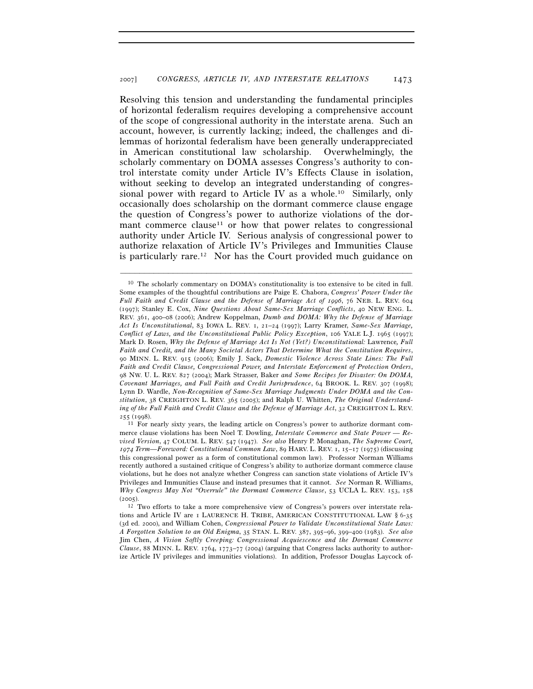Resolving this tension and understanding the fundamental principles of horizontal federalism requires developing a comprehensive account of the scope of congressional authority in the interstate arena. Such an account, however, is currently lacking; indeed, the challenges and dilemmas of horizontal federalism have been generally underappreciated in American constitutional law scholarship. Overwhelmingly, the scholarly commentary on DOMA assesses Congress's authority to control interstate comity under Article IV's Effects Clause in isolation, without seeking to develop an integrated understanding of congressional power with regard to Article IV as a whole.<sup>10</sup> Similarly, only occasionally does scholarship on the dormant commerce clause engage the question of Congress's power to authorize violations of the dormant commerce clause<sup>11</sup> or how that power relates to congressional authority under Article IV. Serious analysis of congressional power to authorize relaxation of Article IV's Privileges and Immunities Clause is particularly rare.12 Nor has the Court provided much guidance on

<sup>10</sup> The scholarly commentary on DOMA's constitutionality is too extensive to be cited in full. Some examples of the thoughtful contributions are Paige E. Chabora, *Congress' Power Under the Full Faith and Credit Clause and the Defense of Marriage Act of 1996*, 76 NEB. L. REV. 604 (1997); Stanley E. Cox, *Nine Questions About Same-Sex Marriage Conflicts*, 40 NEW ENG. L. REV. 361, 400–08 (2006); Andrew Koppelman, *Dumb and DOMA: Why the Defense of Marriage Act Is Unconstitutional*, 83 IOWA L. REV. 1, 21–24 (1997); Larry Kramer, *Same-Sex Marriage, Conflict of Laws, and the Unconstitutional Public Policy Exception*, 106 YALE L.J. 1965 (1997); Mark D. Rosen, *Why the Defense of Marriage Act Is Not (Yet?) Unconstitutional:* Lawrence*, Full Faith and Credit, and the Many Societal Actors That Determine What the Constitution Requires*, 90 MINN. L. REV. 915 (2006); Emily J. Sack, *Domestic Violence Across State Lines: The Full Faith and Credit Clause, Congressional Power, and Interstate Enforcement of Protection Orders*, 98 NW. U. L. REV. 827 (2004); Mark Strasser, Baker *and Some Recipes for Disaster: On DOMA, Covenant Marriages, and Full Faith and Credit Jurisprudence*, 64 BROOK. L. REV. 307 (1998); Lynn D. Wardle, *Non-Recognition of Same-Sex Marriage Judgments Under DOMA and the Constitution*, 38 CREIGHTON L. REV. 365 (2005); and Ralph U. Whitten, *The Original Understanding of the Full Faith and Credit Clause and the Defense of Marriage Act*, 32 CREIGHTON L. REV.<br>255 (1998).

<sup>&</sup>lt;sup>11</sup> For nearly sixty years, the leading article on Congress's power to authorize dormant commerce clause violations has been Noel T. Dowling, *Interstate Commerce and State Power — Revised Version*, 47 COLUM. L. REV. 547 (1947). *See also* Henry P. Monaghan, *The Supreme Court, 1974 Term—Foreword: Constitutional Common Law*, 89 HARV. L. REV. 1, 15–17 (1975) (discussing this congressional power as a form of constitutional common law). Professor Norman Williams recently authored a sustained critique of Congress's ability to authorize dormant commerce clause violations, but he does not analyze whether Congress can sanction state violations of Article IV's Privileges and Immunities Clause and instead presumes that it cannot. *See* Norman R. Williams, *Why Congress May Not "Overrule" the Dormant Commerce Clause*, 53 UCLA L. REV. 153, 158 (2005). 12 Two efforts to take a more comprehensive view of Congress's powers over interstate rela-

tions and Article IV are 1 LAURENCE H. TRIBE, AMERICAN CONSTITUTIONAL LAW § 6-35 (3d ed. 2000), and William Cohen, *Congressional Power to Validate Unconstitutional State Laws: A Forgotten Solution to an Old Enigma*, 35 STAN. L. REV. 387, 395–96, 399–400 (1983). *See also* Jim Chen, *A Vision Softly Creeping: Congressional Acquiescence and the Dormant Commerce Clause*, 88 MINN. L. REV. 1764, 1773–77 (2004) (arguing that Congress lacks authority to authorize Article IV privileges and immunities violations). In addition, Professor Douglas Laycock of-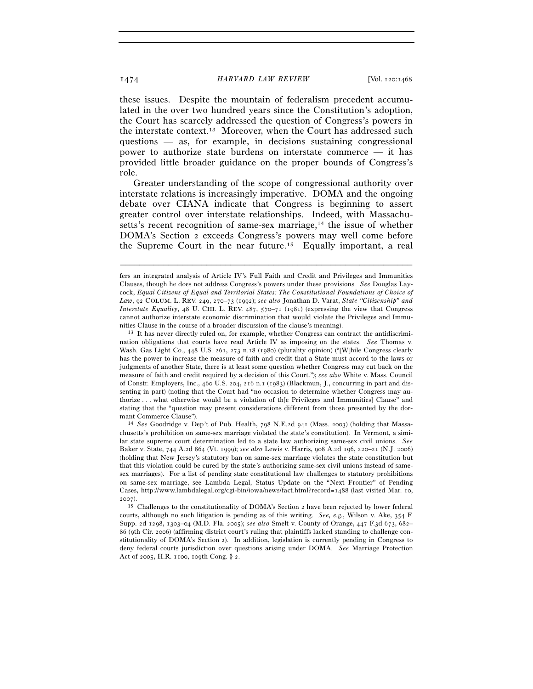these issues. Despite the mountain of federalism precedent accumulated in the over two hundred years since the Constitution's adoption, the Court has scarcely addressed the question of Congress's powers in the interstate context.13 Moreover, when the Court has addressed such questions — as, for example, in decisions sustaining congressional power to authorize state burdens on interstate commerce — it has provided little broader guidance on the proper bounds of Congress's role.

Greater understanding of the scope of congressional authority over interstate relations is increasingly imperative. DOMA and the ongoing debate over CIANA indicate that Congress is beginning to assert greater control over interstate relationships. Indeed, with Massachusetts's recent recognition of same-sex marriage,<sup>14</sup> the issue of whether DOMA's Section 2 exceeds Congress's powers may well come before the Supreme Court in the near future.15 Equally important, a real

–––––––––––––––––––––––––––––––––––––––––––––––––––––––––––––

nities Clause in the course of a broader discussion of the clause's meaning).<br><sup>13</sup> It has never directly ruled on, for example, whether Congress can contract the antidiscrimination obligations that courts have read Article IV as imposing on the states. *See* Thomas v. Wash. Gas Light Co., 448 U.S. 261, 273 n.18 (1980) (plurality opinion) ("[W]hile Congress clearly has the power to increase the measure of faith and credit that a State must accord to the laws or judgments of another State, there is at least some question whether Congress may cut back on the measure of faith and credit required by a decision of this Court."); *see also* White v. Mass. Council of Constr. Employers, Inc., 460 U.S. 204, 216 n.1 (1983) (Blackmun, J., concurring in part and dissenting in part) (noting that the Court had "no occasion to determine whether Congress may authorize . . . what otherwise would be a violation of th[e Privileges and Immunities] Clause" and stating that the "question may present considerations different from those presented by the dormant Commerce Clause").<br><sup>14</sup> *See* Goodridge v. Dep't of Pub. Health, 798 N.E.2d 941 (Mass. 2003) (holding that Massa-

chusetts's prohibition on same-sex marriage violated the state's constitution). In Vermont, a similar state supreme court determination led to a state law authorizing same-sex civil unions. *See* Baker v. State, 744 A.2d 864 (Vt. 1999); *see also* Lewis v. Harris, 908 A.2d 196, 220–21 (N.J. 2006) (holding that New Jersey's statutory ban on same-sex marriage violates the state constitution but that this violation could be cured by the state's authorizing same-sex civil unions instead of samesex marriages). For a list of pending state constitutional law challenges to statutory prohibitions on same-sex marriage, see Lambda Legal, Status Update on the "Next Frontier" of Pending Cases, http://www.lambdalegal.org/cgi-bin/iowa/news/fact.html?record=1488 (last visited Mar. 10, 2007).

fers an integrated analysis of Article IV's Full Faith and Credit and Privileges and Immunities Clauses, though he does not address Congress's powers under these provisions. *See* Douglas Laycock, *Equal Citizens of Equal and Territorial States: The Constitutional Foundations of Choice of Law*, 92 COLUM. L. REV. 249, 270–73 (1992); *see also* Jonathan D. Varat, *State "Citizenship" and Interstate Equality*, 48 U. CHI. L. REV. 487, 570–71 (1981) (expressing the view that Congress cannot authorize interstate economic discrimination that would violate the Privileges and Immu-

<sup>15</sup> Challenges to the constitutionality of DOMA's Section 2 have been rejected by lower federal courts, although no such litigation is pending as of this writing. *See, e.g.*, Wilson v. Ake, 354 F. Supp. 2d 1298, 1303–04 (M.D. Fla. 2005); *see also* Smelt v. County of Orange, 447 F.3d 673, 682– 86 (9th Cir. 2006) (affirming district court's ruling that plaintiffs lacked standing to challenge constitutionality of DOMA's Section 2). In addition, legislation is currently pending in Congress to deny federal courts jurisdiction over questions arising under DOMA. *See* Marriage Protection Act of 2005, H.R. 1100, 109th Cong. § 2.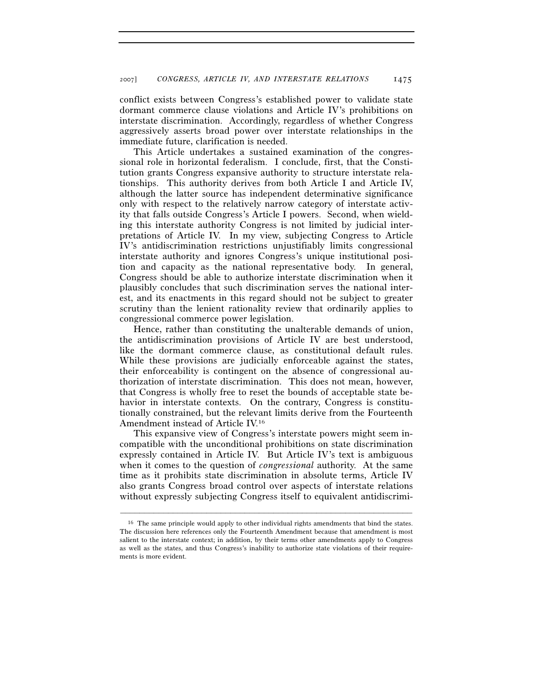conflict exists between Congress's established power to validate state dormant commerce clause violations and Article IV's prohibitions on interstate discrimination. Accordingly, regardless of whether Congress aggressively asserts broad power over interstate relationships in the immediate future, clarification is needed.

This Article undertakes a sustained examination of the congressional role in horizontal federalism. I conclude, first, that the Constitution grants Congress expansive authority to structure interstate relationships. This authority derives from both Article I and Article IV, although the latter source has independent determinative significance only with respect to the relatively narrow category of interstate activity that falls outside Congress's Article I powers. Second, when wielding this interstate authority Congress is not limited by judicial interpretations of Article IV. In my view, subjecting Congress to Article IV's antidiscrimination restrictions unjustifiably limits congressional interstate authority and ignores Congress's unique institutional position and capacity as the national representative body. In general, Congress should be able to authorize interstate discrimination when it plausibly concludes that such discrimination serves the national interest, and its enactments in this regard should not be subject to greater scrutiny than the lenient rationality review that ordinarily applies to congressional commerce power legislation.

Hence, rather than constituting the unalterable demands of union, the antidiscrimination provisions of Article IV are best understood, like the dormant commerce clause, as constitutional default rules. While these provisions are judicially enforceable against the states, their enforceability is contingent on the absence of congressional authorization of interstate discrimination. This does not mean, however, that Congress is wholly free to reset the bounds of acceptable state behavior in interstate contexts. On the contrary, Congress is constitutionally constrained, but the relevant limits derive from the Fourteenth Amendment instead of Article IV.16

This expansive view of Congress's interstate powers might seem incompatible with the unconditional prohibitions on state discrimination expressly contained in Article IV. But Article IV's text is ambiguous when it comes to the question of *congressional* authority. At the same time as it prohibits state discrimination in absolute terms, Article IV also grants Congress broad control over aspects of interstate relations without expressly subjecting Congress itself to equivalent antidiscrimi-

<sup>&</sup>lt;sup>16</sup> The same principle would apply to other individual rights amendments that bind the states. The discussion here references only the Fourteenth Amendment because that amendment is most salient to the interstate context; in addition, by their terms other amendments apply to Congress as well as the states, and thus Congress's inability to authorize state violations of their requirements is more evident.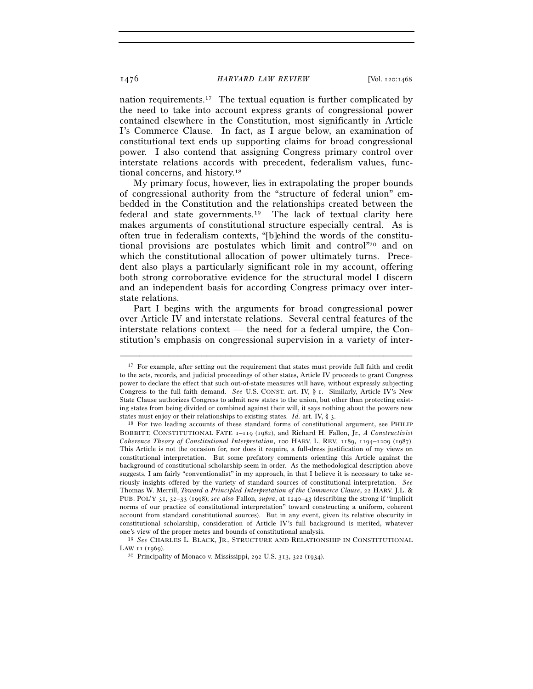nation requirements.17 The textual equation is further complicated by the need to take into account express grants of congressional power contained elsewhere in the Constitution, most significantly in Article I's Commerce Clause. In fact, as I argue below, an examination of constitutional text ends up supporting claims for broad congressional power. I also contend that assigning Congress primary control over interstate relations accords with precedent, federalism values, functional concerns, and history.18

My primary focus, however, lies in extrapolating the proper bounds of congressional authority from the "structure of federal union" embedded in the Constitution and the relationships created between the federal and state governments.19 The lack of textual clarity here makes arguments of constitutional structure especially central. As is often true in federalism contexts, "[b]ehind the words of the constitutional provisions are postulates which limit and control"20 and on which the constitutional allocation of power ultimately turns. Precedent also plays a particularly significant role in my account, offering both strong corroborative evidence for the structural model I discern and an independent basis for according Congress primacy over interstate relations.

Part I begins with the arguments for broad congressional power over Article IV and interstate relations. Several central features of the interstate relations context — the need for a federal umpire, the Constitution's emphasis on congressional supervision in a variety of inter-

–––––––––––––––––––––––––––––––––––––––––––––––––––––––––––––

LAW <sup>11</sup> (1969). 20 Principality of Monaco v. Mississippi, 292 U.S. 313, 322 (1934).

<sup>&</sup>lt;sup>17</sup> For example, after setting out the requirement that states must provide full faith and credit to the acts, records, and judicial proceedings of other states, Article IV proceeds to grant Congress power to declare the effect that such out-of-state measures will have, without expressly subjecting Congress to the full faith demand. *See* U.S. CONST. art. IV, § 1. Similarly, Article IV's New State Clause authorizes Congress to admit new states to the union, but other than protecting existing states from being divided or combined against their will, it says nothing about the powers new states must enjoy or their relationships to existing states. *Id.* art. IV,  $\S$  3.

<sup>&</sup>lt;sup>18</sup> For two leading accounts of these standard forms of constitutional argument, see PHILIP BOBBITT, CONSTITUTIONAL FATE 1–119 (1982), and Richard H. Fallon, Jr., *A Constructivist Coherence Theory of Constitutional Interpretation*, 100 HARV. L. REV. 1189, 1194–1209 (1987). This Article is not the occasion for, nor does it require, a full-dress justification of my views on constitutional interpretation. But some prefatory comments orienting this Article against the background of constitutional scholarship seem in order. As the methodological description above suggests, I am fairly "conventionalist" in my approach, in that I believe it is necessary to take seriously insights offered by the variety of standard sources of constitutional interpretation. *See* Thomas W. Merrill, *Toward a Principled Interpretation of the Commerce Clause*, 22 HARV. J.L. & PUB. POL'Y 31, 32–33 (1998); *see also* Fallon, *supra*, at 1240–43 (describing the strong if "implicit norms of our practice of constitutional interpretation" toward constructing a uniform, coherent account from standard constitutional sources). But in any event, given its relative obscurity in constitutional scholarship, consideration of Article IV's full background is merited, whatever one's view of the proper metes and bounds of constitutional analysis. 19 *See* CHARLES L. BLACK, JR., STRUCTURE AND RELATIONSHIP IN CONSTITUTIONAL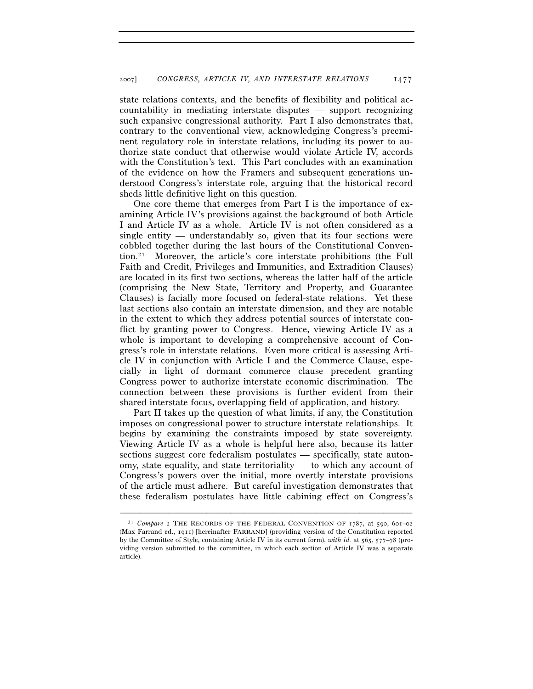state relations contexts, and the benefits of flexibility and political accountability in mediating interstate disputes — support recognizing such expansive congressional authority. Part I also demonstrates that, contrary to the conventional view, acknowledging Congress's preeminent regulatory role in interstate relations, including its power to authorize state conduct that otherwise would violate Article IV, accords with the Constitution's text. This Part concludes with an examination of the evidence on how the Framers and subsequent generations understood Congress's interstate role, arguing that the historical record sheds little definitive light on this question.

One core theme that emerges from Part I is the importance of examining Article IV's provisions against the background of both Article I and Article IV as a whole. Article IV is not often considered as a single entity — understandably so, given that its four sections were cobbled together during the last hours of the Constitutional Convention.21 Moreover, the article's core interstate prohibitions (the Full Faith and Credit, Privileges and Immunities, and Extradition Clauses) are located in its first two sections, whereas the latter half of the article (comprising the New State, Territory and Property, and Guarantee Clauses) is facially more focused on federal-state relations. Yet these last sections also contain an interstate dimension, and they are notable in the extent to which they address potential sources of interstate conflict by granting power to Congress. Hence, viewing Article IV as a whole is important to developing a comprehensive account of Congress's role in interstate relations. Even more critical is assessing Article IV in conjunction with Article I and the Commerce Clause, especially in light of dormant commerce clause precedent granting Congress power to authorize interstate economic discrimination. The connection between these provisions is further evident from their shared interstate focus, overlapping field of application, and history.

Part II takes up the question of what limits, if any, the Constitution imposes on congressional power to structure interstate relationships. It begins by examining the constraints imposed by state sovereignty. Viewing Article IV as a whole is helpful here also, because its latter sections suggest core federalism postulates — specifically, state autonomy, state equality, and state territoriality — to which any account of Congress's powers over the initial, more overtly interstate provisions of the article must adhere. But careful investigation demonstrates that these federalism postulates have little cabining effect on Congress's

<sup>&</sup>lt;sup>21</sup> *Compare* 2 THE RECORDS OF THE FEDERAL CONVENTION OF 1787, at 590, 601–02 (Max Farrand ed., 1911) [hereinafter FARRAND] (providing version of the Constitution reported by the Committee of Style, containing Article IV in its current form), *with id.* at 565, 577–78 (providing version submitted to the committee, in which each section of Article IV was a separate article).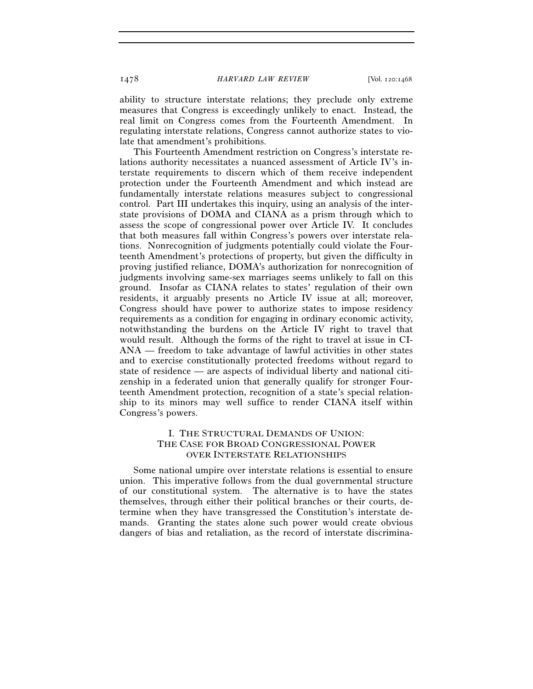ability to structure interstate relations; they preclude only extreme measures that Congress is exceedingly unlikely to enact. Instead, the real limit on Congress comes from the Fourteenth Amendment. In regulating interstate relations, Congress cannot authorize states to violate that amendment's prohibitions.

This Fourteenth Amendment restriction on Congress's interstate relations authority necessitates a nuanced assessment of Article IV's interstate requirements to discern which of them receive independent protection under the Fourteenth Amendment and which instead are fundamentally interstate relations measures subject to congressional control. Part III undertakes this inquiry, using an analysis of the interstate provisions of DOMA and CIANA as a prism through which to assess the scope of congressional power over Article IV. It concludes that both measures fall within Congress's powers over interstate relations. Nonrecognition of judgments potentially could violate the Fourteenth Amendment's protections of property, but given the difficulty in proving justified reliance, DOMA's authorization for nonrecognition of judgments involving same-sex marriages seems unlikely to fall on this ground. Insofar as CIANA relates to states' regulation of their own residents, it arguably presents no Article IV issue at all; moreover, Congress should have power to authorize states to impose residency requirements as a condition for engaging in ordinary economic activity, notwithstanding the burdens on the Article IV right to travel that would result. Although the forms of the right to travel at issue in CI-ANA — freedom to take advantage of lawful activities in other states and to exercise constitutionally protected freedoms without regard to state of residence — are aspects of individual liberty and national citizenship in a federated union that generally qualify for stronger Fourteenth Amendment protection, recognition of a state's special relationship to its minors may well suffice to render CIANA itself within Congress's powers.

## I. THE STRUCTURAL DEMANDS OF UNION: THE CASE FOR BROAD CONGRESSIONAL POWER OVER INTERSTATE RELATIONSHIPS

Some national umpire over interstate relations is essential to ensure union. This imperative follows from the dual governmental structure of our constitutional system. The alternative is to have the states themselves, through either their political branches or their courts, determine when they have transgressed the Constitution's interstate demands. Granting the states alone such power would create obvious dangers of bias and retaliation, as the record of interstate discrimina-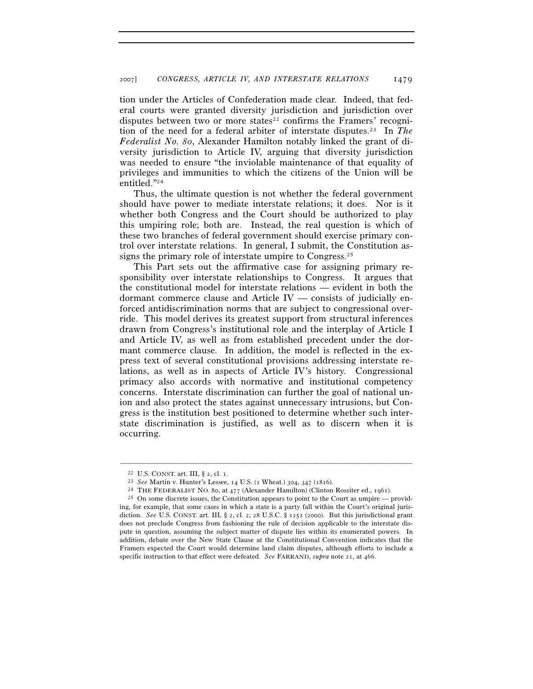tion under the Articles of Confederation made clear. Indeed, that federal courts were granted diversity jurisdiction and jurisdiction over disputes between two or more states<sup>22</sup> confirms the Framers' recognition of the need for a federal arbiter of interstate disputes.23 In *The Federalist No. 80*, Alexander Hamilton notably linked the grant of diversity jurisdiction to Article IV, arguing that diversity jurisdiction was needed to ensure "the inviolable maintenance of that equality of privileges and immunities to which the citizens of the Union will be entitled."24

Thus, the ultimate question is not whether the federal government should have power to mediate interstate relations; it does. Nor is it whether both Congress and the Court should be authorized to play this umpiring role; both are. Instead, the real question is which of these two branches of federal government should exercise primary control over interstate relations. In general, I submit, the Constitution assigns the primary role of interstate umpire to Congress.25

This Part sets out the affirmative case for assigning primary responsibility over interstate relationships to Congress. It argues that the constitutional model for interstate relations — evident in both the dormant commerce clause and Article IV — consists of judicially enforced antidiscrimination norms that are subject to congressional override. This model derives its greatest support from structural inferences drawn from Congress's institutional role and the interplay of Article I and Article IV, as well as from established precedent under the dormant commerce clause. In addition, the model is reflected in the express text of several constitutional provisions addressing interstate relations, as well as in aspects of Article IV's history. Congressional primacy also accords with normative and institutional competency concerns. Interstate discrimination can further the goal of national union and also protect the states against unnecessary intrusions, but Congress is the institution best positioned to determine whether such interstate discrimination is justified, as well as to discern when it is occurring.

<sup>&</sup>lt;sup>22</sup> U.S. CONST. art. III, § 2, cl. 1.<br>
<sup>23</sup> See Martin v. Hunter's Lessee, 14 U.S. (1 Wheat.) 304, 347 (1816).<br>
<sup>24</sup> THE FEDERALIST NO. 80, at 477 (Alexander Hamilton) (Clinton Rossiter ed., 1961).<br>
<sup>25</sup> On some discrete ing, for example, that some cases in which a state is a party fall within the Court's original jurisdiction. *See* U.S. CONST. art. III, § 2, cl. 2; 28 U.S.C. § 1251 (2000). But this jurisdictional grant does not preclude Congress from fashioning the rule of decision applicable to the interstate dispute in question, assuming the subject matter of dispute lies within its enumerated powers. In addition, debate over the New State Clause at the Constitutional Convention indicates that the Framers expected the Court would determine land claim disputes, although efforts to include a specific instruction to that effect were defeated. *See* FARRAND, *supra* note 21, at 466.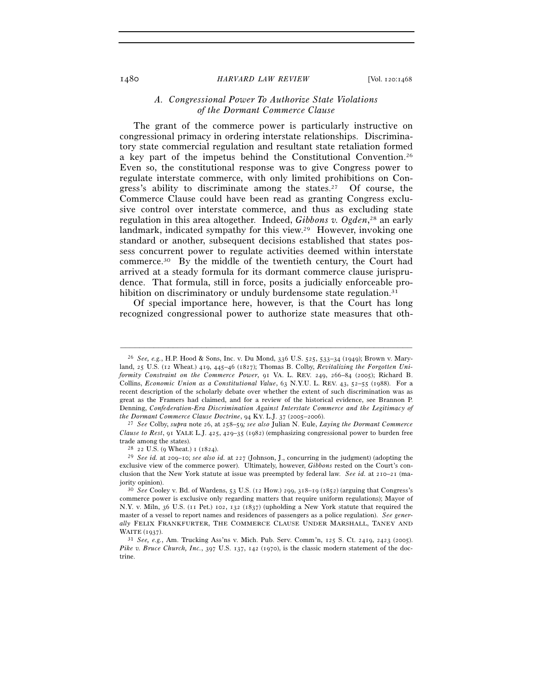## *A. Congressional Power To Authorize State Violations of the Dormant Commerce Clause*

The grant of the commerce power is particularly instructive on congressional primacy in ordering interstate relationships. Discriminatory state commercial regulation and resultant state retaliation formed a key part of the impetus behind the Constitutional Convention.26 Even so, the constitutional response was to give Congress power to regulate interstate commerce, with only limited prohibitions on Congress's ability to discriminate among the states.<sup>27</sup> Of course, the Commerce Clause could have been read as granting Congress exclusive control over interstate commerce, and thus as excluding state regulation in this area altogether. Indeed, *Gibbons v. Ogden*, 28 an early landmark, indicated sympathy for this view.<sup>29</sup> However, invoking one standard or another, subsequent decisions established that states possess concurrent power to regulate activities deemed within interstate commerce.30 By the middle of the twentieth century, the Court had arrived at a steady formula for its dormant commerce clause jurisprudence. That formula, still in force, posits a judicially enforceable prohibition on discriminatory or unduly burdensome state regulation.<sup>31</sup>

Of special importance here, however, is that the Court has long recognized congressional power to authorize state measures that oth-

<sup>26</sup> *See, e.g.*, H.P. Hood & Sons, Inc. v. Du Mond, 336 U.S. 525, 533–34 (1949); Brown v. Maryland, 25 U.S. (12 Wheat.) 419, 445–46 (1827); Thomas B. Colby, *Revitalizing the Forgotten Uniformity Constraint on the Commerce Power*, 91 VA. L. REV. 249, 266–84 (2005); Richard B. Collins, *Economic Union as a Constitutional Value*, 63 N.Y.U. L. REV. 43, 52–55 (1988). For a recent description of the scholarly debate over whether the extent of such discrimination was as great as the Framers had claimed, and for a review of the historical evidence, see Brannon P. Denning, *Confederation-Era Discrimination Against Interstate Commerce and the Legitimacy of the Dormant Commerce Clause Doctrine, 94 KY. L.J. 37 (2005–2006).* 

*the Dormant Commerce Clause Doctrine*, 94 KY. L.J. 37 (2005–2006). 27 *See* Colby, *supra* note 26, at 258–59*; see also* Julian N. Eule, *Laying the Dormant Commerce Clause to Rest*, 91 YALE L.J. 425, 429–35 (1982) (emphasizing congressional power to burden free trade among the states). 28 <sup>22</sup> U.S. (9 Wheat.) 1 (1824). 29 *See id.* at 209–10; *see also id.* at 227 (Johnson, J., concurring in the judgment) (adopting the

exclusive view of the commerce power). Ultimately, however, *Gibbons* rested on the Court's conclusion that the New York statute at issue was preempted by federal law. *See id.* at 210–21 (majority opinion). 30 *See* Cooley v. Bd. of Wardens, 53 U.S. (12 How.) 299, 318–19 (1852) (arguing that Congress's

commerce power is exclusive only regarding matters that require uniform regulations); Mayor of N.Y. v. Miln, 36 U.S. (11 Pet.) 102, 132 (1837) (upholding a New York statute that required the master of a vessel to report names and residences of passengers as a police regulation). *See generally* FELIX FRANKFURTER, THE COMMERCE CLAUSE UNDER MARSHALL, TANEY AND WAITE (1937). 31 *See, e.g.*, Am. Trucking Ass'ns v. Mich. Pub. Serv. Comm'n, 125 S. Ct. 2419, 2423 (2005).

*Pike v. Bruce Church, Inc.*, 397 U.S. 137, 142 (1970), is the classic modern statement of the doctrine.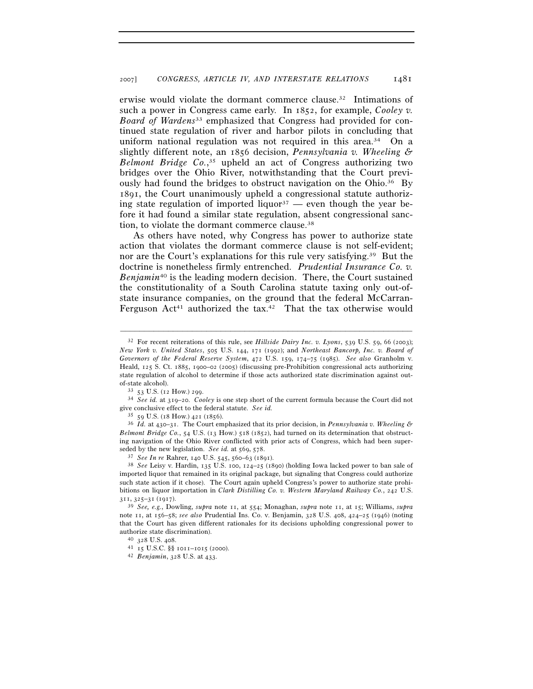erwise would violate the dormant commerce clause.32 Intimations of such a power in Congress came early. In 1852, for example, *Cooley v. Board of Wardens*33 emphasized that Congress had provided for continued state regulation of river and harbor pilots in concluding that uniform national regulation was not required in this area.<sup>34</sup> On a slightly different note, an 1856 decision, *Pennsylvania v. Wheeling & Belmont Bridge Co.*, 35 upheld an act of Congress authorizing two bridges over the Ohio River, notwithstanding that the Court previously had found the bridges to obstruct navigation on the Ohio.<sup>36</sup> By 1891, the Court unanimously upheld a congressional statute authorizing state regulation of imported liquor<sup>37</sup> — even though the year before it had found a similar state regulation, absent congressional sanction, to violate the dormant commerce clause.38

As others have noted, why Congress has power to authorize state action that violates the dormant commerce clause is not self-evident; nor are the Court's explanations for this rule very satisfying.39 But the doctrine is nonetheless firmly entrenched. *Prudential Insurance Co. v. Benjamin*40 is the leading modern decision. There, the Court sustained the constitutionality of a South Carolina statute taxing only out-ofstate insurance companies, on the ground that the federal McCarran-Ferguson Act<sup>41</sup> authorized the tax.<sup>42</sup> That the tax otherwise would

–––––––––––––––––––––––––––––––––––––––––––––––––––––––––––––

<sup>35</sup> <sup>59</sup> U.S. (18 How.) 421 (1856). 36 *Id.* at 430–31. The Court emphasized that its prior decision, in *Pennsylvania v. Wheeling & Belmont Bridge Co.*, 54 U.S. (13 How.) 518 (1852), had turned on its determination that obstructing navigation of the Ohio River conflicted with prior acts of Congress, which had been superseded by the new legislation. *See id.* at  $569, 578$ .<br><sup>37</sup> *See In re* Rahrer, 140 U.S. 545, 560–63 (1891).

<sup>32</sup> For recent reiterations of this rule, see *Hillside Dairy Inc. v. Lyons*, 539 U.S. 59, 66 (2003); *New York v. United States*, 505 U.S. 144, 171 (1992); and *Northeast Bancorp, Inc. v. Board of Governors of the Federal Reserve System*, 472 U.S. 159, 174–75 (1985). *See also* Granholm v. Heald, 125 S. Ct. 1885, 1900–02 (2005) (discussing pre-Prohibition congressional acts authorizing state regulation of alcohol to determine if those acts authorized state discrimination against outof-state alcohol).<br><sup>33</sup> 53 U.S. (12 How.) 299.<br><sup>34</sup> *See id.* at 319–20. *Cooley* is one step short of the current formula because the Court did not

give conclusive effect to the federal statute. *See id.*  $35 \,$  59 U.S. (18 How.) 421 (1856).

<sup>&</sup>lt;sup>38</sup> See Leisy v. Hardin, 135 U.S. 100, 124-25 (1890) (holding Iowa lacked power to ban sale of imported liquor that remained in its original package, but signaling that Congress could authorize such state action if it chose). The Court again upheld Congress's power to authorize state prohibitions on liquor importation in *Clark Distilling Co. v. Western Maryland Railway Co.*, 242 U.S. <sup>311</sup>, 325–31 (1917). 39 *See, e.g.*, Dowling, *supra* note 11, at 554; Monaghan, *supra* note 11, at 15; Williams, *supra*

note 11, at 156–58; *see also* Prudential Ins. Co. v. Benjamin, 328 U.S. 408, 424–25 (1946) (noting that the Court has given different rationales for its decisions upholding congressional power to authorize state discrimination).<br> $^{40}$  328 U.S. 408.<br> $^{41}$  15 U.S.C. §§ 1011–1015 (2000).

<sup>42</sup> *Benjamin*, 328 U.S. at 433.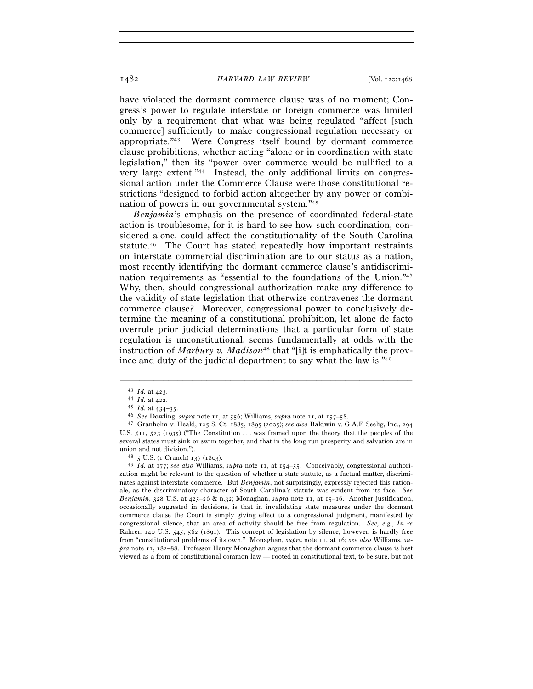have violated the dormant commerce clause was of no moment; Congress's power to regulate interstate or foreign commerce was limited only by a requirement that what was being regulated "affect [such commerce] sufficiently to make congressional regulation necessary or appropriate."43 Were Congress itself bound by dormant commerce clause prohibitions, whether acting "alone or in coordination with state legislation," then its "power over commerce would be nullified to a very large extent."44 Instead, the only additional limits on congressional action under the Commerce Clause were those constitutional restrictions "designed to forbid action altogether by any power or combination of powers in our governmental system."45

*Benjamin*'s emphasis on the presence of coordinated federal-state action is troublesome, for it is hard to see how such coordination, considered alone, could affect the constitutionality of the South Carolina statute.46 The Court has stated repeatedly how important restraints on interstate commercial discrimination are to our status as a nation, most recently identifying the dormant commerce clause's antidiscrimination requirements as "essential to the foundations of the Union."47 Why, then, should congressional authorization make any difference to the validity of state legislation that otherwise contravenes the dormant commerce clause? Moreover, congressional power to conclusively determine the meaning of a constitutional prohibition, let alone de facto overrule prior judicial determinations that a particular form of state regulation is unconstitutional, seems fundamentally at odds with the instruction of *Marbury v. Madison*<sup>48</sup> that "[i]t is emphatically the province and duty of the judicial department to say what the law is."49

<sup>&</sup>lt;sup>43</sup> *Id.* at 423.<br><sup>44</sup> *Id.* at 422.<br><sup>45</sup> *Id.* at 434–35.<br><sup>46</sup> *See* Dowling, *supra* note 11, at 556; Williams, *supra* note 11, at 157–58.<br><sup>47</sup> Granholm v. Heald, 125 S. Ct. 1885, 1895 (2005); *see also* Baldwin v. G. U.S. 511, 523 (1935) ("The Constitution . . . was framed upon the theory that the peoples of the several states must sink or swim together, and that in the long run prosperity and salvation are in union and not division."). 48 <sup>5</sup> U.S. (1 Cranch) 137 (1803). 49 *Id.* at 177; *see also* Williams, *supra* note 11, at 154–55. Conceivably, congressional authori-

zation might be relevant to the question of whether a state statute, as a factual matter, discriminates against interstate commerce. But *Benjamin*, not surprisingly, expressly rejected this rationale, as the discriminatory character of South Carolina's statute was evident from its face. *See Benjamin*, 328 U.S. at 425–26 & n.32; Monaghan, *supra* note 11, at 15–16. Another justification, occasionally suggested in decisions, is that in invalidating state measures under the dormant commerce clause the Court is simply giving effect to a congressional judgment, manifested by congressional silence, that an area of activity should be free from regulation. *See, e.g.*, *In re* Rahrer, 140 U.S. 545, 562 (1891). This concept of legislation by silence, however, is hardly free from "constitutional problems of its own." Monaghan, *supra* note 11, at 16; *see also* Williams, *supra* note 11, 182–88. Professor Henry Monaghan argues that the dormant commerce clause is best viewed as a form of constitutional common law — rooted in constitutional text, to be sure, but not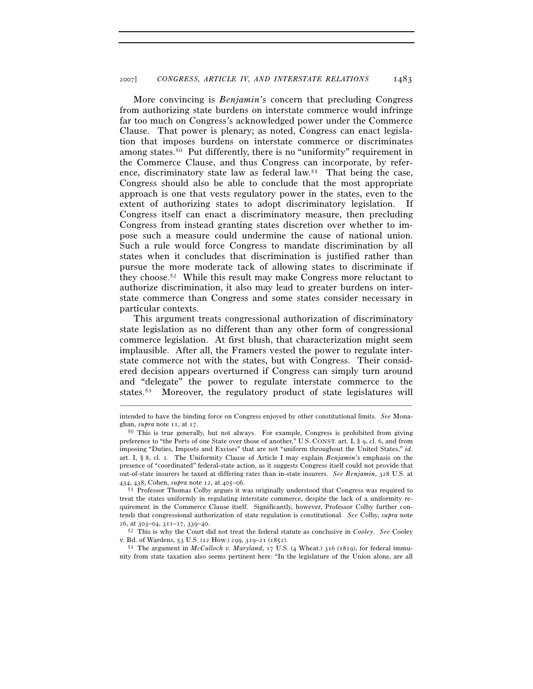More convincing is *Benjamin*'s concern that precluding Congress from authorizing state burdens on interstate commerce would infringe far too much on Congress's acknowledged power under the Commerce Clause. That power is plenary; as noted, Congress can enact legislation that imposes burdens on interstate commerce or discriminates among states.50 Put differently, there is no "uniformity" requirement in the Commerce Clause, and thus Congress can incorporate, by reference, discriminatory state law as federal law.51 That being the case, Congress should also be able to conclude that the most appropriate approach is one that vests regulatory power in the states, even to the extent of authorizing states to adopt discriminatory legislation. If Congress itself can enact a discriminatory measure, then precluding Congress from instead granting states discretion over whether to impose such a measure could undermine the cause of national union. Such a rule would force Congress to mandate discrimination by all states when it concludes that discrimination is justified rather than pursue the more moderate tack of allowing states to discriminate if they choose.52 While this result may make Congress more reluctant to authorize discrimination, it also may lead to greater burdens on interstate commerce than Congress and some states consider necessary in particular contexts.

This argument treats congressional authorization of discriminatory state legislation as no different than any other form of congressional commerce legislation. At first blush, that characterization might seem implausible. After all, the Framers vested the power to regulate interstate commerce not with the states, but with Congress. Their considered decision appears overturned if Congress can simply turn around and "delegate" the power to regulate interstate commerce to the states.53 Moreover, the regulatory product of state legislatures will

<sup>53</sup> The argument in *McCulloch v. Maryland*, 17 U.S. (4 Wheat.) 316 (1819), for federal immunity from state taxation also seems pertinent here: "In the legislature of the Union alone, are all

<sup>–––––––––––––––––––––––––––––––––––––––––––––––––––––––––––––</sup> intended to have the binding force on Congress enjoyed by other constitutional limits. *See* Monaghan, *supra* note 11, at 17.<br><sup>50</sup> This is true generally, but not always. For example, Congress is prohibited from giving

preference to "the Ports of one State over those of another," U.S. CONST. art. I, § 9, cl. 6, and from imposing "Duties, Imposts and Excises" that are not "uniform throughout the United States," *id.* art. I, § 8, cl. 1. The Uniformity Clause of Article I may explain *Benjamin*'s emphasis on the presence of "coordinated" federal-state action, as it suggests Congress itself could not provide that out-of-state insurers be taxed at differing rates than in-state insurers. *See Benjamin*, 328 U.S. at

<sup>&</sup>lt;sup>51</sup> Professor Thomas Colby argues it was originally understood that Congress was required to treat the states uniformly in regulating interstate commerce, despite the lack of a uniformity requirement in the Commerce Clause itself. Significantly, however, Professor Colby further contends that congressional authorization of state regulation is constitutional. *See* Colby, *supra* note

<sup>26</sup>, at 303–04, 311–17, 339–40. 52 This is why the Court did not treat the federal statute as conclusive in *Cooley*. *See* Cooley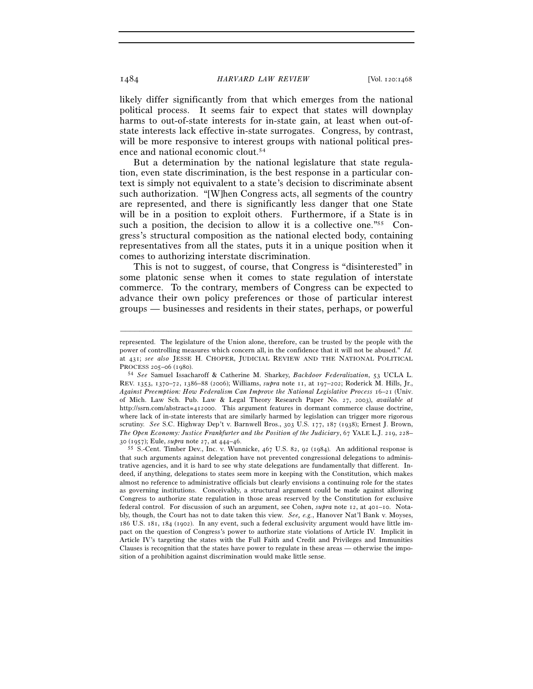likely differ significantly from that which emerges from the national political process. It seems fair to expect that states will downplay harms to out-of-state interests for in-state gain, at least when out-ofstate interests lack effective in-state surrogates. Congress, by contrast, will be more responsive to interest groups with national political presence and national economic clout.54

But a determination by the national legislature that state regulation, even state discrimination, is the best response in a particular context is simply not equivalent to a state's decision to discriminate absent such authorization. "[W]hen Congress acts, all segments of the country are represented, and there is significantly less danger that one State will be in a position to exploit others. Furthermore, if a State is in such a position, the decision to allow it is a collective one."<sup>55</sup> Congress's structural composition as the national elected body, containing representatives from all the states, puts it in a unique position when it comes to authorizing interstate discrimination.

This is not to suggest, of course, that Congress is "disinterested" in some platonic sense when it comes to state regulation of interstate commerce. To the contrary, members of Congress can be expected to advance their own policy preferences or those of particular interest groups — businesses and residents in their states, perhaps, or powerful

represented. The legislature of the Union alone, therefore, can be trusted by the people with the power of controlling measures which concern all, in the confidence that it will not be abused." *Id.* at 431; *see also* JESSE H. CHOPER, JUDICIAL REVIEW AND THE NATIONAL POLITICAL

PROCESS <sup>205</sup>–06 (1980). 54 *See* Samuel Issacharoff & Catherine M. Sharkey, *Backdoor Federalization*, 53 UCLA L. REV. 1353, 1370–72, 1386–88 (2006); Williams, *supra* note 11, at 197–202; Roderick M. Hills, Jr., *Against Preemption: How Federalism Can Improve the National Legislative Process* 16–21 (Univ. of Mich. Law Sch. Pub. Law & Legal Theory Research Paper No. 27, 2003), *available at* http://ssrn.com/abstract=412000. This argument features in dormant commerce clause doctrine, where lack of in-state interests that are similarly harmed by legislation can trigger more rigorous scrutiny. *See* S.C. Highway Dep't v. Barnwell Bros., 303 U.S. 177, 187 (1938); Ernest J. Brown, *The Open Economy: Justice Frankfurter and the Position of the Judiciary*, 67 YALE L.J. 219, 228–30 (1957); Eule, *supra* note 27, at 444–46.

<sup>&</sup>lt;sup>55</sup> S.-Cent. Timber Dev., Inc. v. Wunnicke, 467 U.S. 82, 92 (1984). An additional response is that such arguments against delegation have not prevented congressional delegations to administrative agencies, and it is hard to see why state delegations are fundamentally that different. Indeed, if anything, delegations to states seem more in keeping with the Constitution, which makes almost no reference to administrative officials but clearly envisions a continuing role for the states as governing institutions. Conceivably, a structural argument could be made against allowing Congress to authorize state regulation in those areas reserved by the Constitution for exclusive federal control. For discussion of such an argument, see Cohen, *supra* note 12, at 401–10. Notably, though, the Court has not to date taken this view. *See, e.g.*, Hanover Nat'l Bank v. Moyses, 186 U.S. 181, 184 (1902). In any event, such a federal exclusivity argument would have little impact on the question of Congress's power to authorize state violations of Article IV. Implicit in Article IV's targeting the states with the Full Faith and Credit and Privileges and Immunities Clauses is recognition that the states have power to regulate in these areas — otherwise the imposition of a prohibition against discrimination would make little sense.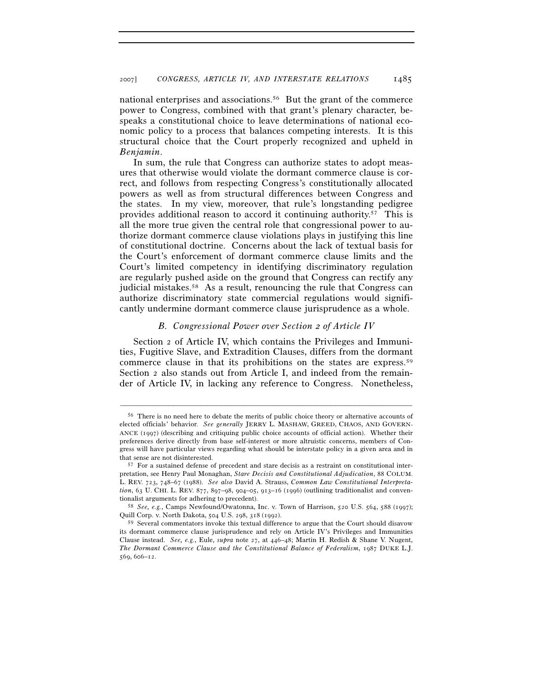national enterprises and associations.56 But the grant of the commerce power to Congress, combined with that grant's plenary character, bespeaks a constitutional choice to leave determinations of national economic policy to a process that balances competing interests. It is this structural choice that the Court properly recognized and upheld in *Benjamin*.

In sum, the rule that Congress can authorize states to adopt measures that otherwise would violate the dormant commerce clause is correct, and follows from respecting Congress's constitutionally allocated powers as well as from structural differences between Congress and the states. In my view, moreover, that rule's longstanding pedigree provides additional reason to accord it continuing authority.57 This is all the more true given the central role that congressional power to authorize dormant commerce clause violations plays in justifying this line of constitutional doctrine. Concerns about the lack of textual basis for the Court's enforcement of dormant commerce clause limits and the Court's limited competency in identifying discriminatory regulation are regularly pushed aside on the ground that Congress can rectify any judicial mistakes.58 As a result, renouncing the rule that Congress can authorize discriminatory state commercial regulations would significantly undermine dormant commerce clause jurisprudence as a whole.

### *B. Congressional Power over Section 2 of Article IV*

Section 2 of Article IV, which contains the Privileges and Immunities, Fugitive Slave, and Extradition Clauses, differs from the dormant commerce clause in that its prohibitions on the states are express.59 Section 2 also stands out from Article I, and indeed from the remainder of Article IV, in lacking any reference to Congress. Nonetheless,

<sup>56</sup> There is no need here to debate the merits of public choice theory or alternative accounts of elected officials' behavior. *See generally* JERRY L. MASHAW, GREED, CHAOS, AND GOVERN-ANCE (1997) (describing and critiquing public choice accounts of official action). Whether their preferences derive directly from base self-interest or more altruistic concerns, members of Congress will have particular views regarding what should be interstate policy in a given area and in that sense are not disinterested.<br><sup>57</sup> For a sustained defense of precedent and stare decisis as a restraint on constitutional inter-

pretation, see Henry Paul Monaghan, *Stare Decisis and Constitutional Adjudication*, 88 COLUM. L. REV. 723, 748–67 (1988). *See also* David A. Strauss, *Common Law Constitutional Interpretation*, 63 U. CHI. L. REV. 877, 897–98, 904–05, 913–16 (1996) (outlining traditionalist and conventionalist arguments for adhering to precedent). 58 *See, e.g.*, Camps Newfound/Owatonna, Inc. v. Town of Harrison, 520 U.S. 564, 588 (1997);

Quill Corp. v. North Dakota, 504 U.S. 298, 318 (1992).

<sup>59</sup> Several commentators invoke this textual difference to argue that the Court should disavow its dormant commerce clause jurisprudence and rely on Article IV's Privileges and Immunities Clause instead. *See, e.g.*, Eule, *supra* note 27, at 446–48; Martin H. Redish & Shane V. Nugent, *The Dormant Commerce Clause and the Constitutional Balance of Federalism*, 1987 DUKE L.J. 569, 606–12.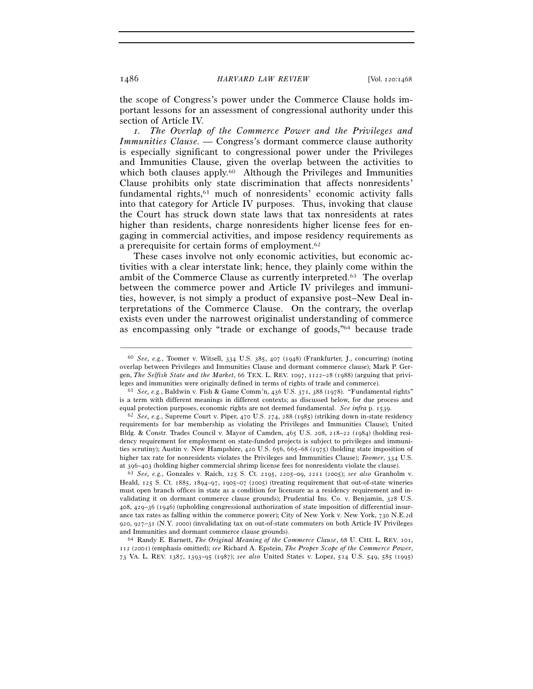the scope of Congress's power under the Commerce Clause holds important lessons for an assessment of congressional authority under this section of Article IV.

*1. The Overlap of the Commerce Power and the Privileges and Immunities Clause. —* Congress's dormant commerce clause authority is especially significant to congressional power under the Privileges and Immunities Clause, given the overlap between the activities to which both clauses apply.<sup>60</sup> Although the Privileges and Immunities Clause prohibits only state discrimination that affects nonresidents' fundamental rights,<sup>61</sup> much of nonresidents' economic activity falls into that category for Article IV purposes. Thus, invoking that clause the Court has struck down state laws that tax nonresidents at rates higher than residents, charge nonresidents higher license fees for engaging in commercial activities, and impose residency requirements as a prerequisite for certain forms of employment.62

These cases involve not only economic activities, but economic activities with a clear interstate link; hence, they plainly come within the ambit of the Commerce Clause as currently interpreted.63 The overlap between the commerce power and Article IV privileges and immunities, however, is not simply a product of expansive post–New Deal interpretations of the Commerce Clause. On the contrary, the overlap exists even under the narrowest originalist understanding of commerce as encompassing only "trade or exchange of goods,"64 because trade

–––––––––––––––––––––––––––––––––––––––––––––––––––––––––––––

Heald, 125 S. Ct. 1885, 1894–97, 1905–07 (2005) (treating requirement that out-of-state wineries must open branch offices in state as a condition for licensure as a residency requirement and invalidating it on dormant commerce clause grounds); Prudential Ins. Co. v. Benjamin, 328 U.S. 408, 429–36 (1946) (upholding congressional authorization of state imposition of differential insurance tax rates as falling within the commerce power); City of New York v. New York, 730 N.E.2d 920, 927–31 (N.Y. 2000) (invalidating tax on out-of-state commuters on both Article IV Privileges and Immunities and dormant commerce clause grounds). 64 Randy E. Barnett, *The Original Meaning of the Commerce Clause*, 68 U. CHI. L. REV. 101,

112 (2001) (emphasis omitted); *see* Richard A. Epstein, *The Proper Scope of the Commerce Power*, 73 VA. L. REV. 1387, 1393–95 (1987); *see also* United States v. Lopez, 514 U.S. 549, 585 (1995)

<sup>60</sup> *See, e.g.*, Toomer v. Witsell, 334 U.S. 385, 407 (1948) (Frankfurter, J., concurring) (noting overlap between Privileges and Immunities Clause and dormant commerce clause); Mark P. Gergen, *The Selfish State and the Market*, 66 TEX. L. REV. 1097, 1122–28 (1988) (arguing that privileges and immunities were originally defined in terms of rights of trade and commerce).<br><sup>61</sup> *See, e.g.*, Baldwin v. Fish & Game Comm'n, 436 U.S. 371, 388 (1978). "Fundamental rights"

is a term with different meanings in different contexts; as discussed below, for due process and equal protection purposes, economic rights are not deemed fundamental. *See infra* p. 1539. 62 *See, e.g.*, Supreme Court v. Piper, 470 U.S. 274, 288 (1985) (striking down in-state residency

requirements for bar membership as violating the Privileges and Immunities Clause); United Bldg. & Constr. Trades Council v. Mayor of Camden, 465 U.S. 208, 218–22 (1984) (holding residency requirement for employment on state-funded projects is subject to privileges and immunities scrutiny); Austin v. New Hampshire, 420 U.S. 656, 665–68 (1975) (holding state imposition of higher tax rate for nonresidents violates the Privileges and Immunities Clause); *Toomer*, 334 U.S. at 396–403 (holding higher commercial shrimp license fees for nonresidents violate the clause). 63 *See, e.g.*, Gonzales v. Raich, 125 S. Ct. 2195, 2205–09, 2211 (2005); *see also* Granholm v.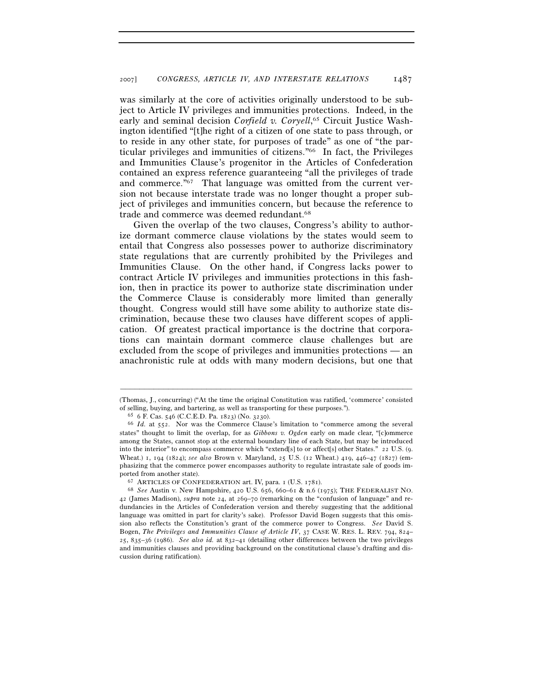was similarly at the core of activities originally understood to be subject to Article IV privileges and immunities protections. Indeed, in the early and seminal decision *Corfield v. Coryell*,<sup>65</sup> Circuit Justice Washington identified "[t]he right of a citizen of one state to pass through, or to reside in any other state, for purposes of trade" as one of "the particular privileges and immunities of citizens."66 In fact, the Privileges and Immunities Clause's progenitor in the Articles of Confederation contained an express reference guaranteeing "all the privileges of trade and commerce."67 That language was omitted from the current version not because interstate trade was no longer thought a proper subject of privileges and immunities concern, but because the reference to trade and commerce was deemed redundant.<sup>68</sup>

Given the overlap of the two clauses, Congress's ability to authorize dormant commerce clause violations by the states would seem to entail that Congress also possesses power to authorize discriminatory state regulations that are currently prohibited by the Privileges and Immunities Clause. On the other hand, if Congress lacks power to contract Article IV privileges and immunities protections in this fashion, then in practice its power to authorize state discrimination under the Commerce Clause is considerably more limited than generally thought. Congress would still have some ability to authorize state discrimination, because these two clauses have different scopes of application. Of greatest practical importance is the doctrine that corporations can maintain dormant commerce clause challenges but are excluded from the scope of privileges and immunities protections — an anachronistic rule at odds with many modern decisions, but one that

<sup>–––––––––––––––––––––––––––––––––––––––––––––––––––––––––––––</sup> (Thomas, J., concurring) ("At the time the original Constitution was ratified, 'commerce' consisted of selling, buying, and bartering, as well as transporting for these purposes."). 65 <sup>6</sup> F. Cas. 546 (C.C.E.D. Pa. 1823) (No. 3230).

<sup>66</sup> *Id.* at 552. Nor was the Commerce Clause's limitation to "commerce among the several states" thought to limit the overlap, for as *Gibbons v. Ogden* early on made clear, "[c]ommerce among the States, cannot stop at the external boundary line of each State, but may be introduced into the interior" to encompass commerce which "extend[s] to or affect[s] other States." 22 U.S. (9. Wheat.) 1, 194 (1824); *see also* Brown v. Maryland, 25 U.S. (12 Wheat.) 419, 446–47 (1827) (emphasizing that the commerce power encompasses authority to regulate intrastate sale of goods imported from another state). 67 ARTICLES OF CONFEDERATION art. IV, para. 1 (U.S. 1781). 68 *See* Austin v. New Hampshire, 420 U.S. 656, 660–61 & n.6 (1975); THE FEDERALIST NO.

<sup>42</sup> (James Madison), *supra* note 24, at 269–70 (remarking on the "confusion of language" and redundancies in the Articles of Confederation version and thereby suggesting that the additional language was omitted in part for clarity's sake). Professor David Bogen suggests that this omission also reflects the Constitution's grant of the commerce power to Congress. *See* David S. Bogen, *The Privileges and Immunities Clause of Article IV*, 37 CASE W. RES. L. REV. 794, 824– 25, 835–36 (1986). *See also id.* at 832–41 (detailing other differences between the two privileges and immunities clauses and providing background on the constitutional clause's drafting and discussion during ratification).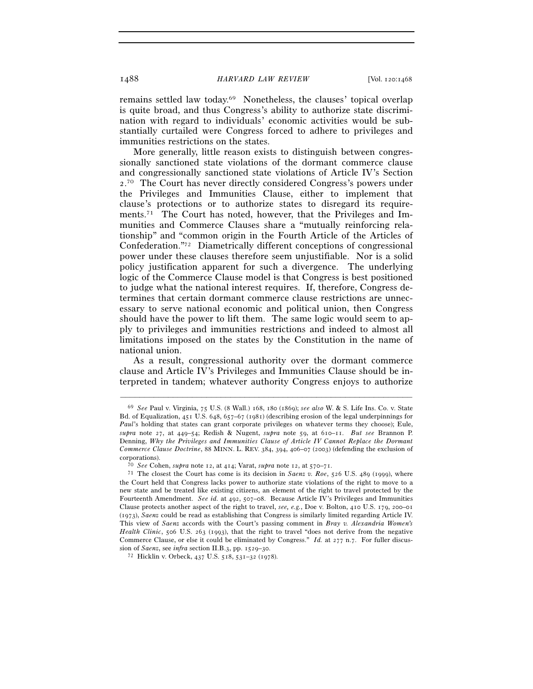remains settled law today.69 Nonetheless, the clauses' topical overlap is quite broad, and thus Congress's ability to authorize state discrimination with regard to individuals' economic activities would be substantially curtailed were Congress forced to adhere to privileges and immunities restrictions on the states.

More generally, little reason exists to distinguish between congressionally sanctioned state violations of the dormant commerce clause and congressionally sanctioned state violations of Article IV's Section 2. 70 The Court has never directly considered Congress's powers under the Privileges and Immunities Clause, either to implement that clause's protections or to authorize states to disregard its requirements.71 The Court has noted, however, that the Privileges and Immunities and Commerce Clauses share a "mutually reinforcing relationship" and "common origin in the Fourth Article of the Articles of Confederation."72 Diametrically different conceptions of congressional power under these clauses therefore seem unjustifiable. Nor is a solid policy justification apparent for such a divergence. The underlying logic of the Commerce Clause model is that Congress is best positioned to judge what the national interest requires. If, therefore, Congress determines that certain dormant commerce clause restrictions are unnecessary to serve national economic and political union, then Congress should have the power to lift them. The same logic would seem to apply to privileges and immunities restrictions and indeed to almost all limitations imposed on the states by the Constitution in the name of national union.

As a result, congressional authority over the dormant commerce clause and Article IV's Privileges and Immunities Clause should be interpreted in tandem; whatever authority Congress enjoys to authorize

<sup>69</sup> *See* Paul v. Virginia, 75 U.S. (8 Wall.) 168, 180 (1869); *see also* W. & S. Life Ins. Co. v. State Bd. of Equalization, 451 U.S. 648, 657–67 (1981) (describing erosion of the legal underpinnings for *Paul*'s holding that states can grant corporate privileges on whatever terms they choose); Eule, *supra* note 27, at 449–54; Redish & Nugent, *supra* note 59, at 610–11. *But see* Brannon P. Denning, *Why the Privileges and Immunities Clause of Article IV Cannot Replace the Dormant Commerce Clause Doctrine*, 88 MINN. L. REV. 384, 394, 406–07 (2003) (defending the exclusion of corporations). 70 *See* Cohen, *supra* note 12, at 414; Varat, *supra* note 12, at 570–71. 71 The closest the Court has come is its decision in *Saenz v. Roe*, 526 U.S. 489 (1999), where

the Court held that Congress lacks power to authorize state violations of the right to move to a new state and be treated like existing citizens, an element of the right to travel protected by the Fourteenth Amendment. *See id.* at 492, 507–08. Because Article IV's Privileges and Immunities Clause protects another aspect of the right to travel, *see, e.g.*, Doe v. Bolton, 410 U.S. 179, 200–01 (1973), *Saenz* could be read as establishing that Congress is similarly limited regarding Article IV. This view of *Saenz* accords with the Court's passing comment in *Bray v. Alexandria Women's Health Clinic*, 506 U.S. 263 (1993), that the right to travel "does not derive from the negative Commerce Clause, or else it could be eliminated by Congress." *Id.* at 277 n.7. For fuller discus-

sion of *Saenz*, see *infra* section II.B.3, pp. 1529–30. 72 Hicklin v. Orbeck, 437 U.S. 518, 531–32 (1978).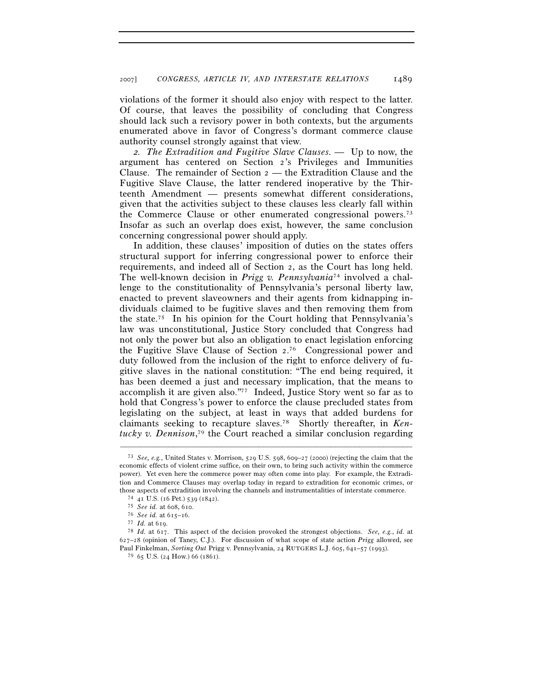violations of the former it should also enjoy with respect to the latter. Of course, that leaves the possibility of concluding that Congress should lack such a revisory power in both contexts, but the arguments enumerated above in favor of Congress's dormant commerce clause authority counsel strongly against that view.

*2. The Extradition and Fugitive Slave Clauses. —* Up to now, the argument has centered on Section 2's Privileges and Immunities Clause. The remainder of Section 2 — the Extradition Clause and the Fugitive Slave Clause, the latter rendered inoperative by the Thirteenth Amendment — presents somewhat different considerations, given that the activities subject to these clauses less clearly fall within the Commerce Clause or other enumerated congressional powers.73 Insofar as such an overlap does exist, however, the same conclusion concerning congressional power should apply.

In addition, these clauses' imposition of duties on the states offers structural support for inferring congressional power to enforce their requirements, and indeed all of Section 2, as the Court has long held. The well-known decision in *Prigg v. Pennsylvania*74 involved a challenge to the constitutionality of Pennsylvania's personal liberty law, enacted to prevent slaveowners and their agents from kidnapping individuals claimed to be fugitive slaves and then removing them from the state.<sup>75</sup> In his opinion for the Court holding that Pennsylvania's law was unconstitutional, Justice Story concluded that Congress had not only the power but also an obligation to enact legislation enforcing the Fugitive Slave Clause of Section 2. 76 Congressional power and duty followed from the inclusion of the right to enforce delivery of fugitive slaves in the national constitution: "The end being required, it has been deemed a just and necessary implication, that the means to accomplish it are given also."77 Indeed, Justice Story went so far as to hold that Congress's power to enforce the clause precluded states from legislating on the subject, at least in ways that added burdens for claimants seeking to recapture slaves.78 Shortly thereafter, in *Kentucky v. Dennison*, 79 the Court reached a similar conclusion regarding

<sup>73</sup> *See, e.g.*, United States v. Morrison, 529 U.S. 598, 609–27 (2000) (rejecting the claim that the economic effects of violent crime suffice, on their own, to bring such activity within the commerce power). Yet even here the commerce power may often come into play. For example, the Extradition and Commerce Clauses may overlap today in regard to extradition for economic crimes, or those aspects of extradition involving the channels and instrumentalities of interstate commerce.<br>
<sup>74</sup> 41 U.S. (16 Pet.) 539 (1842).<br>
<sup>75</sup> *See id.* at 608, 610.<br>
<sup>76</sup> *See id.* at 615–16.<br>
<sup>77</sup> *Id.* at 617. This aspect

<sup>627</sup>–28 (opinion of Taney, C.J.). For discussion of what scope of state action *Prigg* allowed, see Paul Finkelman, *Sorting Out* Prigg v. Pennsylvania, 24 RUTGERS L.J. 605, 641–57 (1993).

<sup>79</sup> 65 U.S. (24 How.) 66 (1861).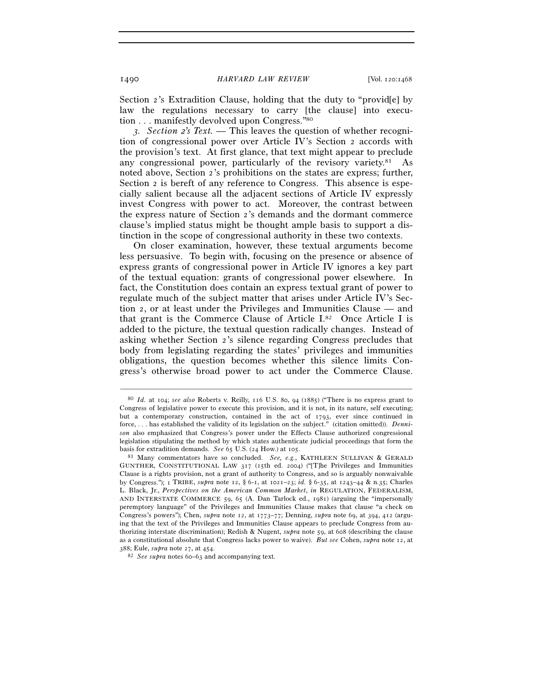Section 2's Extradition Clause, holding that the duty to "provid[e] by law the regulations necessary to carry [the clause] into execution . . . manifestly devolved upon Congress."80

*3. Section 2's Text. —* This leaves the question of whether recognition of congressional power over Article IV's Section 2 accords with the provision's text. At first glance, that text might appear to preclude any congressional power, particularly of the revisory variety.<sup>81</sup> As noted above, Section 2's prohibitions on the states are express; further, Section 2 is bereft of any reference to Congress. This absence is especially salient because all the adjacent sections of Article IV expressly invest Congress with power to act. Moreover, the contrast between the express nature of Section 2's demands and the dormant commerce clause's implied status might be thought ample basis to support a distinction in the scope of congressional authority in these two contexts.

On closer examination, however, these textual arguments become less persuasive. To begin with, focusing on the presence or absence of express grants of congressional power in Article IV ignores a key part of the textual equation: grants of congressional power elsewhere. In fact, the Constitution does contain an express textual grant of power to regulate much of the subject matter that arises under Article IV's Section 2, or at least under the Privileges and Immunities Clause — and that grant is the Commerce Clause of Article I.82 Once Article I is added to the picture, the textual question radically changes. Instead of asking whether Section 2's silence regarding Congress precludes that body from legislating regarding the states' privileges and immunities obligations, the question becomes whether this silence limits Congress's otherwise broad power to act under the Commerce Clause.

<sup>80</sup> *Id.* at 104; *see also* Roberts v. Reilly, 116 U.S. 80, 94 (1885) ("There is no express grant to Congress of legislative power to execute this provision, and it is not, in its nature, self executing; but a contemporary construction, contained in the act of 1793, ever since continued in force, . . . has established the validity of its legislation on the subject." (citation omitted)). *Dennison* also emphasized that Congress's power under the Effects Clause authorized congressional legislation stipulating the method by which states authenticate judicial proceedings that form the

basis for extradition demands. *See* 65 U.S. (24 How.) at 105.<br><sup>81</sup> Many commentators have so concluded. *See, e.g.*, KATHLEEN SULLIVAN & GERALD GUNTHER, CONSTITUTIONAL LAW 317 (15th ed. 2004) ("[T]he Privileges and Immunities Clause is a rights provision, not a grant of authority to Congress, and so is arguably nonwaivable by Congress."); 1 TRIBE, *supra* note 12, § 6-1, at 1021–23; *id.* § 6-35, at 1243–44 & n.35; Charles L. Black, Jr., *Perspectives on the American Common Market*, *in* REGULATION, FEDERALISM, AND INTERSTATE COMMERCE 59, 65 (A. Dan Tarlock ed., 1981) (arguing the "impersonally peremptory language" of the Privileges and Immunities Clause makes that clause "a check on Congress's powers"); Chen,  $\textit{supra}$  note 12, at 1773–77; Denning,  $\textit{supra}$  note 69, at 394, 412 (arguing that the text of the Privileges and Immunities Clause appears to preclude Congress from authorizing interstate discrimination); Redish & Nugent, *supra* note 59, at 608 (describing the clause as a constitutional absolute that Congress lacks power to waive). *But see* Cohen, *supra* note 12, at

<sup>388</sup>; Eule, *supra* note 27, at 454. 82 *See supra* notes 60–63 and accompanying text.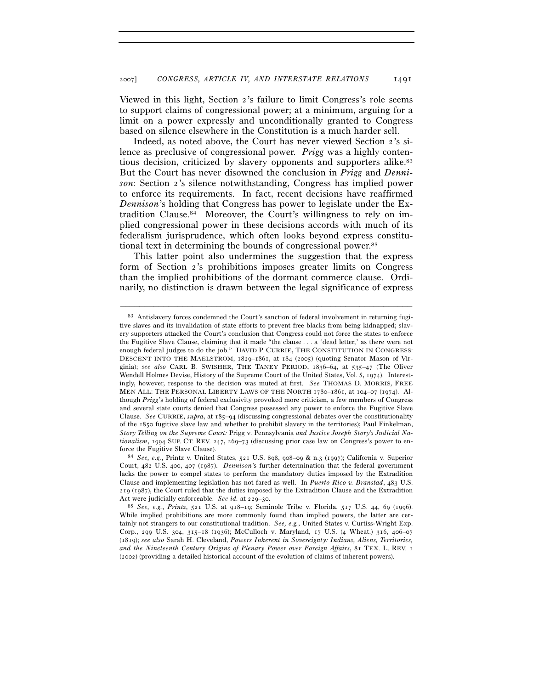Viewed in this light, Section 2's failure to limit Congress's role seems to support claims of congressional power; at a minimum, arguing for a limit on a power expressly and unconditionally granted to Congress based on silence elsewhere in the Constitution is a much harder sell.

Indeed, as noted above, the Court has never viewed Section 2's silence as preclusive of congressional power. *Prigg* was a highly contentious decision, criticized by slavery opponents and supporters alike.83 But the Court has never disowned the conclusion in *Prigg* and *Dennison*: Section 2's silence notwithstanding, Congress has implied power to enforce its requirements. In fact, recent decisions have reaffirmed *Dennison*'s holding that Congress has power to legislate under the Extradition Clause.84 Moreover, the Court's willingness to rely on implied congressional power in these decisions accords with much of its federalism jurisprudence, which often looks beyond express constitutional text in determining the bounds of congressional power.85

This latter point also undermines the suggestion that the express form of Section 2's prohibitions imposes greater limits on Congress than the implied prohibitions of the dormant commerce clause. Ordinarily, no distinction is drawn between the legal significance of express

<sup>83</sup> Antislavery forces condemned the Court's sanction of federal involvement in returning fugitive slaves and its invalidation of state efforts to prevent free blacks from being kidnapped; slavery supporters attacked the Court's conclusion that Congress could not force the states to enforce the Fugitive Slave Clause, claiming that it made "the clause . . . a 'dead letter,' as there were not enough federal judges to do the job." DAVID P. CURRIE, THE CONSTITUTION IN CONGRESS: DESCENT INTO THE MAELSTROM, 1829–1861, at 184 (2005) (quoting Senator Mason of Virginia); *see also* CARL B. SWISHER, THE TANEY PERIOD, 1836–64, at 535–47 (The Oliver Wendell Holmes Devise, History of the Supreme Court of the United States, Vol. 5, 1974). Interestingly, however, response to the decision was muted at first. *See* THOMAS D. MORRIS, FREE MEN ALL: THE PERSONAL LIBERTY LAWS OF THE NORTH 1780–1861, at 104–07 (1974). Although *Prigg*'s holding of federal exclusivity provoked more criticism, a few members of Congress and several state courts denied that Congress possessed any power to enforce the Fugitive Slave Clause. *See* CURRIE, *supra*, at 185–94 (discussing congressional debates over the constitutionality of the 1850 fugitive slave law and whether to prohibit slavery in the territories); Paul Finkelman, *Story Telling on the Supreme Court:* Prigg v. Pennsylvania *and Justice Joseph Story's Judicial Nationalism*, 1994 SUP. CT. REV. 247, 269–73 (discussing prior case law on Congress's power to enforce the Fugitive Slave Clause). 84 *See, e.g.*, Printz v. United States, 521 U.S. 898, 908–09 & n.3 (1997); California v. Superior

Court, 482 U.S. 400, 407 (1987). *Dennison*'s further determination that the federal government lacks the power to compel states to perform the mandatory duties imposed by the Extradition Clause and implementing legislation has not fared as well. In *Puerto Rico v. Branstad*, 483 U.S. 219 (1987), the Court ruled that the duties imposed by the Extradition Clause and the Extradition Act were judicially enforceable. *See id.* at 229–30. 85 *See, e.g.*, *Printz*, 521 U.S. at 918–19; Seminole Tribe v. Florida, 517 U.S. 44, 69 (1996).

While implied prohibitions are more commonly found than implied powers, the latter are certainly not strangers to our constitutional tradition. *See, e.g.*, United States v. Curtiss-Wright Exp. Corp., 299 U.S. 304, 315–18 (1936); McCulloch v. Maryland, 17 U.S. (4 Wheat.) 316, 406–07 (1819); *see also* Sarah H. Cleveland, *Powers Inherent in Sovereignty: Indians, Aliens, Territories, and the Nineteenth Century Origins of Plenary Power over Foreign Affairs*, 81 TEX. L. REV. 1 (2002) (providing a detailed historical account of the evolution of claims of inherent powers).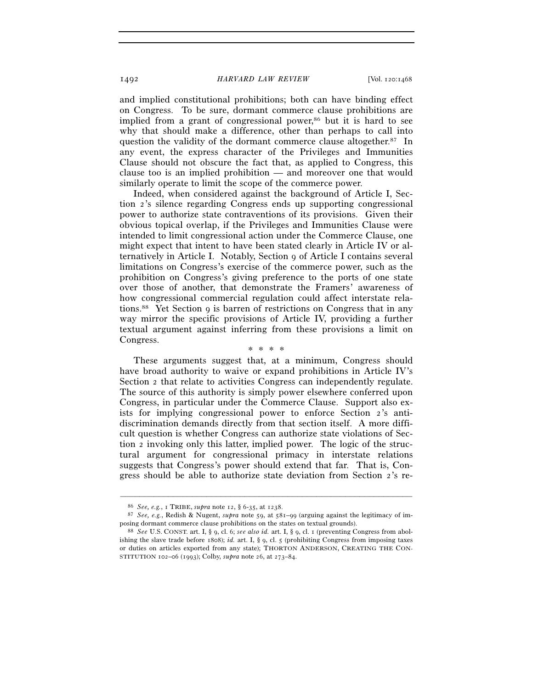and implied constitutional prohibitions; both can have binding effect on Congress. To be sure, dormant commerce clause prohibitions are implied from a grant of congressional power,<sup>86</sup> but it is hard to see why that should make a difference, other than perhaps to call into question the validity of the dormant commerce clause altogether.87 In any event, the express character of the Privileges and Immunities Clause should not obscure the fact that, as applied to Congress, this clause too is an implied prohibition — and moreover one that would similarly operate to limit the scope of the commerce power.

Indeed, when considered against the background of Article I, Section 2's silence regarding Congress ends up supporting congressional power to authorize state contraventions of its provisions. Given their obvious topical overlap, if the Privileges and Immunities Clause were intended to limit congressional action under the Commerce Clause, one might expect that intent to have been stated clearly in Article IV or alternatively in Article I. Notably, Section 9 of Article I contains several limitations on Congress's exercise of the commerce power, such as the prohibition on Congress's giving preference to the ports of one state over those of another, that demonstrate the Framers' awareness of how congressional commercial regulation could affect interstate relations.88 Yet Section 9 is barren of restrictions on Congress that in any way mirror the specific provisions of Article IV, providing a further textual argument against inferring from these provisions a limit on Congress. \* \* \* \*

These arguments suggest that, at a minimum, Congress should have broad authority to waive or expand prohibitions in Article IV's Section 2 that relate to activities Congress can independently regulate. The source of this authority is simply power elsewhere conferred upon Congress, in particular under the Commerce Clause. Support also exists for implying congressional power to enforce Section 2's antidiscrimination demands directly from that section itself. A more difficult question is whether Congress can authorize state violations of Section 2 invoking only this latter, implied power. The logic of the structural argument for congressional primacy in interstate relations suggests that Congress's power should extend that far. That is, Congress should be able to authorize state deviation from Section 2's re-

<sup>86</sup> *See, e.g.*, <sup>1</sup> TRIBE, *supra* note 12, § 6-35, at 1238. 87 *See, e.g.*, Redish & Nugent, *supra* note 59, at 581–99 (arguing against the legitimacy of imposing dormant commerce clause prohibitions on the states on textual grounds). 88 *See* U.S. CONST. art. I, § 9, cl. 6; *see also id.* art. I, § 9, cl. 1 (preventing Congress from abol-

ishing the slave trade before 1808); *id.* art. I, § 9, cl. 5 (prohibiting Congress from imposing taxes or duties on articles exported from any state); THORTON ANDERSON, CREATING THE CON-STITUTION 102–06 (1993); Colby, *supra* note 26, at 273–84.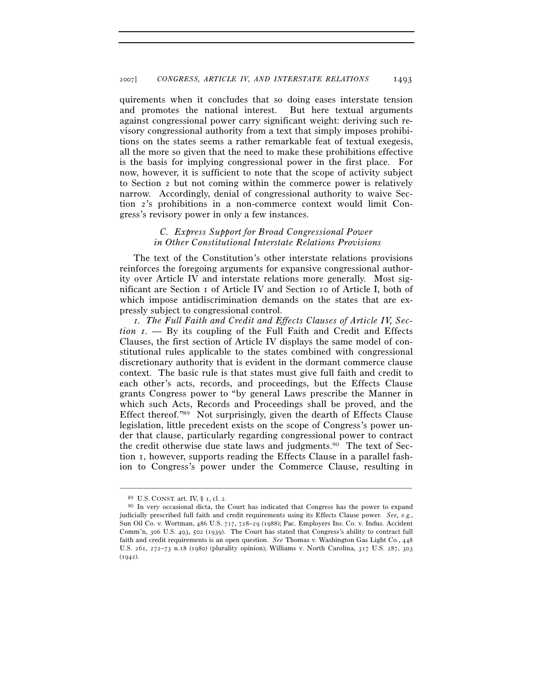quirements when it concludes that so doing eases interstate tension and promotes the national interest. But here textual arguments against congressional power carry significant weight: deriving such revisory congressional authority from a text that simply imposes prohibitions on the states seems a rather remarkable feat of textual exegesis, all the more so given that the need to make these prohibitions effective is the basis for implying congressional power in the first place. For now, however, it is sufficient to note that the scope of activity subject to Section 2 but not coming within the commerce power is relatively narrow. Accordingly, denial of congressional authority to waive Section 2's prohibitions in a non-commerce context would limit Congress's revisory power in only a few instances.

### *C. Express Support for Broad Congressional Power in Other Constitutional Interstate Relations Provisions*

The text of the Constitution's other interstate relations provisions reinforces the foregoing arguments for expansive congressional authority over Article IV and interstate relations more generally. Most significant are Section 1 of Article IV and Section 10 of Article I, both of which impose antidiscrimination demands on the states that are expressly subject to congressional control.

*1. The Full Faith and Credit and Effects Clauses of Article IV, Section 1. —* By its coupling of the Full Faith and Credit and Effects Clauses, the first section of Article IV displays the same model of constitutional rules applicable to the states combined with congressional discretionary authority that is evident in the dormant commerce clause context. The basic rule is that states must give full faith and credit to each other's acts, records, and proceedings, but the Effects Clause grants Congress power to "by general Laws prescribe the Manner in which such Acts, Records and Proceedings shall be proved, and the Effect thereof."89 Not surprisingly, given the dearth of Effects Clause legislation, little precedent exists on the scope of Congress's power under that clause, particularly regarding congressional power to contract the credit otherwise due state laws and judgments.90 The text of Section 1, however, supports reading the Effects Clause in a parallel fashion to Congress's power under the Commerce Clause, resulting in

<sup>89</sup> U.S. CONST. art. IV, § 1, cl. 2.

<sup>90</sup> In very occasional dicta, the Court has indicated that Congress has the power to expand judicially prescribed full faith and credit requirements using its Effects Clause power. *See, e.g.*, Sun Oil Co. v. Wortman, 486 U.S. 717, 728–29 (1988); Pac. Employers Ins. Co. v. Indus. Accident Comm'n, 306 U.S. 493, 502 (1939). The Court has stated that Congress's ability to contract full faith and credit requirements is an open question. *See* Thomas v. Washington Gas Light Co., 448 U.S. 261, 272–73 n.18 (1980) (plurality opinion); Williams v. North Carolina, 317 U.S. 287, 303  $(1942)$ .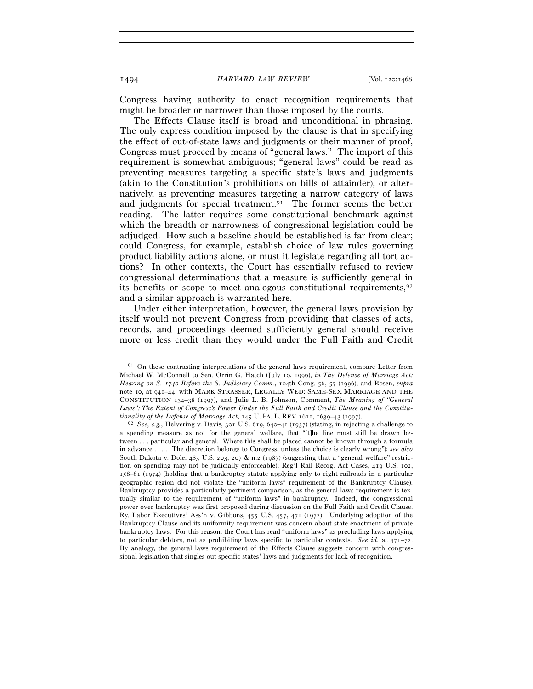Congress having authority to enact recognition requirements that might be broader or narrower than those imposed by the courts.

The Effects Clause itself is broad and unconditional in phrasing. The only express condition imposed by the clause is that in specifying the effect of out-of-state laws and judgments or their manner of proof, Congress must proceed by means of "general laws." The import of this requirement is somewhat ambiguous; "general laws" could be read as preventing measures targeting a specific state's laws and judgments (akin to the Constitution's prohibitions on bills of attainder), or alternatively, as preventing measures targeting a narrow category of laws and judgments for special treatment.<sup>91</sup> The former seems the better reading. The latter requires some constitutional benchmark against which the breadth or narrowness of congressional legislation could be adjudged. How such a baseline should be established is far from clear; could Congress, for example, establish choice of law rules governing product liability actions alone, or must it legislate regarding all tort actions? In other contexts, the Court has essentially refused to review congressional determinations that a measure is sufficiently general in its benefits or scope to meet analogous constitutional requirements,  $92$ and a similar approach is warranted here.

Under either interpretation, however, the general laws provision by itself would not prevent Congress from providing that classes of acts, records, and proceedings deemed sufficiently general should receive more or less credit than they would under the Full Faith and Credit

<sup>&</sup>lt;sup>91</sup> On these contrasting interpretations of the general laws requirement, compare Letter from Michael W. McConnell to Sen. Orrin G. Hatch (July 10, 1996), *in The Defense of Marriage Act: Hearing on S. 1740 Before the S. Judiciary Comm.*, 104th Cong. 56, 57 (1996), and Rosen, *supra* note 10, at 941–44, with MARK STRASSER, LEGALLY WED: SAME-SEX MARRIAGE AND THE CONSTITUTION 134–38 (1997), and Julie L. B. Johnson, Comment, *The Meaning of "General*  Laws": The Extent of Congress's Power Under the Full Faith and Credit Clause and the Constitutionality of the Defense of Marriage Act, 145 U. PA. L. REV. 1611, 1639–43 (1997).

<sup>&</sup>lt;sup>92</sup> See, e.g., Helvering v. Davis, 301 U.S. 619, 640–41 (1937) (stating, in rejecting a challenge to a spending measure as not for the general welfare, that "[t]he line must still be drawn between . . . particular and general. Where this shall be placed cannot be known through a formula in advance . . . . The discretion belongs to Congress, unless the choice is clearly wrong"); *see also* South Dakota v. Dole, 483 U.S. 203, 207 & n.2 (1987) (suggesting that a "general welfare" restriction on spending may not be judicially enforceable); Reg'l Rail Reorg. Act Cases, 419 U.S. 102, 158–61 (1974) (holding that a bankruptcy statute applying only to eight railroads in a particular geographic region did not violate the "uniform laws" requirement of the Bankruptcy Clause). Bankruptcy provides a particularly pertinent comparison, as the general laws requirement is textually similar to the requirement of "uniform laws" in bankruptcy. Indeed, the congressional power over bankruptcy was first proposed during discussion on the Full Faith and Credit Clause. Ry. Labor Executives' Ass'n v. Gibbons, 455 U.S. 457, 471 (1972). Underlying adoption of the Bankruptcy Clause and its uniformity requirement was concern about state enactment of private bankruptcy laws. For this reason, the Court has read "uniform laws" as precluding laws applying to particular debtors, not as prohibiting laws specific to particular contexts. *See id.* at 471–72. By analogy, the general laws requirement of the Effects Clause suggests concern with congressional legislation that singles out specific states' laws and judgments for lack of recognition.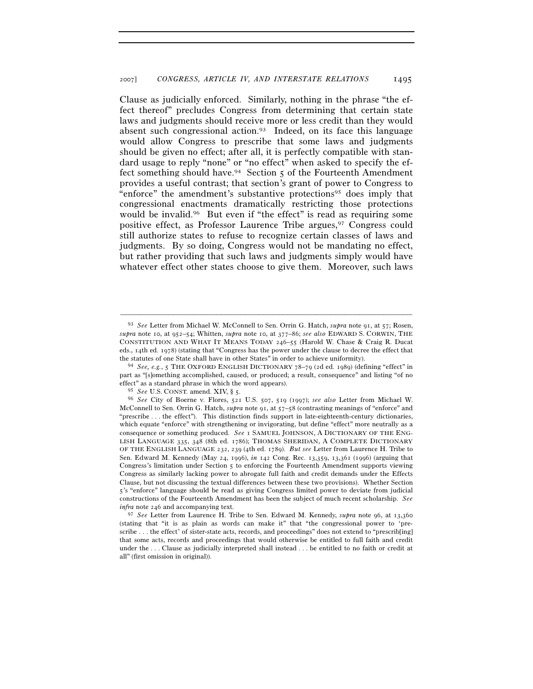Clause as judicially enforced. Similarly, nothing in the phrase "the effect thereof" precludes Congress from determining that certain state laws and judgments should receive more or less credit than they would absent such congressional action.<sup>93</sup> Indeed, on its face this language would allow Congress to prescribe that some laws and judgments should be given no effect; after all, it is perfectly compatible with standard usage to reply "none" or "no effect" when asked to specify the effect something should have.<sup>94</sup> Section 5 of the Fourteenth Amendment provides a useful contrast; that section's grant of power to Congress to "enforce" the amendment's substantive protections<sup>95</sup> does imply that congressional enactments dramatically restricting those protections would be invalid.<sup>96</sup> But even if "the effect" is read as requiring some positive effect, as Professor Laurence Tribe argues,<sup>97</sup> Congress could still authorize states to refuse to recognize certain classes of laws and judgments. By so doing, Congress would not be mandating no effect, but rather providing that such laws and judgments simply would have whatever effect other states choose to give them. Moreover, such laws

<sup>93</sup> *See* Letter from Michael W. McConnell to Sen. Orrin G. Hatch, *supra* note 91, at 57; Rosen, *supra* note 10, at 952–54; Whitten, *supra* note 10, at 377–86; *see also* EDWARD S. CORWIN, THE CONSTITUTION AND WHAT IT MEANS TODAY 246–55 (Harold W. Chase & Craig R. Ducat eds., 14th ed. 1978) (stating that "Congress has the power under the clause to decree the effect that the statutes of one State shall have in other States" in order to achieve uniformity).<br><sup>94</sup> *See, e.g.*, 5 THE OXFORD ENGLISH DICTIONARY 78–79 (2d ed. 1989) (defining "effect" in

part as "[s]omething accomplished, caused, or produced; a result, consequence" and listing "of no effect" as a standard phrase in which the word appears).

<sup>95</sup> *See* U.S. CONST. amend. XIV, § 5.

<sup>96</sup> *See* City of Boerne v. Flores, 521 U.S. 507, 519 (1997); *see also* Letter from Michael W. McConnell to Sen. Orrin G. Hatch, *supra* note 91, at 57–58 (contrasting meanings of "enforce" and "prescribe . . . the effect"). This distinction finds support in late-eighteenth-century dictionaries, which equate "enforce" with strengthening or invigorating, but define "effect" more neutrally as a consequence or something produced. *See* 1 SAMUEL JOHNSON, A DICTIONARY OF THE ENG-LISH LANGUAGE 335, 348 (8th ed. 1786); THOMAS SHERIDAN, A COMPLETE DICTIONARY OF THE ENGLISH LANGUAGE 232, 239 (4th ed. 1789). *But see* Letter from Laurence H. Tribe to Sen. Edward M. Kennedy (May 24, 1996), *in* 142 Cong. Rec. 13,359, 13,361 (1996) (arguing that Congress's limitation under Section 5 to enforcing the Fourteenth Amendment supports viewing Congress as similarly lacking power to abrogate full faith and credit demands under the Effects Clause, but not discussing the textual differences between these two provisions). Whether Section 5's "enforce" language should be read as giving Congress limited power to deviate from judicial constructions of the Fourteenth Amendment has been the subject of much recent scholarship. *See infra* note 246 and accompanying text.

<sup>97</sup> *See* Letter from Laurence H. Tribe to Sen. Edward M. Kennedy, *supra* note 96, at 13,360 (stating that "it is as plain as words can make it" that "the congressional power to 'prescribe . . . the effect' of sister-state acts, records, and proceedings" does not extend to "prescrib[ing] that some acts, records and proceedings that would otherwise be entitled to full faith and credit under the . . . Clause as judicially interpreted shall instead . . . be entitled to no faith or credit at all" (first omission in original)).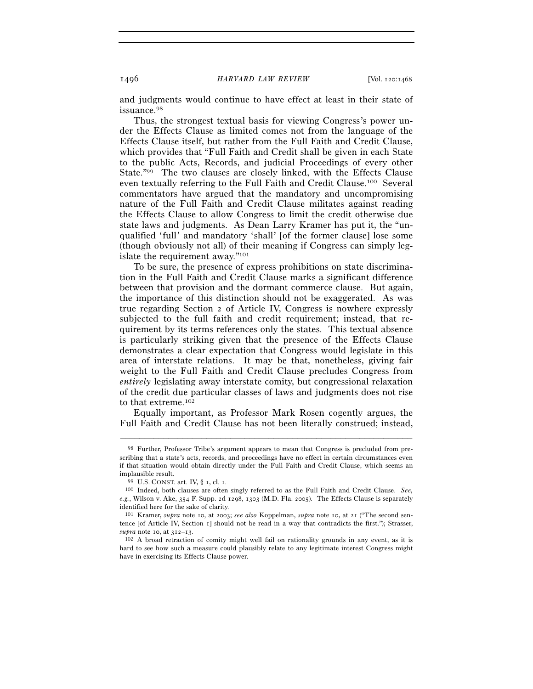and judgments would continue to have effect at least in their state of issuance.98

Thus, the strongest textual basis for viewing Congress's power under the Effects Clause as limited comes not from the language of the Effects Clause itself, but rather from the Full Faith and Credit Clause, which provides that "Full Faith and Credit shall be given in each State to the public Acts, Records, and judicial Proceedings of every other State."99 The two clauses are closely linked, with the Effects Clause even textually referring to the Full Faith and Credit Clause.100 Several commentators have argued that the mandatory and uncompromising nature of the Full Faith and Credit Clause militates against reading the Effects Clause to allow Congress to limit the credit otherwise due state laws and judgments. As Dean Larry Kramer has put it, the "unqualified 'full' and mandatory 'shall' [of the former clause] lose some (though obviously not all) of their meaning if Congress can simply legislate the requirement away."101

To be sure, the presence of express prohibitions on state discrimination in the Full Faith and Credit Clause marks a significant difference between that provision and the dormant commerce clause. But again, the importance of this distinction should not be exaggerated. As was true regarding Section 2 of Article IV, Congress is nowhere expressly subjected to the full faith and credit requirement; instead, that requirement by its terms references only the states. This textual absence is particularly striking given that the presence of the Effects Clause demonstrates a clear expectation that Congress would legislate in this area of interstate relations. It may be that, nonetheless, giving fair weight to the Full Faith and Credit Clause precludes Congress from *entirely* legislating away interstate comity, but congressional relaxation of the credit due particular classes of laws and judgments does not rise to that extreme.102

Equally important, as Professor Mark Rosen cogently argues, the Full Faith and Credit Clause has not been literally construed; instead,

<sup>98</sup> Further, Professor Tribe's argument appears to mean that Congress is precluded from prescribing that a state's acts, records, and proceedings have no effect in certain circumstances even if that situation would obtain directly under the Full Faith and Credit Clause, which seems an

implausible result. 99 U.S. CONST. art. IV, § 1, cl. 1. 100 Indeed, both clauses are often singly referred to as the Full Faith and Credit Clause. *See, e.g.*, Wilson v. Ake, 354 F. Supp. 2d 1298, 1303 (M.D. Fla. 2005). The Effects Clause is separately identified here for the sake of clarity.

<sup>101</sup> Kramer, *supra* note 10, at 2003; *see also* Koppelman, *supra* note 10, at 21 ("The second sentence [of Article IV, Section 1] should not be read in a way that contradicts the first."); Strasser, *supra* note 10, at  $312-13$ .<br><sup>102</sup> A broad retraction of comity might well fail on rationality grounds in any event, as it is

hard to see how such a measure could plausibly relate to any legitimate interest Congress might have in exercising its Effects Clause power.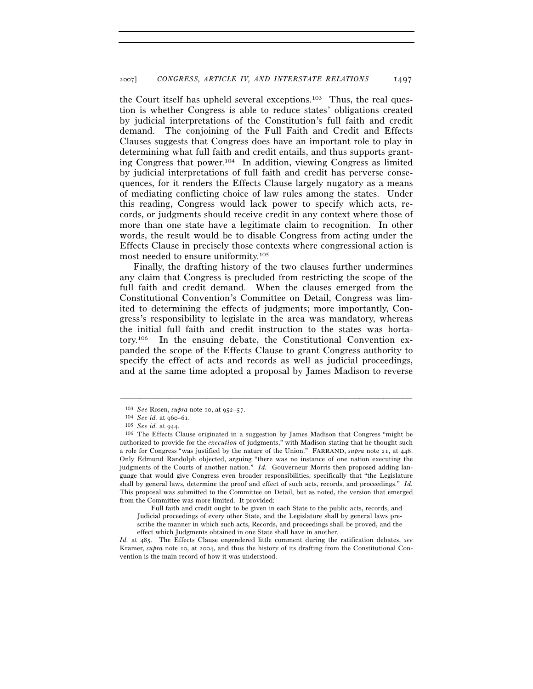the Court itself has upheld several exceptions.103 Thus, the real question is whether Congress is able to reduce states' obligations created by judicial interpretations of the Constitution's full faith and credit demand. The conjoining of the Full Faith and Credit and Effects Clauses suggests that Congress does have an important role to play in determining what full faith and credit entails, and thus supports granting Congress that power.104 In addition, viewing Congress as limited by judicial interpretations of full faith and credit has perverse consequences, for it renders the Effects Clause largely nugatory as a means of mediating conflicting choice of law rules among the states. Under this reading, Congress would lack power to specify which acts, records, or judgments should receive credit in any context where those of more than one state have a legitimate claim to recognition. In other words, the result would be to disable Congress from acting under the Effects Clause in precisely those contexts where congressional action is most needed to ensure uniformity.105

Finally, the drafting history of the two clauses further undermines any claim that Congress is precluded from restricting the scope of the full faith and credit demand. When the clauses emerged from the Constitutional Convention's Committee on Detail, Congress was limited to determining the effects of judgments; more importantly, Congress's responsibility to legislate in the area was mandatory, whereas the initial full faith and credit instruction to the states was hortatory.106 In the ensuing debate, the Constitutional Convention expanded the scope of the Effects Clause to grant Congress authority to specify the effect of acts and records as well as judicial proceedings, and at the same time adopted a proposal by James Madison to reverse

–––––––––––––––––––––––––––––––––––––––––––––––––––––––––––––

 Full faith and credit ought to be given in each State to the public acts, records, and Judicial proceedings of every other State, and the Legislature shall by general laws prescribe the manner in which such acts, Records, and proceedings shall be proved, and the effect which Judgments obtained in one State shall have in another.

*Id.* at 485. The Effects Clause engendered little comment during the ratification debates, *see* Kramer, *supra* note 10, at 2004, and thus the history of its drafting from the Constitutional Convention is the main record of how it was understood.

<sup>103</sup> *See* Rosen, *supra* note 10, at 952–57.<br>
<sup>104</sup> *See id.* at 960–61.<br>
<sup>105</sup> *See id.* at 944.<br>
<sup>106</sup> The Effects Clause originated in a suggestion by James Madison that Congress "might be authorized to provide for the *execution* of judgments," with Madison stating that he thought such a role for Congress "was justified by the nature of the Union." FARRAND, *supra* note 21, at 448. Only Edmund Randolph objected, arguing "there was no instance of one nation executing the judgments of the Courts of another nation." *Id.* Gouverneur Morris then proposed adding language that would give Congress even broader responsibilities, specifically that "the Legislature shall by general laws, determine the proof and effect of such acts, records, and proceedings." *Id.* This proposal was submitted to the Committee on Detail, but as noted, the version that emerged from the Committee was more limited. It provided: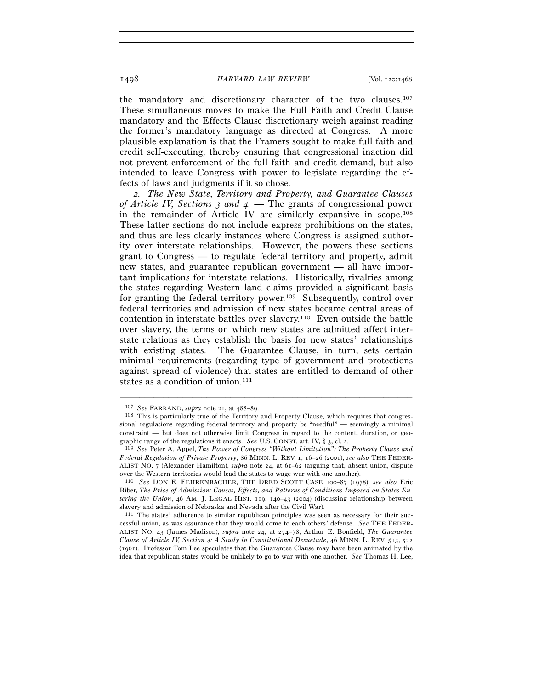the mandatory and discretionary character of the two clauses.107 These simultaneous moves to make the Full Faith and Credit Clause mandatory and the Effects Clause discretionary weigh against reading the former's mandatory language as directed at Congress. A more plausible explanation is that the Framers sought to make full faith and credit self-executing, thereby ensuring that congressional inaction did not prevent enforcement of the full faith and credit demand, but also intended to leave Congress with power to legislate regarding the effects of laws and judgments if it so chose.

*2. The New State, Territory and Property, and Guarantee Clauses of Article IV, Sections 3 and 4. —* The grants of congressional power in the remainder of Article IV are similarly expansive in scope.108 These latter sections do not include express prohibitions on the states, and thus are less clearly instances where Congress is assigned authority over interstate relationships. However, the powers these sections grant to Congress — to regulate federal territory and property, admit new states, and guarantee republican government — all have important implications for interstate relations. Historically, rivalries among the states regarding Western land claims provided a significant basis for granting the federal territory power.109 Subsequently, control over federal territories and admission of new states became central areas of contention in interstate battles over slavery.110 Even outside the battle over slavery, the terms on which new states are admitted affect interstate relations as they establish the basis for new states' relationships with existing states. The Guarantee Clause, in turn, sets certain minimal requirements (regarding type of government and protections against spread of violence) that states are entitled to demand of other states as a condition of union.<sup>111</sup>

<sup>&</sup>lt;sup>107</sup> *See* FARRAND, *supra* note 21, at 488–89.<br><sup>108</sup> This is particularly true of the Territory and Property Clause, which requires that congressional regulations regarding federal territory and property be "needful" — seemingly a minimal constraint — but does not otherwise limit Congress in regard to the content, duration, or geographic range of the regulations it enacts. *See* U.S. CONST. art. IV, § 3, cl. 2. 109 *See* Peter A. Appel, *The Power of Congress "Without Limitation": The Property Clause and* 

*Federal Regulation of Private Property*, 86 MINN. L. REV. 1, 16–26 (2001); *see also* THE FEDER-ALIST NO. 7 (Alexander Hamilton), *supra* note 24, at 61–62 (arguing that, absent union, dispute over the Western territories would lead the states to wage war with one another).

<sup>110</sup> *See* DON E. FEHRENBACHER, THE DRED SCOTT CASE 100–87 (1978); *see also* Eric Biber, *The Price of Admission: Causes, Effects, and Patterns of Conditions Imposed on States Entering the Union*, 46 AM. J. LEGAL HIST. 119, 140–43 (2004) (discussing relationship between slavery and admission of Nebraska and Nevada after the Civil War).

<sup>111</sup> The states' adherence to similar republican principles was seen as necessary for their successful union, as was assurance that they would come to each others' defense. *See* THE FEDER-ALIST NO. 43 (James Madison), *supra* note 24, at 274–78; Arthur E. Bonfield, *The Guarantee Clause of Article IV, Section 4: A Study in Constitutional Desuetude*, 46 MINN. L. REV. 513, 522 (1961). Professor Tom Lee speculates that the Guarantee Clause may have been animated by the idea that republican states would be unlikely to go to war with one another. *See* Thomas H. Lee,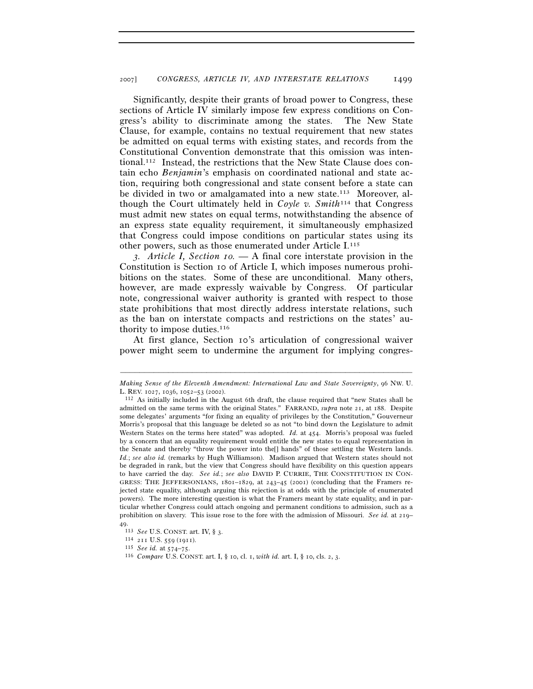Significantly, despite their grants of broad power to Congress, these sections of Article IV similarly impose few express conditions on Congress's ability to discriminate among the states. The New State Clause, for example, contains no textual requirement that new states be admitted on equal terms with existing states, and records from the Constitutional Convention demonstrate that this omission was intentional.112 Instead, the restrictions that the New State Clause does contain echo *Benjamin*'s emphasis on coordinated national and state action, requiring both congressional and state consent before a state can be divided in two or amalgamated into a new state.<sup>113</sup> Moreover, although the Court ultimately held in *Coyle v. Smith*114 that Congress must admit new states on equal terms, notwithstanding the absence of an express state equality requirement, it simultaneously emphasized that Congress could impose conditions on particular states using its other powers, such as those enumerated under Article I.115

*3. Article I, Section 10. —* A final core interstate provision in the Constitution is Section 10 of Article I, which imposes numerous prohibitions on the states. Some of these are unconditional. Many others, however, are made expressly waivable by Congress. Of particular note, congressional waiver authority is granted with respect to those state prohibitions that most directly address interstate relations, such as the ban on interstate compacts and restrictions on the states' authority to impose duties.<sup>116</sup>

At first glance, Section 10's articulation of congressional waiver power might seem to undermine the argument for implying congres-

<sup>–––––––––––––––––––––––––––––––––––––––––––––––––––––––––––––</sup> *Making Sense of the Eleventh Amendment: International Law and State Sovereignty*, 96 NW. U. L. REV. 1027, 1036, 1052–53 (2002). 112 As initially included in the August 6th draft, the clause required that "new States shall be

admitted on the same terms with the original States." FARRAND, *supra* note 21, at 188. Despite some delegates' arguments "for fixing an equality of privileges by the Constitution," Gouverneur Morris's proposal that this language be deleted so as not "to bind down the Legislature to admit Western States on the terms here stated" was adopted. *Id.* at 454. Morris's proposal was fueled by a concern that an equality requirement would entitle the new states to equal representation in the Senate and thereby "throw the power into the[] hands" of those settling the Western lands. *Id.*; *see also id.* (remarks by Hugh Williamson). Madison argued that Western states should not be degraded in rank, but the view that Congress should have flexibility on this question appears to have carried the day. *See id.*; *see also* DAVID P. CURRIE, THE CONSTITUTION IN CON-GRESS: THE JEFFERSONIANS, 1801–1829, at 243–45 (2001) (concluding that the Framers rejected state equality, although arguing this rejection is at odds with the principle of enumerated powers). The more interesting question is what the Framers meant by state equality, and in particular whether Congress could attach ongoing and permanent conditions to admission, such as a prohibition on slavery. This issue rose to the fore with the admission of Missouri. *See id.* at 219–

<sup>49.&</sup>lt;br> $113 \text{ See U.S. CONST. art. IV, § } 3.$ 

<sup>114 211</sup> U.S. 559 (1911).<br><sup>115</sup> *See id.* at 574–75.<br><sup>116</sup> *Compare* U.S. CONST. art. I, § 10, cl. 1, *with id.* art. I, § 10, cls. 2, 3.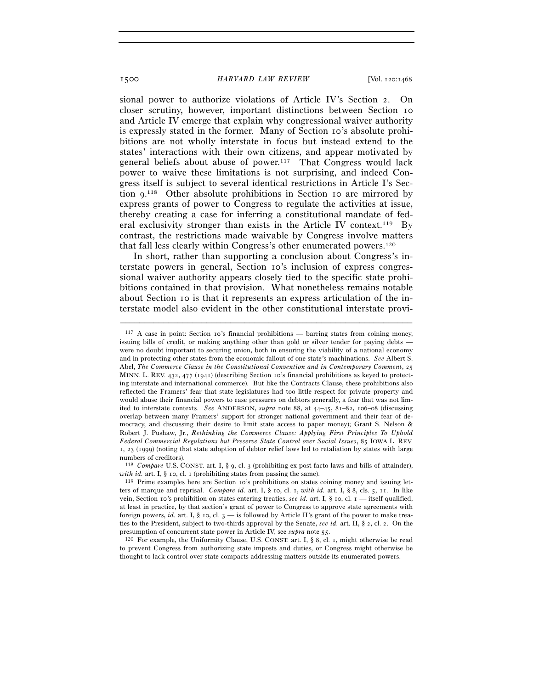sional power to authorize violations of Article IV's Section 2. On closer scrutiny, however, important distinctions between Section 10 and Article IV emerge that explain why congressional waiver authority is expressly stated in the former. Many of Section 10's absolute prohibitions are not wholly interstate in focus but instead extend to the states' interactions with their own citizens, and appear motivated by general beliefs about abuse of power.<sup>117</sup> That Congress would lack power to waive these limitations is not surprising, and indeed Congress itself is subject to several identical restrictions in Article I's Section 9. 118 Other absolute prohibitions in Section 10 are mirrored by express grants of power to Congress to regulate the activities at issue, thereby creating a case for inferring a constitutional mandate of federal exclusivity stronger than exists in the Article IV context.<sup>119</sup> By contrast, the restrictions made waivable by Congress involve matters that fall less clearly within Congress's other enumerated powers.120

In short, rather than supporting a conclusion about Congress's interstate powers in general, Section 10's inclusion of express congressional waiver authority appears closely tied to the specific state prohibitions contained in that provision. What nonetheless remains notable about Section 10 is that it represents an express articulation of the interstate model also evident in the other constitutional interstate provi-

–––––––––––––––––––––––––––––––––––––––––––––––––––––––––––––

to prevent Congress from authorizing state imposts and duties, or Congress might otherwise be thought to lack control over state compacts addressing matters outside its enumerated powers.

 $117$  A case in point: Section 10's financial prohibitions — barring states from coining money, issuing bills of credit, or making anything other than gold or silver tender for paying debts were no doubt important to securing union, both in ensuring the viability of a national economy and in protecting other states from the economic fallout of one state's machinations. *See* Albert S. Abel, *The Commerce Clause in the Constitutional Convention and in Contemporary Comment*, 25 MINN. L. REV. 432, 477 (1941) (describing Section 10's financial prohibitions as keyed to protecting interstate and international commerce). But like the Contracts Clause, these prohibitions also reflected the Framers' fear that state legislatures had too little respect for private property and would abuse their financial powers to ease pressures on debtors generally, a fear that was not limited to interstate contexts. *See* ANDERSON, *supra* note 88, at 44–45, 81–82, 106–08 (discussing overlap between many Framers' support for stronger national government and their fear of democracy, and discussing their desire to limit state access to paper money); Grant S. Nelson & Robert J. Pushaw, Jr., *Rethinking the Commerce Clause: Applying First Principles To Uphold Federal Commercial Regulations but Preserve State Control over Social Issues*, 85 IOWA L. REV. 1, 23 (1999) (noting that state adoption of debtor relief laws led to retaliation by states with large numbers of creditors).

<sup>118</sup> *Compare* U.S. CONST. art. I, § 9, cl. 3 (prohibiting ex post facto laws and bills of attainder), *with id.* art. I, § 10, cl. 1 (prohibiting states from passing the same).<br><sup>119</sup> Prime examples here are Section 10's prohibitions on states coining money and issuing let-

ters of marque and reprisal. *Compare id.* art. I, § 10, cl. 1, *with id.* art. I, § 8, cls. 5, 11. In like vein, Section 10's prohibition on states entering treaties, *see id.* art. I, § 10, cl. 1 — itself qualified, at least in practice, by that section's grant of power to Congress to approve state agreements with foreign powers, *id.* art. I,  $\S$  10, cl.  $3$  — is followed by Article II's grant of the power to make treaties to the President, subject to two-thirds approval by the Senate, *see id.* art. II, § 2, cl. 2. On the presumption of concurrent state power in Article IV, see *supra* note 55.<br><sup>120</sup> For example, the Uniformity Clause, U.S. CONST. art. I, § 8, cl. 1, might otherwise be read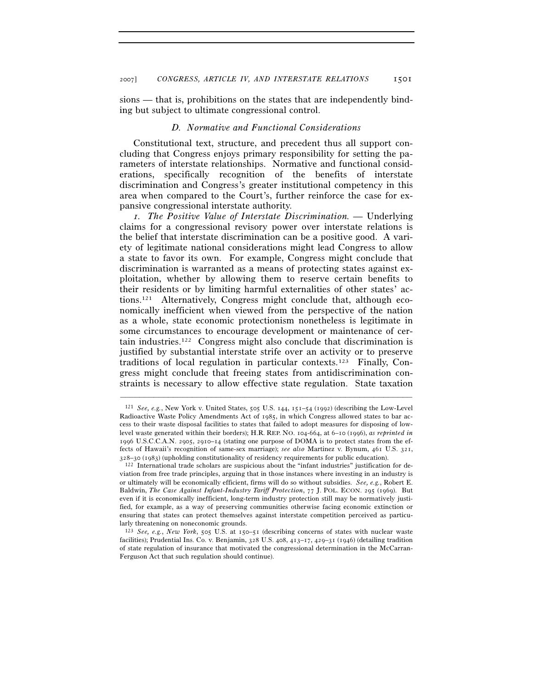sions — that is, prohibitions on the states that are independently binding but subject to ultimate congressional control.

#### *D. Normative and Functional Considerations*

Constitutional text, structure, and precedent thus all support concluding that Congress enjoys primary responsibility for setting the parameters of interstate relationships. Normative and functional considerations, specifically recognition of the benefits of interstate discrimination and Congress's greater institutional competency in this area when compared to the Court's, further reinforce the case for expansive congressional interstate authority.

*1. The Positive Value of Interstate Discrimination. —* Underlying claims for a congressional revisory power over interstate relations is the belief that interstate discrimination can be a positive good. A variety of legitimate national considerations might lead Congress to allow a state to favor its own. For example, Congress might conclude that discrimination is warranted as a means of protecting states against exploitation, whether by allowing them to reserve certain benefits to their residents or by limiting harmful externalities of other states' actions.121 Alternatively, Congress might conclude that, although economically inefficient when viewed from the perspective of the nation as a whole, state economic protectionism nonetheless is legitimate in some circumstances to encourage development or maintenance of certain industries.122 Congress might also conclude that discrimination is justified by substantial interstate strife over an activity or to preserve traditions of local regulation in particular contexts.123 Finally, Congress might conclude that freeing states from antidiscrimination constraints is necessary to allow effective state regulation. State taxation

<sup>121</sup> *See, e.g.*, New York v. United States, 505 U.S. 144, 151–54 (1992) (describing the Low-Level Radioactive Waste Policy Amendments Act of 1985, in which Congress allowed states to bar access to their waste disposal facilities to states that failed to adopt measures for disposing of lowlevel waste generated within their borders); H.R. REP. NO. 104-664, at 6–10 (1996), *as reprinted in* 1996 U.S.C.C.A.N. 2905, 2910–14 (stating one purpose of DOMA is to protect states from the effects of Hawaii's recognition of same-sex marriage); *see also* Martinez v. Bynum, 461 U.S. 321,

 $122$  International trade scholars are suspicious about the "infant industries" justification for deviation from free trade principles, arguing that in those instances where investing in an industry is or ultimately will be economically efficient, firms will do so without subsidies. *See, e.g.*, Robert E. Baldwin, *The Case Against Infant-Industry Tariff Protection*, 77 J. POL. ECON. 295 (1969). But even if it is economically inefficient, long-term industry protection still may be normatively justified, for example, as a way of preserving communities otherwise facing economic extinction or ensuring that states can protect themselves against interstate competition perceived as particularly threatening on noneconomic grounds.

<sup>123</sup> *See, e.g.*, *New York*, 505 U.S. at 150–51 (describing concerns of states with nuclear waste facilities); Prudential Ins. Co. v. Benjamin, 328 U.S. 408, 413–17, 429–31 (1946) (detailing tradition of state regulation of insurance that motivated the congressional determination in the McCarran-Ferguson Act that such regulation should continue).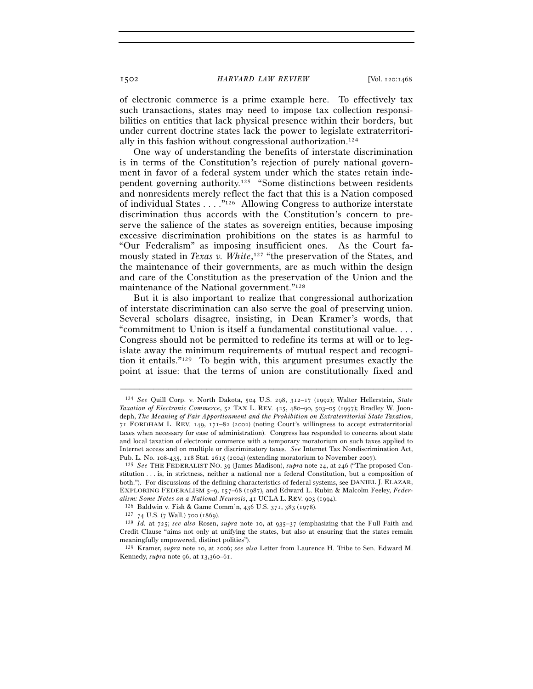of electronic commerce is a prime example here. To effectively tax such transactions, states may need to impose tax collection responsibilities on entities that lack physical presence within their borders, but under current doctrine states lack the power to legislate extraterritorially in this fashion without congressional authorization.124

One way of understanding the benefits of interstate discrimination is in terms of the Constitution's rejection of purely national government in favor of a federal system under which the states retain independent governing authority.125 "Some distinctions between residents and nonresidents merely reflect the fact that this is a Nation composed of individual States . . . ."126 Allowing Congress to authorize interstate discrimination thus accords with the Constitution's concern to preserve the salience of the states as sovereign entities, because imposing excessive discrimination prohibitions on the states is as harmful to "Our Federalism" as imposing insufficient ones. As the Court famously stated in *Texas v. White*, 127 "the preservation of the States, and the maintenance of their governments, are as much within the design and care of the Constitution as the preservation of the Union and the maintenance of the National government."128

But it is also important to realize that congressional authorization of interstate discrimination can also serve the goal of preserving union. Several scholars disagree, insisting, in Dean Kramer's words, that "commitment to Union is itself a fundamental constitutional value. . . . Congress should not be permitted to redefine its terms at will or to legislate away the minimum requirements of mutual respect and recognition it entails."129 To begin with, this argument presumes exactly the point at issue: that the terms of union are constitutionally fixed and

<sup>124</sup> *See* Quill Corp. v. North Dakota, 504 U.S. 298, 312–17 (1992); Walter Hellerstein, *State Taxation of Electronic Commerce*, 52 TAX L. REV. 425, 480–90, 503–05 (1997); Bradley W. Joondeph, *The Meaning of Fair Apportionment and the Prohibition on Extraterritorial State Taxation*, 71 FORDHAM L. REV. 149, 171–82 (2002) (noting Court's willingness to accept extraterritorial taxes when necessary for ease of administration). Congress has responded to concerns about state and local taxation of electronic commerce with a temporary moratorium on such taxes applied to Internet access and on multiple or discriminatory taxes. *See* Internet Tax Nondiscrimination Act,

<sup>&</sup>lt;sup>125</sup> See THE FEDERALIST NO. 39 (James Madison), *supra* note 24, at 246 ("The proposed Constitution . . . is, in strictness, neither a national nor a federal Constitution, but a composition of both."). For discussions of the defining characteristics of federal systems, see DANIEL J. ELAZAR, EXPLORING FEDERALISM 5–9, 157–68 (1987), and Edward L. Rubin & Malcolm Feeley, *Feder-*

<sup>&</sup>lt;sup>126</sup> Baldwin v. Fish & Game Comm'n, 436 U.S. 371, 383 (1978).<br><sup>127</sup> 74 U.S. (7 Wall.) 700 (1869).<br><sup>128</sup> *Id.* at 725; *see also* Rosen, *supra* note 10, at 935–37 (emphasizing that the Full Faith and Credit Clause "aims not only at unifying the states, but also at ensuring that the states remain meaningfully empowered, distinct polities").

<sup>129</sup> Kramer, *supra* note 10, at 2006; *see also* Letter from Laurence H. Tribe to Sen. Edward M. Kennedy, *supra* note 96, at 13,360–61.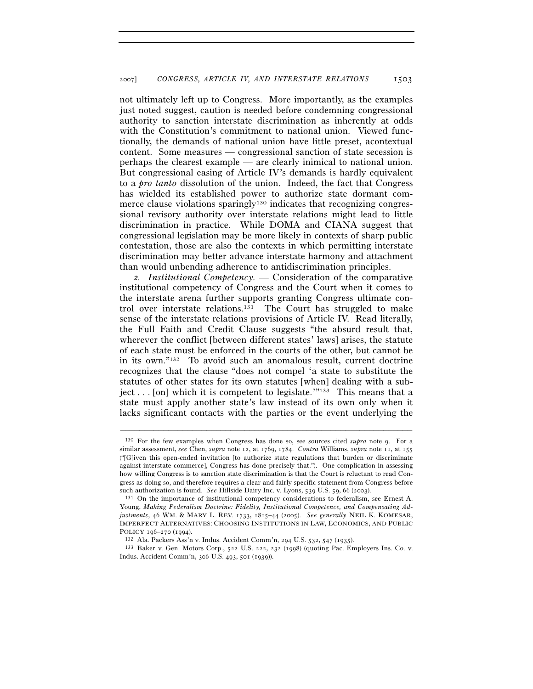not ultimately left up to Congress. More importantly, as the examples just noted suggest, caution is needed before condemning congressional authority to sanction interstate discrimination as inherently at odds with the Constitution's commitment to national union. Viewed functionally, the demands of national union have little preset, acontextual content. Some measures — congressional sanction of state secession is perhaps the clearest example — are clearly inimical to national union. But congressional easing of Article IV's demands is hardly equivalent to a *pro tanto* dissolution of the union. Indeed, the fact that Congress has wielded its established power to authorize state dormant commerce clause violations sparingly<sup>130</sup> indicates that recognizing congressional revisory authority over interstate relations might lead to little discrimination in practice. While DOMA and CIANA suggest that congressional legislation may be more likely in contexts of sharp public contestation, those are also the contexts in which permitting interstate discrimination may better advance interstate harmony and attachment than would unbending adherence to antidiscrimination principles.

*2. Institutional Competency. —* Consideration of the comparative institutional competency of Congress and the Court when it comes to the interstate arena further supports granting Congress ultimate control over interstate relations.<sup>131</sup> The Court has struggled to make sense of the interstate relations provisions of Article IV. Read literally, the Full Faith and Credit Clause suggests "the absurd result that, wherever the conflict [between different states' laws] arises, the statute of each state must be enforced in the courts of the other, but cannot be in its own."132 To avoid such an anomalous result, current doctrine recognizes that the clause "does not compel 'a state to substitute the statutes of other states for its own statutes [when] dealing with a subject . . . [on] which it is competent to legislate.'"133 This means that a state must apply another state's law instead of its own only when it lacks significant contacts with the parties or the event underlying the

<sup>130</sup> For the few examples when Congress has done so, see sources cited *supra* note 9. For a similar assessment, *see* Chen, *supra* note 12, at 1769, 1784. *Contra* Williams, *supra* note 11, at 155 ("[G]iven this open-ended invitation [to authorize state regulations that burden or discriminate against interstate commerce], Congress has done precisely that."). One complication in assessing how willing Congress is to sanction state discrimination is that the Court is reluctant to read Congress as doing so, and therefore requires a clear and fairly specific statement from Congress before such authorization is found. *See* Hillside Dairy Inc. v. Lyons, 539 U.S. 59, 66 (2003). 131 On the importance of institutional competency considerations to federalism, see Ernest A.

Young, *Making Federalism Doctrine: Fidelity, Institutional Competence, and Compensating Adjustments*, 46 WM. & MARY L. REV. 1733, 1815–44 (2005). *See generally* NEIL K. KOMESAR, IMPERFECT ALTERNATIVES: CHOOSING INSTITUTIONS IN LAW, ECONOMICS, AND PUBLIC POLICY <sup>196</sup>–270 (1994). 132 Ala. Packers Ass'n v. Indus. Accident Comm'n, 294 U.S. 532, 547 (1935). 133 Baker v. Gen. Motors Corp., 522 U.S. 222, 232 (1998) (quoting Pac. Employers Ins. Co. v.

Indus. Accident Comm'n, 306 U.S. 493, 501 (1939)).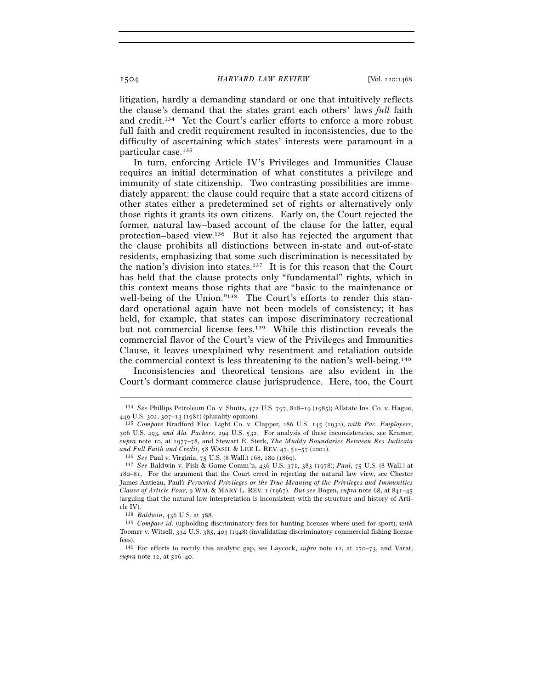litigation, hardly a demanding standard or one that intuitively reflects the clause's demand that the states grant each others' laws *full* faith and credit.134 Yet the Court's earlier efforts to enforce a more robust full faith and credit requirement resulted in inconsistencies, due to the difficulty of ascertaining which states' interests were paramount in a particular case.135

In turn, enforcing Article IV's Privileges and Immunities Clause requires an initial determination of what constitutes a privilege and immunity of state citizenship. Two contrasting possibilities are immediately apparent: the clause could require that a state accord citizens of other states either a predetermined set of rights or alternatively only those rights it grants its own citizens. Early on, the Court rejected the former, natural law–based account of the clause for the latter, equal protection–based view.136 But it also has rejected the argument that the clause prohibits all distinctions between in-state and out-of-state residents, emphasizing that some such discrimination is necessitated by the nation's division into states.<sup>137</sup> It is for this reason that the Court has held that the clause protects only "fundamental" rights, which in this context means those rights that are "basic to the maintenance or well-being of the Union."<sup>138</sup> The Court's efforts to render this standard operational again have not been models of consistency; it has held, for example, that states can impose discriminatory recreational but not commercial license fees.139 While this distinction reveals the commercial flavor of the Court's view of the Privileges and Immunities Clause, it leaves unexplained why resentment and retaliation outside the commercial context is less threatening to the nation's well-being.140

Inconsistencies and theoretical tensions are also evident in the Court's dormant commerce clause jurisprudence. Here, too, the Court

<sup>–––––––––––––––––––––––––––––––––––––––––––––––––––––––––––––</sup> 134 *See* Phillips Petroleum Co. v. Shutts, 472 U.S. 797, 818–19 (1985); Allstate Ins. Co. v. Hague,

<sup>449</sup> U.S. 302, 307–13 (1981) (plurality opinion). 135 *Compare* Bradford Elec. Light Co. v. Clapper, 286 U.S. 145 (1932), *with Pac. Employers*, 306 U.S. 493*, and Ala. Packers*, 294 U.S. 532. For analysis of these inconsistencies, see Kramer, *supra* note 10, at 1977–78, and Stewart E. Sterk, *The Muddy Boundaries Between Res Judicata and Full Faith and Credit*, 58 WASH. & LEE L. REV. 47, 51–57 (2001). 136 *See* Paul v. Virginia, 75 U.S. (8 Wall.) 168, 180 (1869).

<sup>137</sup> *See* Baldwin v. Fish & Game Comm'n, 436 U.S. 371, 383 (1978); *Paul*, 75 U.S. (8 Wall.) at 180–81. For the argument that the Court erred in rejecting the natural law view, see Chester James Antieau, Paul*'s Perverted Privileges or the True Meaning of the Privileges and Immunities Clause of Article Four*, 9 WM. & MARY L. REV. 1 (1967). *But see* Bogen, *supra* note 68, at 841–45 (arguing that the natural law interpretation is inconsistent with the structure and history of Article IV).<br> $138$  Baldwin, 436 U.S. at 388.

<sup>&</sup>lt;sup>139</sup> *Compare id.* (upholding discriminatory fees for hunting licenses where used for sport), *with* Toomer v. Witsell, 334 U.S. 385, 403 (1948) (invalidating discriminatory commercial fishing license fees).

<sup>140</sup> For efforts to rectify this analytic gap, see Laycock, *supra* note 12, at 270–73, and Varat, *supra* note 12, at 516–40.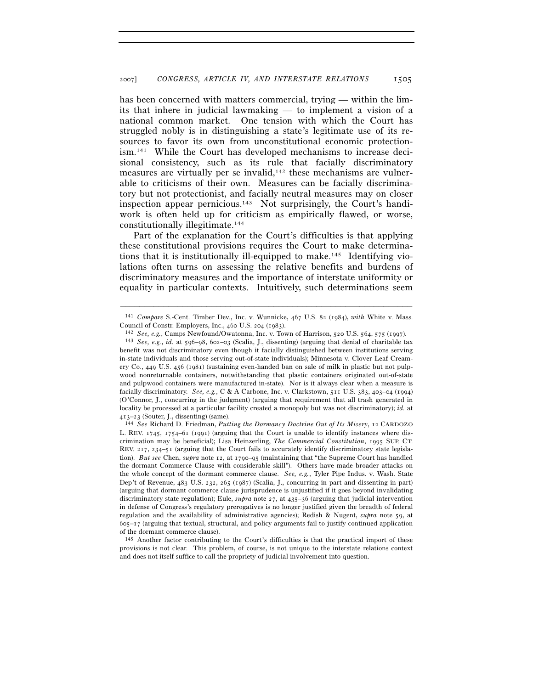has been concerned with matters commercial, trying — within the limits that inhere in judicial lawmaking — to implement a vision of a national common market. One tension with which the Court has struggled nobly is in distinguishing a state's legitimate use of its resources to favor its own from unconstitutional economic protectionism.141 While the Court has developed mechanisms to increase decisional consistency, such as its rule that facially discriminatory measures are virtually per se invalid,<sup>142</sup> these mechanisms are vulnerable to criticisms of their own. Measures can be facially discriminatory but not protectionist, and facially neutral measures may on closer inspection appear pernicious.<sup>143</sup> Not surprisingly, the Court's handiwork is often held up for criticism as empirically flawed, or worse, constitutionally illegitimate.144

Part of the explanation for the Court's difficulties is that applying these constitutional provisions requires the Court to make determinations that it is institutionally ill-equipped to make.145 Identifying violations often turns on assessing the relative benefits and burdens of discriminatory measures and the importance of interstate uniformity or equality in particular contexts. Intuitively, such determinations seem

<sup>–––––––––––––––––––––––––––––––––––––––––––––––––––––––––––––</sup> 141 *Compare* S.-Cent. Timber Dev., Inc. v. Wunnicke, 467 U.S. 82 (1984), *with* White v. Mass.

Council of Constr. Employers, Inc., 460 U.S. 204 (1983).<br><sup>142</sup> See, e.g., Camps Newfound/Owatonna, Inc. v. Town of Harrison, 520 U.S. 564, 575 (1997).<br><sup>143</sup> See, e.g., id. at 596–98, 602–03 (Scalia, J., dissenting) (arguin benefit was not discriminatory even though it facially distinguished between institutions serving in-state individuals and those serving out-of-state individuals); Minnesota v. Clover Leaf Creamery Co., 449 U.S. 456 (1981) (sustaining even-handed ban on sale of milk in plastic but not pulpwood nonreturnable containers, notwithstanding that plastic containers originated out-of-state and pulpwood containers were manufactured in-state). Nor is it always clear when a measure is facially discriminatory. *See, e.g.*, C & A Carbone, Inc. v. Clarkstown, 511 U.S. 383, 403–04 (1994) (O'Connor, J., concurring in the judgment) (arguing that requirement that all trash generated in locality be processed at a particular facility created a monopoly but was not discriminatory); *id.* at

<sup>413</sup>–23 (Souter, J., dissenting) (same). 144 *See* Richard D. Friedman, *Putting the Dormancy Doctrine Out of Its Misery*, 12 CARDOZO L. REV. 1745, 1754–61 (1991) (arguing that the Court is unable to identify instances where discrimination may be beneficial); Lisa Heinzerling, *The Commercial Constitution*, 1995 SUP. CT. REV. 217, 234–51 (arguing that the Court fails to accurately identify discriminatory state legislation). *But see* Chen, *supra* note 12, at 1790–95 (maintaining that "the Supreme Court has handled the dormant Commerce Clause with considerable skill"). Others have made broader attacks on the whole concept of the dormant commerce clause. *See, e.g.*, Tyler Pipe Indus. v. Wash. State Dep't of Revenue, 483 U.S. 232, 265 (1987) (Scalia, J., concurring in part and dissenting in part) (arguing that dormant commerce clause jurisprudence is unjustified if it goes beyond invalidating discriminatory state regulation); Eule, *supra* note 27, at 435–36 (arguing that judicial intervention in defense of Congress's regulatory prerogatives is no longer justified given the breadth of federal regulation and the availability of administrative agencies); Redish & Nugent, *supra* note 59, at  $605-17$  (arguing that textual, structural, and policy arguments fail to justify continued application of the dormant commerce clause).

<sup>145</sup> Another factor contributing to the Court's difficulties is that the practical import of these provisions is not clear. This problem, of course, is not unique to the interstate relations context and does not itself suffice to call the propriety of judicial involvement into question.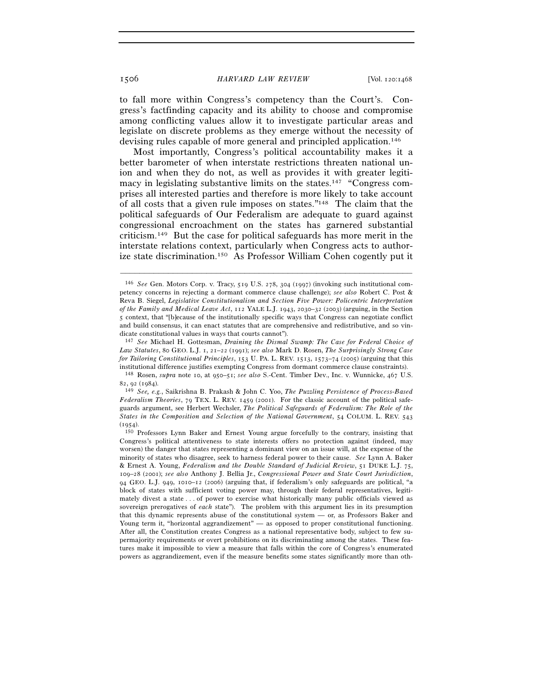to fall more within Congress's competency than the Court's. Congress's factfinding capacity and its ability to choose and compromise among conflicting values allow it to investigate particular areas and legislate on discrete problems as they emerge without the necessity of devising rules capable of more general and principled application.146

Most importantly, Congress's political accountability makes it a better barometer of when interstate restrictions threaten national union and when they do not, as well as provides it with greater legitimacy in legislating substantive limits on the states.147 "Congress comprises all interested parties and therefore is more likely to take account of all costs that a given rule imposes on states."148 The claim that the political safeguards of Our Federalism are adequate to guard against congressional encroachment on the states has garnered substantial criticism.149 But the case for political safeguards has more merit in the interstate relations context, particularly when Congress acts to authorize state discrimination.150 As Professor William Cohen cogently put it

<sup>146</sup> *See* Gen. Motors Corp. v. Tracy, 519 U.S. 278, 304 (1997) (invoking such institutional competency concerns in rejecting a dormant commerce clause challenge); *see also* Robert C. Post & Reva B. Siegel, *Legislative Constitutionalism and Section Five Power: Policentric Interpretation of the Family and Medical Leave Act*, 112 YALE L.J. 1943, 2030–32 (2003) (arguing, in the Section 5 context, that "[b]ecause of the institutionally specific ways that Congress can negotiate conflict and build consensus, it can enact statutes that are comprehensive and redistributive, and so vindicate constitutional values in ways that courts cannot").

<sup>147</sup> *See* Michael H. Gottesman, *Draining the Dismal Swamp: The Case for Federal Choice of Law Statutes*, 80 GEO. L.J. 1, 21–22 (1991); *see also* Mark D. Rosen, *The Surprisingly Strong Case for Tailoring Constitutional Principles*, 153 U. PA. L. REV. 1513, 1573–74 (2005) (arguing that this institutional difference justifies exempting Congress from dormant commerce clause constraints). 148 Rosen, *supra* note 10, at 950–51; *see also* S.-Cent. Timber Dev., Inc. v. Wunnicke, 467 U.S.

<sup>82</sup>, 92 (1984). 149 *See, e.g.*, Saikrishna B. Prakash & John C. Yoo, *The Puzzling Persistence of Process-Based* 

*Federalism Theories*, 79 TEX. L. REV. 1459 (2001). For the classic account of the political safeguards argument, see Herbert Wechsler, *The Political Safeguards of Federalism: The Role of the States in the Composition and Selection of the National Government*, 54 COLUM. L. REV. 543

<sup>(</sup>1954). 150 Professors Lynn Baker and Ernest Young argue forcefully to the contrary, insisting that Congress's political attentiveness to state interests offers no protection against (indeed, may worsen) the danger that states representing a dominant view on an issue will, at the expense of the minority of states who disagree, seek to harness federal power to their cause. *See* Lynn A. Baker & Ernest A. Young, *Federalism and the Double Standard of Judicial Review*, 51 DUKE L.J. 75, 109–28 (2001); *see also* Anthony J. Bellia Jr., *Congressional Power and State Court Jurisdiction*, 94 GEO. L.J. 949, 1010–12 (2006) (arguing that, if federalism's only safeguards are political, "a block of states with sufficient voting power may, through their federal representatives, legitimately divest a state . . . of power to exercise what historically many public officials viewed as sovereign prerogatives of *each* state"). The problem with this argument lies in its presumption that this dynamic represents abuse of the constitutional system — or, as Professors Baker and Young term it, "horizontal aggrandizement" — as opposed to proper constitutional functioning. After all, the Constitution creates Congress as a national representative body, subject to few supermajority requirements or overt prohibitions on its discriminating among the states. These features make it impossible to view a measure that falls within the core of Congress's enumerated powers as aggrandizement, even if the measure benefits some states significantly more than oth-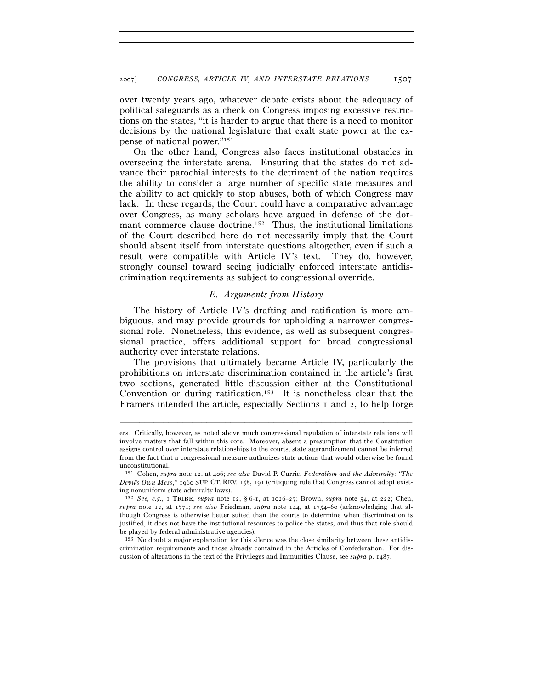over twenty years ago, whatever debate exists about the adequacy of political safeguards as a check on Congress imposing excessive restrictions on the states, "it is harder to argue that there is a need to monitor decisions by the national legislature that exalt state power at the expense of national power."151

On the other hand, Congress also faces institutional obstacles in overseeing the interstate arena. Ensuring that the states do not advance their parochial interests to the detriment of the nation requires the ability to consider a large number of specific state measures and the ability to act quickly to stop abuses, both of which Congress may lack. In these regards, the Court could have a comparative advantage over Congress, as many scholars have argued in defense of the dormant commerce clause doctrine.<sup>152</sup> Thus, the institutional limitations of the Court described here do not necessarily imply that the Court should absent itself from interstate questions altogether, even if such a result were compatible with Article IV's text. They do, however, strongly counsel toward seeing judicially enforced interstate antidiscrimination requirements as subject to congressional override.

# *E. Arguments from History*

The history of Article IV's drafting and ratification is more ambiguous, and may provide grounds for upholding a narrower congressional role. Nonetheless, this evidence, as well as subsequent congressional practice, offers additional support for broad congressional authority over interstate relations.

The provisions that ultimately became Article IV, particularly the prohibitions on interstate discrimination contained in the article's first two sections, generated little discussion either at the Constitutional Convention or during ratification.153 It is nonetheless clear that the Framers intended the article, especially Sections 1 and 2, to help forge

ers. Critically, however, as noted above much congressional regulation of interstate relations will involve matters that fall within this core. Moreover, absent a presumption that the Constitution assigns control over interstate relationships to the courts, state aggrandizement cannot be inferred from the fact that a congressional measure authorizes state actions that would otherwise be found unconstitutional.

<sup>151</sup> Cohen, *supra* note 12, at 406; *see also* David P. Currie, *Federalism and the Admiralty: "The Devil's Own Mess*,*"* 1960 SUP. CT. REV. 158, 191 (critiquing rule that Congress cannot adopt existing nonuniform state admiralty laws).

<sup>152</sup> *See, e.g.*, 1 TRIBE, *supra* note 12, § 6-1, at 1026–27; Brown, *supra* note 54, at 222; Chen, *supra* note 12, at 1771; *see also* Friedman, *supra* note 144, at 1754–60 (acknowledging that although Congress is otherwise better suited than the courts to determine when discrimination is justified, it does not have the institutional resources to police the states, and thus that role should be played by federal administrative agencies).

<sup>153</sup> No doubt a major explanation for this silence was the close similarity between these antidiscrimination requirements and those already contained in the Articles of Confederation. For discussion of alterations in the text of the Privileges and Immunities Clause, see *supra* p. 1487.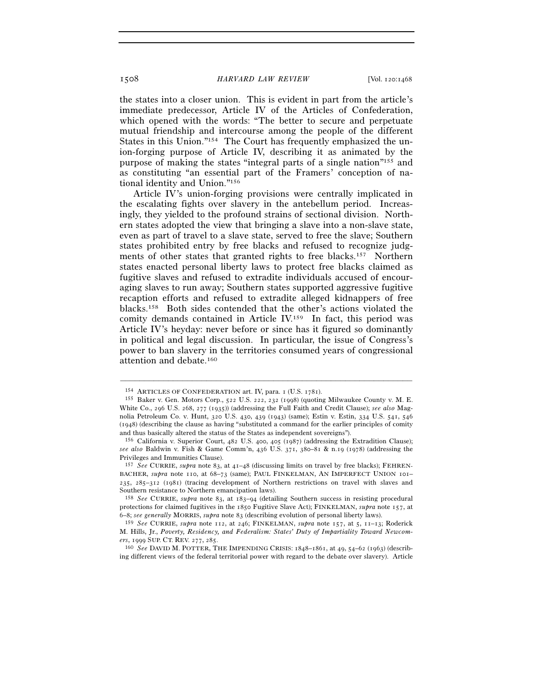the states into a closer union. This is evident in part from the article's immediate predecessor, Article IV of the Articles of Confederation, which opened with the words: "The better to secure and perpetuate mutual friendship and intercourse among the people of the different States in this Union."154 The Court has frequently emphasized the union-forging purpose of Article IV, describing it as animated by the purpose of making the states "integral parts of a single nation"155 and as constituting "an essential part of the Framers' conception of national identity and Union."156

Article IV's union-forging provisions were centrally implicated in the escalating fights over slavery in the antebellum period. Increasingly, they yielded to the profound strains of sectional division. Northern states adopted the view that bringing a slave into a non-slave state, even as part of travel to a slave state, served to free the slave; Southern states prohibited entry by free blacks and refused to recognize judgments of other states that granted rights to free blacks.157 Northern states enacted personal liberty laws to protect free blacks claimed as fugitive slaves and refused to extradite individuals accused of encouraging slaves to run away; Southern states supported aggressive fugitive recaption efforts and refused to extradite alleged kidnappers of free blacks.158 Both sides contended that the other's actions violated the comity demands contained in Article IV.159 In fact, this period was Article IV's heyday: never before or since has it figured so dominantly in political and legal discussion. In particular, the issue of Congress's power to ban slavery in the territories consumed years of congressional attention and debate.160

<sup>&</sup>lt;sup>154</sup> ARTICLES OF CONFEDERATION art. IV, para. 1 (U.S. 1781).<br><sup>155</sup> Baker v. Gen. Motors Corp., 522 U.S. 222, 232 (1998) (quoting Milwaukee County v. M. E. White Co., 296 U.S. 268, 277 (1935)) (addressing the Full Faith and Credit Clause); *see also* Magnolia Petroleum Co. v. Hunt, 320 U.S. 430, 439 (1943) (same); Estin v. Estin, 334 U.S. 541, 546 (1948) (describing the clause as having "substituted a command for the earlier principles of comity and thus basically altered the status of the States as independent sovereigns").<br><sup>156</sup> California v. Superior Court, 482 U.S. 400, 405 (1987) (addressing the Extradition Clause);

*see also* Baldwin v. Fish & Game Comm'n, 436 U.S. 371, 380–81 & n.19 (1978) (addressing the Privileges and Immunities Clause).

<sup>157</sup> *See* CURRIE, *supra* note 83, at 41–48 (discussing limits on travel by free blacks); FEHREN-BACHER, *supra* note 110, at 68-73 (same); PAUL FINKELMAN, AN IMPERFECT UNION 101-235, 285–312 (1981) (tracing development of Northern restrictions on travel with slaves and Southern resistance to Northern emancipation laws).

<sup>158</sup> *See* CURRIE, *supra* note 83, at 183–94 (detailing Southern success in resisting procedural protections for claimed fugitives in the 1850 Fugitive Slave Act); FINKELMAN, *supra* note 157, at 6–8; *see generally* MORRIS, *supra* note 83 (describing evolution of personal liberty laws).

<sup>159</sup> *See* CURRIE, *supra* note 112, at 246; FINKELMAN, *supra* note 157, at 5, 11–13; Roderick M. Hills, Jr., *Poverty, Residency, and Federalism: States' Duty of Impartiality Toward Newcom-*<br>ers, 1999 SUP. CT. REV. 277, 285.

<sup>&</sup>lt;sup>160</sup> See DAVID M. POTTER, THE IMPENDING CRISIS: 1848–1861, at 49, 54–62 (1963) (describing different views of the federal territorial power with regard to the debate over slavery). Article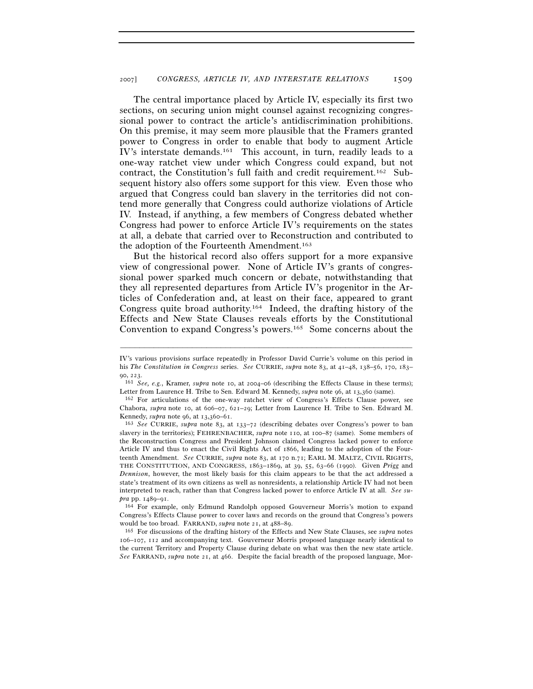The central importance placed by Article IV, especially its first two sections, on securing union might counsel against recognizing congressional power to contract the article's antidiscrimination prohibitions. On this premise, it may seem more plausible that the Framers granted power to Congress in order to enable that body to augment Article IV's interstate demands.161 This account, in turn, readily leads to a one-way ratchet view under which Congress could expand, but not contract, the Constitution's full faith and credit requirement.162 Subsequent history also offers some support for this view. Even those who argued that Congress could ban slavery in the territories did not contend more generally that Congress could authorize violations of Article IV. Instead, if anything, a few members of Congress debated whether Congress had power to enforce Article IV's requirements on the states at all, a debate that carried over to Reconstruction and contributed to the adoption of the Fourteenth Amendment.163

But the historical record also offers support for a more expansive view of congressional power. None of Article IV's grants of congressional power sparked much concern or debate, notwithstanding that they all represented departures from Article IV's progenitor in the Articles of Confederation and, at least on their face, appeared to grant Congress quite broad authority.164 Indeed, the drafting history of the Effects and New State Clauses reveals efforts by the Constitutional Convention to expand Congress's powers.165 Some concerns about the

–––––––––––––––––––––––––––––––––––––––––––––––––––––––––––––

Congress's Effects Clause power to cover laws and records on the ground that Congress's powers

would be too broad. FARRAND, *supra* note 21, at 488–89. 165 For discussions of the drafting history of the Effects and New State Clauses, see *supra* notes 106–107, 112 and accompanying text. Gouverneur Morris proposed language nearly identical to the current Territory and Property Clause during debate on what was then the new state article. *See* FARRAND, *supra* note 21, at 466. Despite the facial breadth of the proposed language, Mor-

IV's various provisions surface repeatedly in Professor David Currie's volume on this period in his *The Constitution in Congress* series. *See* CURRIE, *supra* note 83, at 41–48, 138–56, 170, 183–

<sup>90, 223.&</sup>lt;br><sup>161</sup> *See, e.g.*, Kramer, *supra* note 10, at 2004–06 (describing the Effects Clause in these terms);<br>Letter from Laurence H. Tribe to Sen. Edward M. Kennedy, *supra* note 96, at 13,360 (same).

<sup>&</sup>lt;sup>162</sup> For articulations of the one-way ratchet view of Congress's Effects Clause power, see Chabora, *supra* note 10, at 606–07, 621–29; Letter from Laurence H. Tribe to Sen. Edward M. Kennedy, *supra* note 96, at 13,360–61.<br><sup>163</sup> *See* CURRIE, *supra* note 83, at 133–72 (describing debates over Congress's power to ban

slavery in the territories); FEHRENBACHER, *supra* note 110, at 100–87 (same). Some members of the Reconstruction Congress and President Johnson claimed Congress lacked power to enforce Article IV and thus to enact the Civil Rights Act of 1866, leading to the adoption of the Fourteenth Amendment. *See* CURRIE, *supra* note 83, at 170 n.71; EARL M. MALTZ, CIVIL RIGHTS, THE CONSTITUTION, AND CONGRESS, 1863–1869, at 39, 55, 63–66 (1990). Given *Prigg* and *Dennison*, however, the most likely basis for this claim appears to be that the act addressed a state's treatment of its own citizens as well as nonresidents, a relationship Article IV had not been interpreted to reach, rather than that Congress lacked power to enforce Article IV at all. *See supra* pp. 1489–91.<br><sup>164</sup> For example, only Edmund Randolph opposed Gouverneur Morris's motion to expand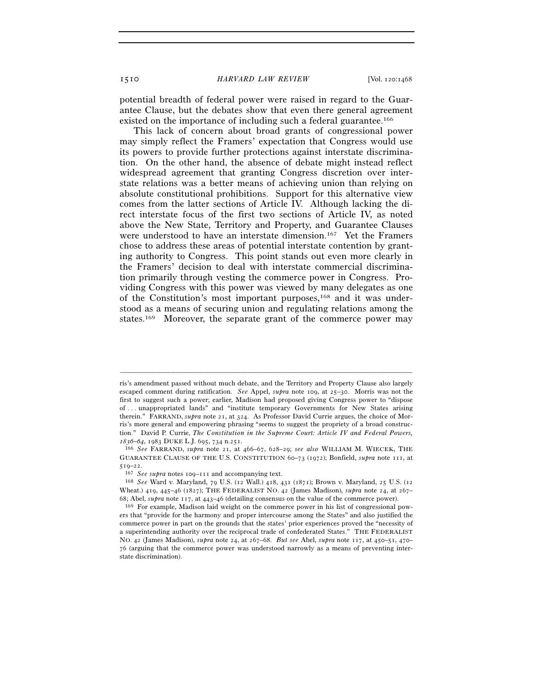potential breadth of federal power were raised in regard to the Guarantee Clause, but the debates show that even there general agreement existed on the importance of including such a federal guarantee.<sup>166</sup>

This lack of concern about broad grants of congressional power may simply reflect the Framers' expectation that Congress would use its powers to provide further protections against interstate discrimination. On the other hand, the absence of debate might instead reflect widespread agreement that granting Congress discretion over interstate relations was a better means of achieving union than relying on absolute constitutional prohibitions. Support for this alternative view comes from the latter sections of Article IV. Although lacking the direct interstate focus of the first two sections of Article IV, as noted above the New State, Territory and Property, and Guarantee Clauses were understood to have an interstate dimension.<sup>167</sup> Yet the Framers chose to address these areas of potential interstate contention by granting authority to Congress. This point stands out even more clearly in the Framers' decision to deal with interstate commercial discrimination primarily through vesting the commerce power in Congress. Providing Congress with this power was viewed by many delegates as one of the Constitution's most important purposes,168 and it was understood as a means of securing union and regulating relations among the states.169 Moreover, the separate grant of the commerce power may

ris's amendment passed without much debate, and the Territory and Property Clause also largely escaped comment during ratification. *See* Appel, *supra* note 109, at 25–30. Morris was not the first to suggest such a power; earlier, Madison had proposed giving Congress power to "dispose of . . . unappropriated lands" and "institute temporary Governments for New States arising therein." FARRAND, *supra* note 21, at 324. As Professor David Currie argues, the choice of Morris's more general and empowering phrasing "seems to suggest the propriety of a broad construction." David P. Currie, *The Constitution in the Supreme Court: Article IV and Federal Powers, <sup>1836</sup>–64*, 1983 DUKE L.J. 695, 734 n.251. 166 *See* FARRAND, *supra* note 21, at 466–67, 628–29; *see also* WILLIAM M. WIECEK, THE

GUARANTEE CLAUSE OF THE U.S. CONSTITUTION 60–73 (1972); Bonfield, *supra* note 111, at <sup>519</sup>–22. 167 *See supra* notes 109–111 and accompanying text. 168 *See* Ward v. Maryland, 79 U.S. (12 Wall.) 418, 431 (1871); Brown v. Maryland, 25 U.S. (<sup>12</sup>

Wheat.) 419, 445–46 (1827); THE FEDERALIST NO. 42 (James Madison), *supra* note 24, at 267– 68; Abel, *supra* note 117, at 443–46 (detailing consensus on the value of the commerce power).<br><sup>169</sup> For example, Madison laid weight on the commerce power in his list of congressional pow-

ers that "provide for the harmony and proper intercourse among the States" and also justified the commerce power in part on the grounds that the states' prior experiences proved the "necessity of a superintending authority over the reciprocal trade of confederated States." THE FEDERALIST NO. 42 (James Madison), *supra* note 24, at 267–68. *But see* Abel, *supra* note 117, at 450–51, 470– 76 (arguing that the commerce power was understood narrowly as a means of preventing interstate discrimination).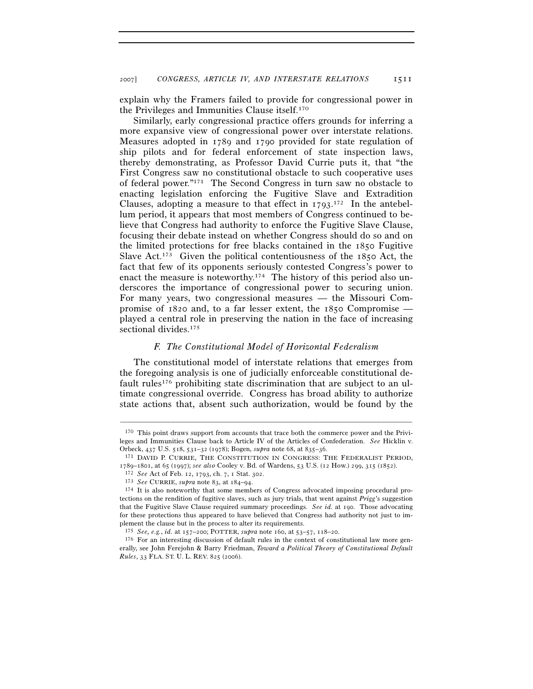explain why the Framers failed to provide for congressional power in the Privileges and Immunities Clause itself.170

Similarly, early congressional practice offers grounds for inferring a more expansive view of congressional power over interstate relations. Measures adopted in 1789 and 1790 provided for state regulation of ship pilots and for federal enforcement of state inspection laws, thereby demonstrating, as Professor David Currie puts it, that "the First Congress saw no constitutional obstacle to such cooperative uses of federal power."171 The Second Congress in turn saw no obstacle to enacting legislation enforcing the Fugitive Slave and Extradition Clauses, adopting a measure to that effect in  $1793$ .<sup>172</sup> In the antebellum period, it appears that most members of Congress continued to believe that Congress had authority to enforce the Fugitive Slave Clause, focusing their debate instead on whether Congress should do so and on the limited protections for free blacks contained in the 1850 Fugitive Slave Act.<sup>173</sup> Given the political contentiousness of the 1850 Act, the fact that few of its opponents seriously contested Congress's power to enact the measure is noteworthy.<sup>174</sup> The history of this period also underscores the importance of congressional power to securing union. For many years, two congressional measures — the Missouri Compromise of 1820 and, to a far lesser extent, the 1850 Compromise played a central role in preserving the nation in the face of increasing sectional divides.<sup>175</sup>

### *F. The Constitutional Model of Horizontal Federalism*

The constitutional model of interstate relations that emerges from the foregoing analysis is one of judicially enforceable constitutional default rules<sup>176</sup> prohibiting state discrimination that are subject to an ultimate congressional override. Congress has broad ability to authorize state actions that, absent such authorization, would be found by the

<sup>170</sup> This point draws support from accounts that trace both the commerce power and the Privileges and Immunities Clause back to Article IV of the Articles of Confederation. *See* Hicklin v. Orbeck, 437 U.S. 518, 531–32 (1978); Bogen, *supra* note 68, at 835–36. 171 DAVID P. CURRIE, THE CONSTITUTION IN CONGRESS: THE FEDERALIST PERIOD,

<sup>1789–1801,</sup> at 65 (1997); *see also* Cooley v. Bd. of Wardens, 53 U.S. (12 How.) 299, 315 (1852).<br><sup>172</sup> *See* Act of Feb. 12, 1793, ch. 7, 1 Stat. 302.<br><sup>173</sup> *See* CURRIE, *supra* note 83, at 184–94.<br><sup>174</sup> It is also notew

tections on the rendition of fugitive slaves, such as jury trials, that went against *Prigg*'s suggestion that the Fugitive Slave Clause required summary proceedings. *See id.* at 190. Those advocating for these protections thus appeared to have believed that Congress had authority not just to implement the clause but in the process to alter its requirements.

<sup>&</sup>lt;sup>175</sup> *See, e.g., id.* at 157–200; POTTER, *supra* note 160, at 53–57, 118–20.<br><sup>176</sup> For an interesting discussion of default rules in the context of constitutional law more generally, see John Ferejohn & Barry Friedman, *Toward a Political Theory of Constitutional Default Rules*, 33 FLA. ST. U. L. REV. 825 (2006).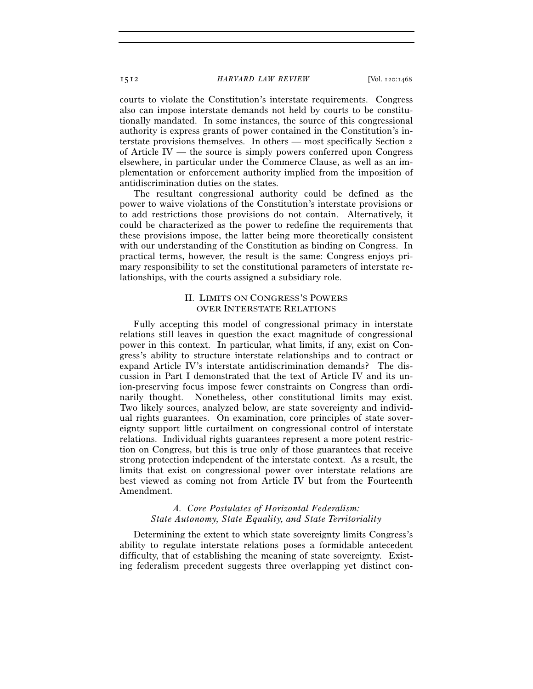courts to violate the Constitution's interstate requirements. Congress also can impose interstate demands not held by courts to be constitutionally mandated. In some instances, the source of this congressional authority is express grants of power contained in the Constitution's interstate provisions themselves. In others — most specifically Section 2 of Article IV — the source is simply powers conferred upon Congress elsewhere, in particular under the Commerce Clause, as well as an implementation or enforcement authority implied from the imposition of antidiscrimination duties on the states.

The resultant congressional authority could be defined as the power to waive violations of the Constitution's interstate provisions or to add restrictions those provisions do not contain. Alternatively, it could be characterized as the power to redefine the requirements that these provisions impose, the latter being more theoretically consistent with our understanding of the Constitution as binding on Congress. In practical terms, however, the result is the same: Congress enjoys primary responsibility to set the constitutional parameters of interstate relationships, with the courts assigned a subsidiary role.

# II. LIMITS ON CONGRESS'S POWERS OVER INTERSTATE RELATIONS

Fully accepting this model of congressional primacy in interstate relations still leaves in question the exact magnitude of congressional power in this context. In particular, what limits, if any, exist on Congress's ability to structure interstate relationships and to contract or expand Article IV's interstate antidiscrimination demands? The discussion in Part I demonstrated that the text of Article IV and its union-preserving focus impose fewer constraints on Congress than ordinarily thought. Nonetheless, other constitutional limits may exist. Two likely sources, analyzed below, are state sovereignty and individual rights guarantees. On examination, core principles of state sovereignty support little curtailment on congressional control of interstate relations. Individual rights guarantees represent a more potent restriction on Congress, but this is true only of those guarantees that receive strong protection independent of the interstate context. As a result, the limits that exist on congressional power over interstate relations are best viewed as coming not from Article IV but from the Fourteenth Amendment.

# *A. Core Postulates of Horizontal Federalism: State Autonomy, State Equality, and State Territoriality*

Determining the extent to which state sovereignty limits Congress's ability to regulate interstate relations poses a formidable antecedent difficulty, that of establishing the meaning of state sovereignty. Existing federalism precedent suggests three overlapping yet distinct con-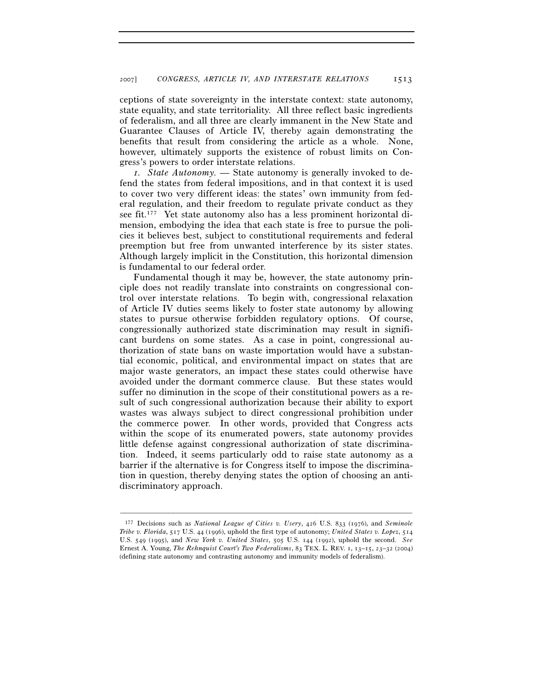ceptions of state sovereignty in the interstate context: state autonomy, state equality, and state territoriality. All three reflect basic ingredients of federalism, and all three are clearly immanent in the New State and Guarantee Clauses of Article IV, thereby again demonstrating the benefits that result from considering the article as a whole. None, however, ultimately supports the existence of robust limits on Congress's powers to order interstate relations.

*1. State Autonomy. —* State autonomy is generally invoked to defend the states from federal impositions, and in that context it is used to cover two very different ideas: the states' own immunity from federal regulation, and their freedom to regulate private conduct as they see fit.177 Yet state autonomy also has a less prominent horizontal dimension, embodying the idea that each state is free to pursue the policies it believes best, subject to constitutional requirements and federal preemption but free from unwanted interference by its sister states. Although largely implicit in the Constitution, this horizontal dimension is fundamental to our federal order.

Fundamental though it may be, however, the state autonomy principle does not readily translate into constraints on congressional control over interstate relations. To begin with, congressional relaxation of Article IV duties seems likely to foster state autonomy by allowing states to pursue otherwise forbidden regulatory options. Of course, congressionally authorized state discrimination may result in significant burdens on some states. As a case in point, congressional authorization of state bans on waste importation would have a substantial economic, political, and environmental impact on states that are major waste generators, an impact these states could otherwise have avoided under the dormant commerce clause. But these states would suffer no diminution in the scope of their constitutional powers as a result of such congressional authorization because their ability to export wastes was always subject to direct congressional prohibition under the commerce power. In other words, provided that Congress acts within the scope of its enumerated powers, state autonomy provides little defense against congressional authorization of state discrimination. Indeed, it seems particularly odd to raise state autonomy as a barrier if the alternative is for Congress itself to impose the discrimination in question, thereby denying states the option of choosing an antidiscriminatory approach.

<sup>177</sup> Decisions such as *National League of Cities v. Usery*, 426 U.S. 833 (1976), and *Seminole Tribe v. Florida*, 517 U.S. 44 (1996), uphold the first type of autonomy; *United States v. Lopez*, 514 U.S. 549 (1995), and *New York v. United States*, 505 U.S. 144 (1992), uphold the second. *See* Ernest A. Young, *The Rehnquist Court's Two Federalisms*, 83 TEX. L. REV. 1, 13–15, 23–32 (2004) (defining state autonomy and contrasting autonomy and immunity models of federalism).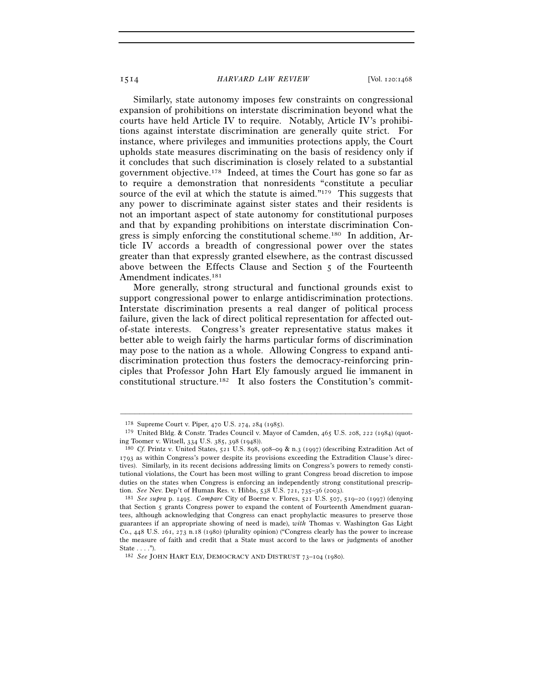Similarly, state autonomy imposes few constraints on congressional expansion of prohibitions on interstate discrimination beyond what the courts have held Article IV to require. Notably, Article IV's prohibitions against interstate discrimination are generally quite strict. For instance, where privileges and immunities protections apply, the Court upholds state measures discriminating on the basis of residency only if it concludes that such discrimination is closely related to a substantial government objective.178 Indeed, at times the Court has gone so far as to require a demonstration that nonresidents "constitute a peculiar source of the evil at which the statute is aimed."179 This suggests that any power to discriminate against sister states and their residents is not an important aspect of state autonomy for constitutional purposes and that by expanding prohibitions on interstate discrimination Congress is simply enforcing the constitutional scheme.180 In addition, Article IV accords a breadth of congressional power over the states greater than that expressly granted elsewhere, as the contrast discussed above between the Effects Clause and Section 5 of the Fourteenth Amendment indicates.181

More generally, strong structural and functional grounds exist to support congressional power to enlarge antidiscrimination protections. Interstate discrimination presents a real danger of political process failure, given the lack of direct political representation for affected outof-state interests. Congress's greater representative status makes it better able to weigh fairly the harms particular forms of discrimination may pose to the nation as a whole. Allowing Congress to expand antidiscrimination protection thus fosters the democracy-reinforcing principles that Professor John Hart Ely famously argued lie immanent in constitutional structure.182 It also fosters the Constitution's commit-

<sup>178</sup> Supreme Court v. Piper, 470 U.S. 274, 284 (1985).

<sup>179</sup> United Bldg. & Constr. Trades Council v. Mayor of Camden, 465 U.S. 208, 222 (1984) (quoting Toomer v. Witsell, 334 U.S. 385, 398 (1948)). 180 *Cf.* Printz v. United States, 521 U.S. 898, 908–09 & n.3 (1997) (describing Extradition Act of

<sup>1793</sup> as within Congress's power despite its provisions exceeding the Extradition Clause's directives). Similarly, in its recent decisions addressing limits on Congress's powers to remedy constitutional violations, the Court has been most willing to grant Congress broad discretion to impose duties on the states when Congress is enforcing an independently strong constitutional prescription. *See* Nev. Dep't of Human Res. v. Hibbs, 538 U.S. 721, 735–36 (2003). 181 *See supra* p. 1495. *Compare* City of Boerne v. Flores, 521 U.S. 507, 519–20 (1997) (denying

that Section 5 grants Congress power to expand the content of Fourteenth Amendment guarantees, although acknowledging that Congress can enact prophylactic measures to preserve those guarantees if an appropriate showing of need is made), *with* Thomas v. Washington Gas Light Co., 448 U.S. 261, 273 n.18 (1980) (plurality opinion) ("Congress clearly has the power to increase the measure of faith and credit that a State must accord to the laws or judgments of another State . . . . ").

<sup>182</sup> *See* JOHN HART ELY, DEMOCRACY AND DISTRUST 73–104 (1980).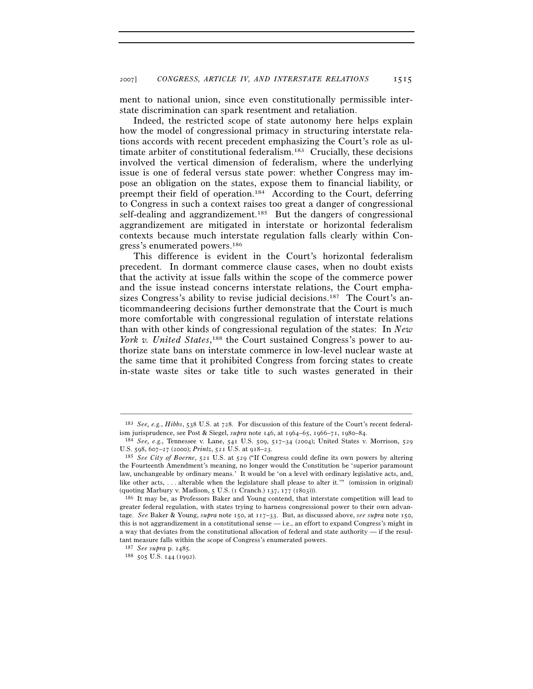ment to national union, since even constitutionally permissible interstate discrimination can spark resentment and retaliation.

Indeed, the restricted scope of state autonomy here helps explain how the model of congressional primacy in structuring interstate relations accords with recent precedent emphasizing the Court's role as ultimate arbiter of constitutional federalism.183 Crucially, these decisions involved the vertical dimension of federalism, where the underlying issue is one of federal versus state power: whether Congress may impose an obligation on the states, expose them to financial liability, or preempt their field of operation.184 According to the Court, deferring to Congress in such a context raises too great a danger of congressional self-dealing and aggrandizement.<sup>185</sup> But the dangers of congressional aggrandizement are mitigated in interstate or horizontal federalism contexts because much interstate regulation falls clearly within Congress's enumerated powers.186

This difference is evident in the Court's horizontal federalism precedent. In dormant commerce clause cases, when no doubt exists that the activity at issue falls within the scope of the commerce power and the issue instead concerns interstate relations, the Court emphasizes Congress's ability to revise judicial decisions.<sup>187</sup> The Court's anticommandeering decisions further demonstrate that the Court is much more comfortable with congressional regulation of interstate relations than with other kinds of congressional regulation of the states: In *New*  York v. United States,<sup>188</sup> the Court sustained Congress's power to authorize state bans on interstate commerce in low-level nuclear waste at the same time that it prohibited Congress from forcing states to create in-state waste sites or take title to such wastes generated in their

<sup>–––––––––––––––––––––––––––––––––––––––––––––––––––––––––––––</sup> 183 *See, e.g.*, *Hibbs*, 538 U.S. at 728. For discussion of this feature of the Court's recent federal-

<sup>184</sup> See, e.g., Tennessee v. Lane, 541 U.S. 509, 517-34 (2004); United States v. Morrison, 529 U.S. 598, 607–27 (2000); *Printz*, 521 U.S. at 918–23. 185 *See City of Boerne*, 521 U.S. at 529 ("If Congress could define its own powers by altering

the Fourteenth Amendment's meaning, no longer would the Constitution be 'superior paramount law, unchangeable by ordinary means.' It would be 'on a level with ordinary legislative acts, and, like other acts, . . . alterable when the legislature shall please to alter it.'" (omission in original) (quoting Marbury v. Madison, 5 U.S. (1 Cranch.) 137, 177 (1803))). <sup>186</sup> It may be, as Professors Baker and Young contend, that interstate competition will lead to

greater federal regulation, with states trying to harness congressional power to their own advantage. *See* Baker & Young, *supra* note 150, at 117–33. But, as discussed above, *see supra* note 150, this is not aggrandizement in a constitutional sense  $-$  i.e., an effort to expand Congress's might in a way that deviates from the constitutional allocation of federal and state authority — if the resultant measure falls within the scope of Congress's enumerated powers.

<sup>187</sup> *See supra* p. 1485*.*

<sup>188</sup> 505 U.S. 144 (1992).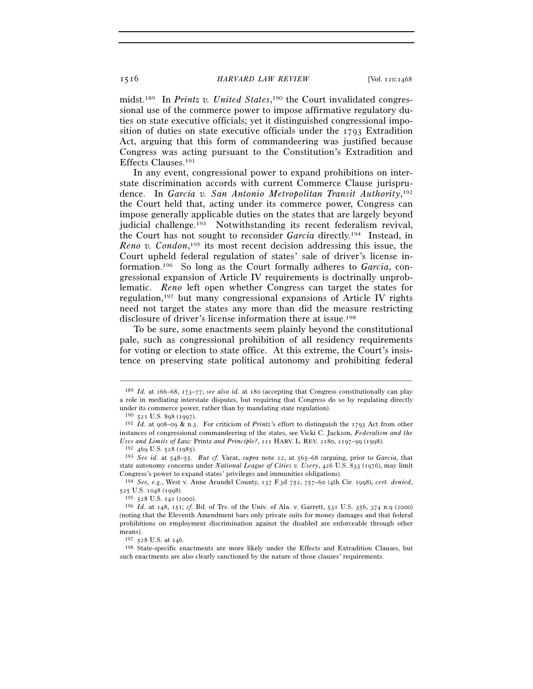midst.189 In *Printz v. United States*, 190 the Court invalidated congressional use of the commerce power to impose affirmative regulatory duties on state executive officials; yet it distinguished congressional imposition of duties on state executive officials under the 1793 Extradition Act, arguing that this form of commandeering was justified because Congress was acting pursuant to the Constitution's Extradition and Effects Clauses.191

 In any event, congressional power to expand prohibitions on interstate discrimination accords with current Commerce Clause jurisprudence. In *Garcia v. San Antonio Metropolitan Transit Authority*, 192 the Court held that, acting under its commerce power, Congress can impose generally applicable duties on the states that are largely beyond judicial challenge.<sup>193</sup> Notwithstanding its recent federalism revival, the Court has not sought to reconsider *Garcia* directly.194 Instead, in *Reno v. Condon*, 195 its most recent decision addressing this issue, the Court upheld federal regulation of states' sale of driver's license information.196 So long as the Court formally adheres to *Garcia*, congressional expansion of Article IV requirements is doctrinally unproblematic. *Reno* left open whether Congress can target the states for regulation,197 but many congressional expansions of Article IV rights need not target the states any more than did the measure restricting disclosure of driver's license information there at issue.<sup>198</sup>

To be sure, some enactments seem plainly beyond the constitutional pale, such as congressional prohibition of all residency requirements for voting or election to state office. At this extreme, the Court's insistence on preserving state political autonomy and prohibiting federal

<sup>189</sup> *Id.* at 166–68, 173–77; *see also id.* at 180 (accepting that Congress constitutionally can play a role in mediating interstate disputes, but requiring that Congress do so by regulating directly under its commerce power, rather than by mandating state regulation).<br><sup>190</sup> 521 U.S. 898 (1997).<br><sup>191</sup> *Id.* at 908–09 & n.3. For criticism of *Printz*'s effort to distinguish the 1793 Act from other

instances of congressional commandeering of the states, see Vicki C. Jackson, *Federalism and the* 

<sup>&</sup>lt;sup>192</sup> 469 U.S.  $528$  (1985).<br><sup>193</sup> *See id.* at  $548-55$ . *But cf.* Varat, *supra* note 12, at  $565-68$  (arguing, prior to *Garcia*, that state autonomy concerns under *National League of Cities v. Usery*, 426 U.S. 833 (1976), may limit

<sup>&</sup>lt;sup>194</sup> See, e.g., West v. Anne Arundel County, 137 F.3d 752, 757-60 (4th Cir. 1998), *cert. denied*, 525 U.S. 1048 (1998).

<sup>195</sup> <sup>528</sup> U.S. 141 (2000). 196 *Id.* at 148, 151; *cf.* Bd. of Trs. of the Univ. of Ala. v. Garrett, 531 U.S. 356, 374 n.9 (2000) (noting that the Eleventh Amendment bars only private suits for money damages and that federal prohibitions on employment discrimination against the disabled are enforceable through other means).<br> $^{197}$  528 U.S. at 146.

<sup>&</sup>lt;sup>198</sup> State-specific enactments are more likely under the Effects and Extradition Clauses, but such enactments are also clearly sanctioned by the nature of those clauses' requirements.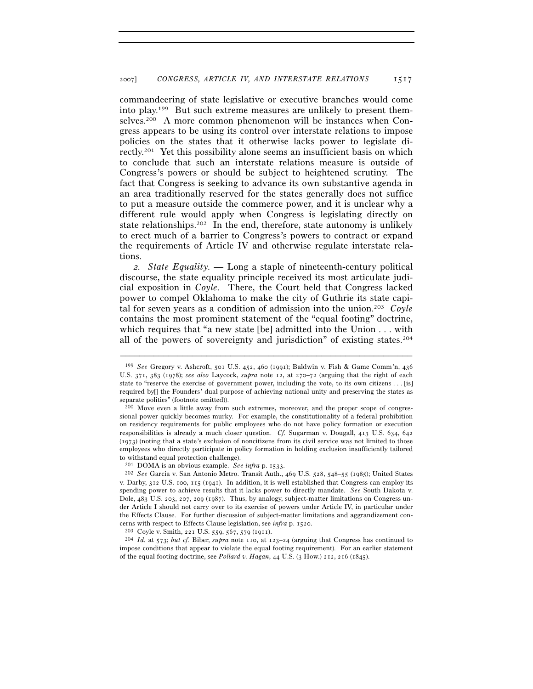commandeering of state legislative or executive branches would come into play.199 But such extreme measures are unlikely to present themselves.200 A more common phenomenon will be instances when Congress appears to be using its control over interstate relations to impose policies on the states that it otherwise lacks power to legislate directly.201 Yet this possibility alone seems an insufficient basis on which to conclude that such an interstate relations measure is outside of Congress's powers or should be subject to heightened scrutiny. The fact that Congress is seeking to advance its own substantive agenda in an area traditionally reserved for the states generally does not suffice to put a measure outside the commerce power, and it is unclear why a different rule would apply when Congress is legislating directly on state relationships.202 In the end, therefore, state autonomy is unlikely to erect much of a barrier to Congress's powers to contract or expand the requirements of Article IV and otherwise regulate interstate relations.

*2. State Equality. —* Long a staple of nineteenth-century political discourse, the state equality principle received its most articulate judicial exposition in *Coyle*. There, the Court held that Congress lacked power to compel Oklahoma to make the city of Guthrie its state capital for seven years as a condition of admission into the union.203 *Coyle* contains the most prominent statement of the "equal footing" doctrine, which requires that "a new state [be] admitted into the Union . . . with all of the powers of sovereignty and jurisdiction" of existing states.204

–––––––––––––––––––––––––––––––––––––––––––––––––––––––––––––

impose conditions that appear to violate the equal footing requirement). For an earlier statement of the equal footing doctrine, see *Pollard v. Hagan*, 44 U.S. (3 How.) 212, 216 (1845).

<sup>199</sup> *See* Gregory v. Ashcroft, 501 U.S. 452, 460 (1991); Baldwin v. Fish & Game Comm'n, 436 U.S. 371, 383 (1978); *see also* Laycock, *supra* note 12, at 270–72 (arguing that the right of each state to "reserve the exercise of government power, including the vote, to its own citizens . . . [is] required by[] the Founders' dual purpose of achieving national unity and preserving the states as separate polities" (footnote omitted)).

<sup>200</sup> Move even a little away from such extremes, moreover, and the proper scope of congressional power quickly becomes murky. For example, the constitutionality of a federal prohibition on residency requirements for public employees who do not have policy formation or execution responsibilities is already a much closer question. *Cf.* Sugarman v. Dougall, 413 U.S. 634, 642 (1973) (noting that a state's exclusion of noncitizens from its civil service was not limited to those employees who directly participate in policy formation in holding exclusion insufficiently tailored to withstand equal protection challenge).<br> $^{201}$  DOMA is an obvious example. See infra p. 1533.

<sup>&</sup>lt;sup>202</sup> See Garcia v. San Antonio Metro. Transit Auth., 469 U.S. 528, 548–55 (1985); United States v. Darby, 312 U.S. 100, 115 (1941). In addition, it is well established that Congress can employ its spending power to achieve results that it lacks power to directly mandate. *See* South Dakota v. Dole, 483 U.S. 203, 207, 209 (1987). Thus, by analogy, subject-matter limitations on Congress under Article I should not carry over to its exercise of powers under Article IV, in particular under the Effects Clause. For further discussion of subject-matter limitations and aggrandizement concerns with respect to Effects Clause legislation, see *infra* p. 1520.<br><sup>203</sup> Coyle v. Smith, 221 U.S. 559, 567, 579 (1911).<br><sup>204</sup> *Id.* at 573; *but cf.* Biber, *supra* note 110, at 123–24 (arguing that Congress has conti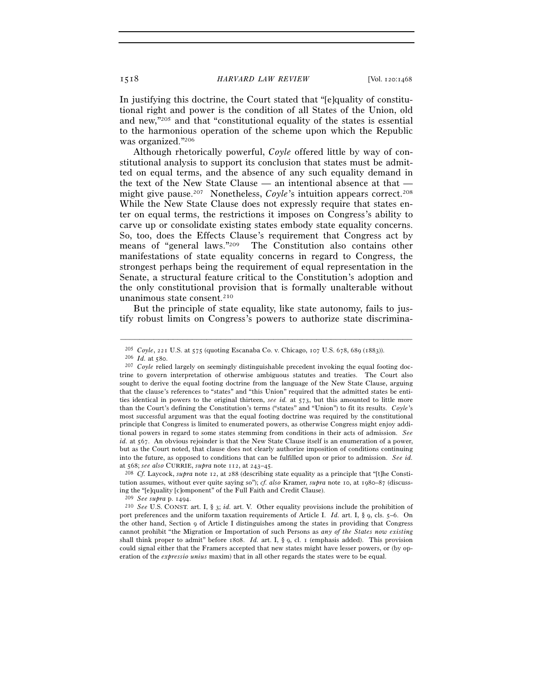In justifying this doctrine, the Court stated that "[e]quality of constitutional right and power is the condition of all States of the Union, old and new,"205 and that "constitutional equality of the states is essential to the harmonious operation of the scheme upon which the Republic was organized."206

Although rhetorically powerful, *Coyle* offered little by way of constitutional analysis to support its conclusion that states must be admitted on equal terms, and the absence of any such equality demand in the text of the New State Clause — an intentional absence at that might give pause.<sup>207</sup> Nonetheless, *Coyle*'s intuition appears correct.<sup>208</sup> While the New State Clause does not expressly require that states enter on equal terms, the restrictions it imposes on Congress's ability to carve up or consolidate existing states embody state equality concerns. So, too, does the Effects Clause's requirement that Congress act by means of "general laws."209 The Constitution also contains other manifestations of state equality concerns in regard to Congress, the strongest perhaps being the requirement of equal representation in the Senate, a structural feature critical to the Constitution's adoption and the only constitutional provision that is formally unalterable without unanimous state consent.<sup>210</sup>

But the principle of state equality, like state autonomy, fails to justify robust limits on Congress's powers to authorize state discrimina-

<sup>205</sup> *Coyle*, 221 U.S. at 575 (quoting Escanaba Co. v. Chicago, 107 U.S. 678, 689 (1883)). 206 *Id.* at 580. 207 *Coyle* relied largely on seemingly distinguishable precedent invoking the equal footing doc-

trine to govern interpretation of otherwise ambiguous statutes and treaties. The Court also sought to derive the equal footing doctrine from the language of the New State Clause, arguing that the clause's references to "states" and "this Union" required that the admitted states be entities identical in powers to the original thirteen, *see id.* at 573, but this amounted to little more than the Court's defining the Constitution's terms ("states" and "Union") to fit its results. *Coyle*'s most successful argument was that the equal footing doctrine was required by the constitutional principle that Congress is limited to enumerated powers, as otherwise Congress might enjoy additional powers in regard to some states stemming from conditions in their acts of admission. *See id.* at 567. An obvious rejoinder is that the New State Clause itself is an enumeration of a power, but as the Court noted, that clause does not clearly authorize imposition of conditions continuing into the future, as opposed to conditions that can be fulfilled upon or prior to admission. *See id.*

<sup>&</sup>lt;sup>208</sup> *Cf.* Laycock, *supra* note 12, at 288 (describing state equality as a principle that "[t]he Constitution assumes, without ever quite saying so"); *cf. also* Kramer, *supra* note 10, at 1980–87 (discussing the "[e]quality [c]omponent" of the Full Faith and Credit Clause).

<sup>209</sup> *See supra* p. 1494. 210 *See* U.S. CONST. art. I, § 3; *id.* art. V. Other equality provisions include the prohibition of port preferences and the uniform taxation requirements of Article I. *Id.* art. I, § 9, cls. 5–6. On the other hand, Section 9 of Article I distinguishes among the states in providing that Congress cannot prohibit "the Migration or Importation of such Persons as *any of the States now existing* shall think proper to admit" before 1808. *Id.* art. I, § 9, cl. 1 (emphasis added). This provision could signal either that the Framers accepted that new states might have lesser powers, or (by operation of the *expressio unius* maxim) that in all other regards the states were to be equal.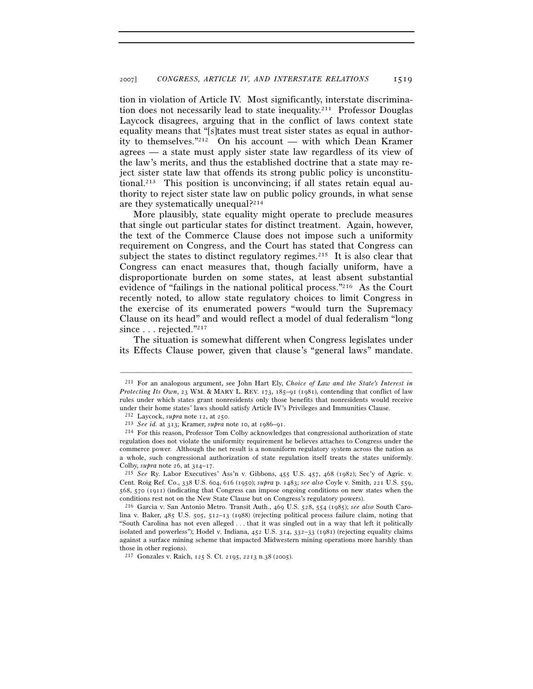tion in violation of Article IV. Most significantly, interstate discrimination does not necessarily lead to state inequality.211 Professor Douglas Laycock disagrees, arguing that in the conflict of laws context state equality means that "[s]tates must treat sister states as equal in authority to themselves."212 On his account — with which Dean Kramer agrees — a state must apply sister state law regardless of its view of the law's merits, and thus the established doctrine that a state may reject sister state law that offends its strong public policy is unconstitutional.<sup>213</sup> This position is unconvincing; if all states retain equal authority to reject sister state law on public policy grounds, in what sense are they systematically unequal?214

More plausibly, state equality might operate to preclude measures that single out particular states for distinct treatment. Again, however, the text of the Commerce Clause does not impose such a uniformity requirement on Congress, and the Court has stated that Congress can subject the states to distinct regulatory regimes.<sup>215</sup> It is also clear that Congress can enact measures that, though facially uniform, have a disproportionate burden on some states, at least absent substantial evidence of "failings in the national political process."216 As the Court recently noted, to allow state regulatory choices to limit Congress in the exercise of its enumerated powers "would turn the Supremacy Clause on its head" and would reflect a model of dual federalism "long since . . . rejected."217

The situation is somewhat different when Congress legislates under its Effects Clause power, given that clause's "general laws" mandate.

<sup>211</sup> For an analogous argument, see John Hart Ely, *Choice of Law and the State's Interest in Protecting Its Own*, 23 WM. & MARY L. REV. 173, 185–91 (1981), contending that conflict of law rules under which states grant nonresidents only those benefits that nonresidents would receive under their home states' laws should satisfy Article IV's Privileges and Immunities Clause.<br><sup>212</sup> Lavcock, *subra* note 12, at 250.

<sup>&</sup>lt;sup>213</sup> See *id.* at 313; Kramer, *supra* note 10, at 1986–91.<br><sup>214</sup> For this reason, Professor Tom Colby acknowledges that congressional authorization of state regulation does not violate the uniformity requirement he believes attaches to Congress under the commerce power. Although the net result is a nonuniform regulatory system across the nation as a whole, such congressional authorization of state regulation itself treats the states uniformly. Colby, *supra* note 26, at 314–17. 215 *See* Ry. Labor Executives' Ass'n v. Gibbons, 455 U.S. 457, 468 (1982); Sec'y of Agric. v.

Cent. Roig Ref. Co., 338 U.S. 604, 616 (1950); *supra* p. 1483; *see also* Coyle v. Smith, 221 U.S. 559, 568, 570 (1911) (indicating that Congress can impose ongoing conditions on new states when the conditions rest not on the New State Clause but on Congress's regulatory powers).

<sup>216</sup> Garcia v. San Antonio Metro. Transit Auth., 469 U.S. 528, 554 (1985); *see also* South Carolina v. Baker, 485 U.S. 505, 512–13 (1988) (rejecting political process failure claim, noting that "South Carolina has not even alleged . . . that it was singled out in a way that left it politically isolated and powerless"); Hodel v. Indiana, 452 U.S. 314, 332–33 (1981) (rejecting equality claims against a surface mining scheme that impacted Midwestern mining operations more harshly than those in other regions).

<sup>217</sup> Gonzales v. Raich, 125 S. Ct. 2195, 2213 n.38 (2005).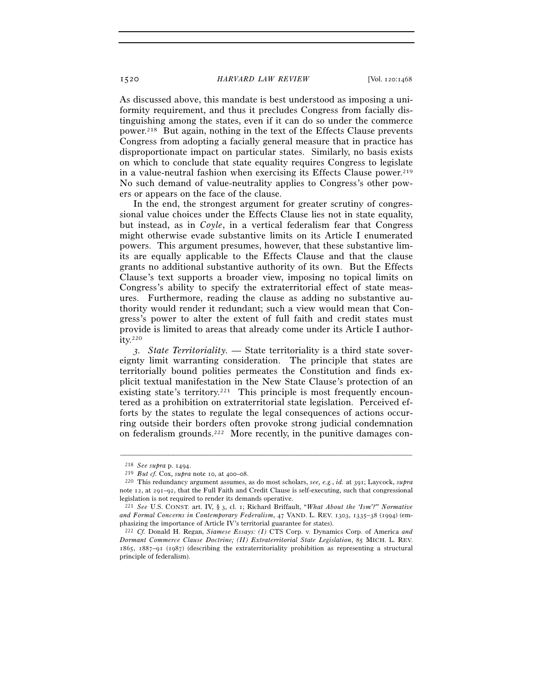As discussed above, this mandate is best understood as imposing a uniformity requirement, and thus it precludes Congress from facially distinguishing among the states, even if it can do so under the commerce power.218 But again, nothing in the text of the Effects Clause prevents Congress from adopting a facially general measure that in practice has disproportionate impact on particular states. Similarly, no basis exists on which to conclude that state equality requires Congress to legislate in a value-neutral fashion when exercising its Effects Clause power.<sup>219</sup> No such demand of value-neutrality applies to Congress's other powers or appears on the face of the clause.

In the end, the strongest argument for greater scrutiny of congressional value choices under the Effects Clause lies not in state equality, but instead, as in *Coyle*, in a vertical federalism fear that Congress might otherwise evade substantive limits on its Article I enumerated powers. This argument presumes, however, that these substantive limits are equally applicable to the Effects Clause and that the clause grants no additional substantive authority of its own. But the Effects Clause's text supports a broader view, imposing no topical limits on Congress's ability to specify the extraterritorial effect of state measures. Furthermore, reading the clause as adding no substantive authority would render it redundant; such a view would mean that Congress's power to alter the extent of full faith and credit states must provide is limited to areas that already come under its Article I author $itv.<sup>220</sup>$ 

*3. State Territoriality. —* State territoriality is a third state sovereignty limit warranting consideration. The principle that states are territorially bound polities permeates the Constitution and finds explicit textual manifestation in the New State Clause's protection of an existing state's territory.<sup>221</sup> This principle is most frequently encountered as a prohibition on extraterritorial state legislation. Perceived efforts by the states to regulate the legal consequences of actions occurring outside their borders often provoke strong judicial condemnation on federalism grounds.222 More recently, in the punitive damages con-

<sup>218</sup> *See supra* p. 1494. 219 *But cf.* Cox, *supra* note 10, at 400–08. 220 This redundancy argument assumes, as do most scholars, *see, e.g.*, *id.* at 391; Laycock, *supra* note 12, at 291–92, that the Full Faith and Credit Clause is self-executing, such that congressional legislation is not required to render its demands operative.

<sup>221</sup> *See* U.S. CONST. art. IV, § 3, cl. 1; Richard Briffault, "*What About the 'Ism'?" Normative and Formal Concerns in Contemporary Federalism*, 47 VAND. L. REV. 1303, 1335–38 (1994) (emphasizing the importance of Article IV's territorial guarantee for states).

<sup>222</sup> *Cf.* Donald H. Regan, *Siamese Essays: (I)* CTS Corp. v. Dynamics Corp. of America *and Dormant Commerce Clause Doctrine; (II) Extraterritorial State Legislation*, 85 MICH. L. REV. 1865, 1887–91 (1987) (describing the extraterritoriality prohibition as representing a structural principle of federalism).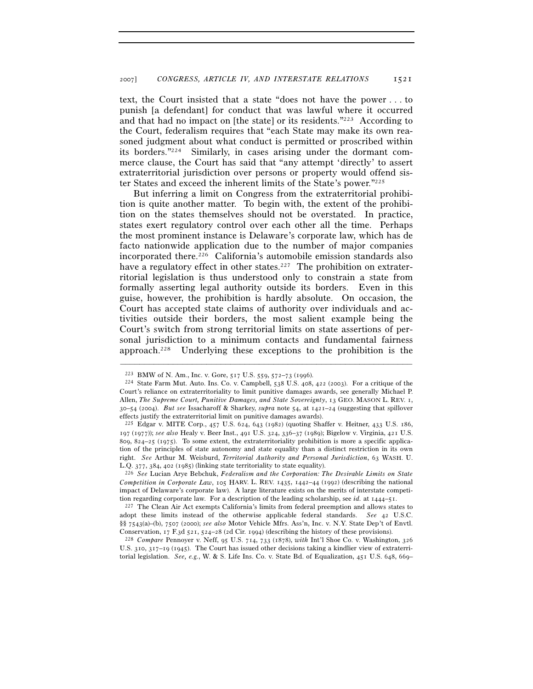text, the Court insisted that a state "does not have the power . . . to punish [a defendant] for conduct that was lawful where it occurred and that had no impact on [the state] or its residents."223 According to the Court, federalism requires that "each State may make its own reasoned judgment about what conduct is permitted or proscribed within its borders."224 Similarly, in cases arising under the dormant commerce clause, the Court has said that "any attempt 'directly' to assert extraterritorial jurisdiction over persons or property would offend sister States and exceed the inherent limits of the State's power."225

But inferring a limit on Congress from the extraterritorial prohibition is quite another matter. To begin with, the extent of the prohibition on the states themselves should not be overstated. In practice, states exert regulatory control over each other all the time. Perhaps the most prominent instance is Delaware's corporate law, which has de facto nationwide application due to the number of major companies incorporated there.226 California's automobile emission standards also have a regulatory effect in other states.<sup>227</sup> The prohibition on extraterritorial legislation is thus understood only to constrain a state from formally asserting legal authority outside its borders. Even in this guise, however, the prohibition is hardly absolute. On occasion, the Court has accepted state claims of authority over individuals and activities outside their borders, the most salient example being the Court's switch from strong territorial limits on state assertions of personal jurisdiction to a minimum contacts and fundamental fairness approach.228 Underlying these exceptions to the prohibition is the

–––––––––––––––––––––––––––––––––––––––––––––––––––––––––––––

*Competition in Corporate Law*, 105 HARV. L. REV. 1435, 1442–44 (1992) (describing the national impact of Delaware's corporate law). A large literature exists on the merits of interstate competition regarding corporate law. For a description of the leading scholarship, see *id.* at  $1444-51$ .

<sup>227</sup> The Clean Air Act exempts California's limits from federal preemption and allows states to adopt these limits instead of the otherwise applicable federal standards. *See* 42 U.S.C. §§ 7543(a)–(b), 7507 (2000); *see also* Motor Vehicle Mfrs. Ass'n, Inc. v. N.Y. State Dep't of Envtl.

Conservation, 17 F.3d 521, 524–28 (2d Cir. 1994) (describing the history of these provisions). 228 *Compare* Pennoyer v. Neff, 95 U.S. 714, 733 (1878), *with* Int'l Shoe Co. v. Washington, <sup>326</sup> U.S. 310, 317–19 (1945). The Court has issued other decisions taking a kindlier view of extraterritorial legislation. *See, e.g.*, W. & S. Life Ins. Co. v. State Bd. of Equalization, 451 U.S. 648, 669–

<sup>&</sup>lt;sup>223</sup> BMW of N. Am., Inc. v. Gore, 517 U.S. 559, 572–73 (1996).<br><sup>224</sup> State Farm Mut. Auto. Ins. Co. v. Campbell, 538 U.S. 408, 422 (2003). For a critique of the Court's reliance on extraterritoriality to limit punitive damages awards, see generally Michael P. Allen, *The Supreme Court, Punitive Damages, and State Sovereignty*, 13 GEO. MASON L. REV. 1, 30–54 (2004). *But see* Issacharoff & Sharkey, *supra* note 54, at 1421–24 (suggesting that spillover effects justify the extraterritorial limit on punitive damages awards).

<sup>225</sup> Edgar v. MITE Corp., 457 U.S. 624, 643 (1982) (quoting Shaffer v. Heitner, 433 U.S. 186, 197 (1977)); *see also* Healy v. Beer Inst., 491 U.S. 324, 336–37 (1989); Bigelow v. Virginia, 421 U.S. 809, 824–25 (1975). To some extent, the extraterritoriality prohibition is more a specific application of the principles of state autonomy and state equality than a distinct restriction in its own right. *See* Arthur M. Weisburd, *Territorial Authority and Personal Jurisdiction*, 63 WASH. U. L.Q. 377, 384, 402 (1985) (linking state territoriality to state equality). 226 *See* Lucian Arye Bebchuk, *Federalism and the Corporation: The Desirable Limits on State*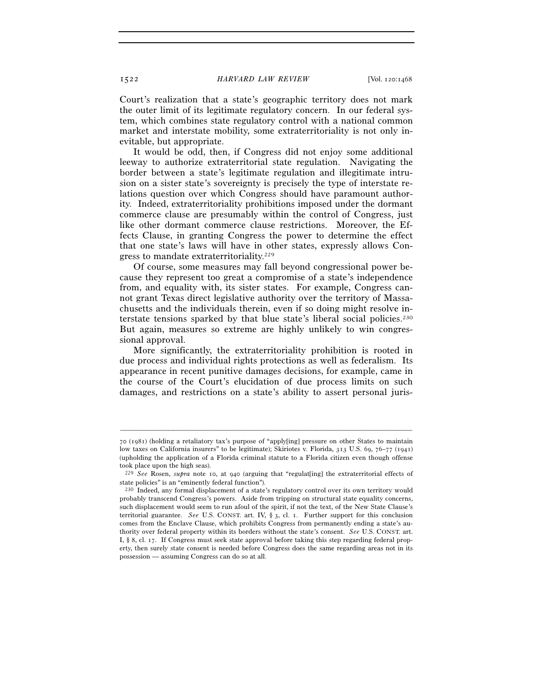Court's realization that a state's geographic territory does not mark the outer limit of its legitimate regulatory concern. In our federal system, which combines state regulatory control with a national common market and interstate mobility, some extraterritoriality is not only inevitable, but appropriate.

It would be odd, then, if Congress did not enjoy some additional leeway to authorize extraterritorial state regulation. Navigating the border between a state's legitimate regulation and illegitimate intrusion on a sister state's sovereignty is precisely the type of interstate relations question over which Congress should have paramount authority. Indeed, extraterritoriality prohibitions imposed under the dormant commerce clause are presumably within the control of Congress, just like other dormant commerce clause restrictions. Moreover, the Effects Clause, in granting Congress the power to determine the effect that one state's laws will have in other states, expressly allows Congress to mandate extraterritoriality.229

Of course, some measures may fall beyond congressional power because they represent too great a compromise of a state's independence from, and equality with, its sister states. For example, Congress cannot grant Texas direct legislative authority over the territory of Massachusetts and the individuals therein, even if so doing might resolve interstate tensions sparked by that blue state's liberal social policies.230 But again, measures so extreme are highly unlikely to win congressional approval.

More significantly, the extraterritoriality prohibition is rooted in due process and individual rights protections as well as federalism. Its appearance in recent punitive damages decisions, for example, came in the course of the Court's elucidation of due process limits on such damages, and restrictions on a state's ability to assert personal juris-

<sup>70</sup> (1981) (holding a retaliatory tax's purpose of "apply[ing] pressure on other States to maintain low taxes on California insurers" to be legitimate); Skiriotes v. Florida, 313 U.S. 69, 76–77 (1941) (upholding the application of a Florida criminal statute to a Florida citizen even though offense took place upon the high seas).

<sup>229</sup> *See* Rosen, *supra* note 10, at 940 (arguing that "regulat[ing] the extraterritorial effects of state policies" is an "eminently federal function").

<sup>230</sup> Indeed, any formal displacement of a state's regulatory control over its own territory would probably transcend Congress's powers. Aside from tripping on structural state equality concerns, such displacement would seem to run afoul of the spirit, if not the text, of the New State Clause's territorial guarantee. *See* U.S. CONST. art. IV, § 3, cl. 1. Further support for this conclusion comes from the Enclave Clause, which prohibits Congress from permanently ending a state's authority over federal property within its borders without the state's consent. *See* U.S. CONST. art. I, § 8, cl. 17. If Congress must seek state approval before taking this step regarding federal property, then surely state consent is needed before Congress does the same regarding areas not in its possession — assuming Congress can do so at all.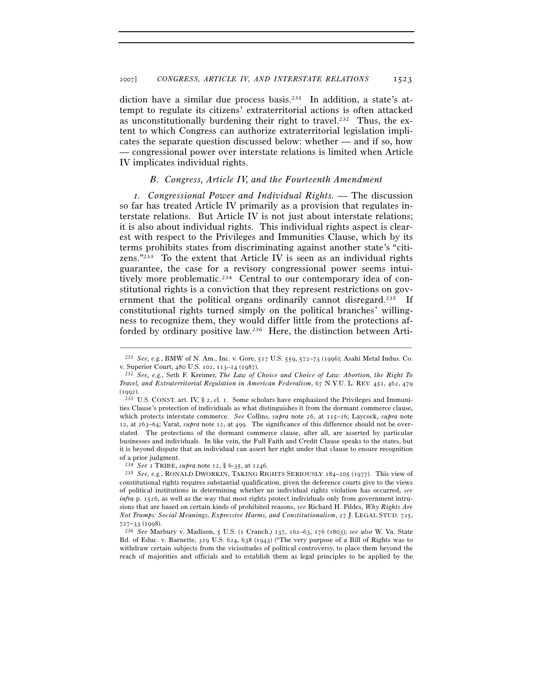diction have a similar due process basis.231 In addition, a state's attempt to regulate its citizens' extraterritorial actions is often attacked as unconstitutionally burdening their right to travel.<sup>232</sup> Thus, the extent to which Congress can authorize extraterritorial legislation implicates the separate question discussed below: whether — and if so, how — congressional power over interstate relations is limited when Article IV implicates individual rights.

## *B. Congress, Article IV, and the Fourteenth Amendment*

*1. Congressional Power and Individual Rights. —* The discussion so far has treated Article IV primarily as a provision that regulates interstate relations. But Article IV is not just about interstate relations; it is also about individual rights. This individual rights aspect is clearest with respect to the Privileges and Immunities Clause, which by its terms prohibits states from discriminating against another state's "citizens."233 To the extent that Article IV is seen as an individual rights guarantee, the case for a revisory congressional power seems intuitively more problematic.<sup>234</sup> Central to our contemporary idea of constitutional rights is a conviction that they represent restrictions on government that the political organs ordinarily cannot disregard.<sup>235</sup> If constitutional rights turned simply on the political branches' willingness to recognize them, they would differ little from the protections afforded by ordinary positive law.236 Here, the distinction between Arti-

<sup>–––––––––––––––––––––––––––––––––––––––––––––––––––––––––––––</sup> 231 *See, e.g.*, BMW of N. Am., Inc. v. Gore, 517 U.S. 559, 572–73 (1996); Asahi Metal Indus. Co. v. Superior Court, 480 U.S. 102, 113–14 (1987). 232 *See, e.g.*, Seth F. Kreimer, *The Law of Choice and Choice of Law: Abortion, the Right To* 

*Travel, and Extraterritorial Regulation in American Federalism*, 67 N.Y.U. L. REV. 451, 462, 479 (1992). <sup>233</sup> U.S. CONST. art. IV, § 2, cl. 1. Some scholars have emphasized the Privileges and Immuni-

ties Clause's protection of individuals as what distinguishes it from the dormant commerce clause, which protects interstate commerce. *See* Collins, *supra* note 26, at 115–16; Laycock, *supra* note 12, at 263–64; Varat, *supra* note 12, at 499. The significance of this difference should not be overstated. The protections of the dormant commerce clause, after all, are asserted by particular businesses and individuals. In like vein, the Full Faith and Credit Clause speaks to the states, but it is beyond dispute that an individual can assert her right under that clause to ensure recognition of a prior judgment.

<sup>234</sup> *See* <sup>1</sup> TRIBE, *supra* note 12, § 6-35, at 1246. 235 *See, e.g.*, RONALD DWORKIN, TAKING RIGHTS SERIOUSLY <sup>184</sup>–205 (1977). This view of constitutional rights requires substantial qualification, given the deference courts give to the views of political institutions in determining whether an individual rights violation has occurred, *see infra* p. 1526, as well as the way that most rights protect individuals only from government intrusions that are based on certain kinds of prohibited reasons, *see* Richard H. Pildes, *Why Rights Are Not Trumps: Social Meanings, Expressive Harms, and Constitutionalism*, 27 J. LEGAL STUD. 725,

<sup>727</sup>–33 (1998). 236 *See* Marbury v. Madison, 5 U.S. (1 Cranch.) 137, 162–63, 176 (1803); *see also* W. Va. State Bd. of Educ. v. Barnette, 319 U.S. 624, 638 (1943) ("The very purpose of a Bill of Rights was to withdraw certain subjects from the vicissitudes of political controversy, to place them beyond the reach of majorities and officials and to establish them as legal principles to be applied by the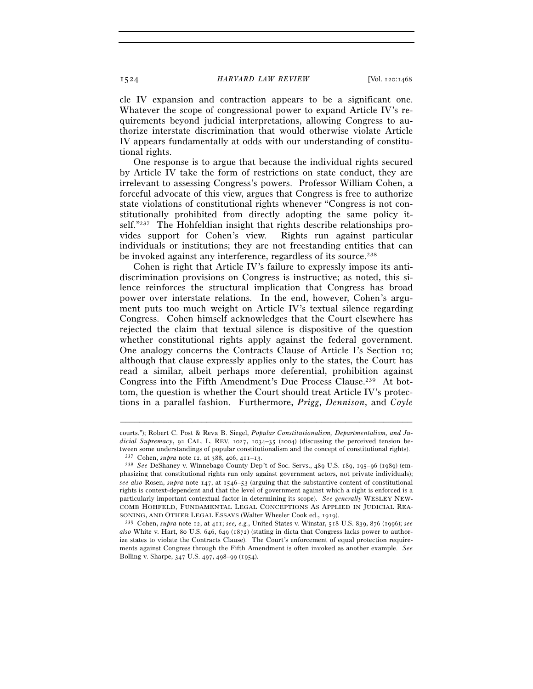cle IV expansion and contraction appears to be a significant one. Whatever the scope of congressional power to expand Article IV's requirements beyond judicial interpretations, allowing Congress to authorize interstate discrimination that would otherwise violate Article IV appears fundamentally at odds with our understanding of constitutional rights.

One response is to argue that because the individual rights secured by Article IV take the form of restrictions on state conduct, they are irrelevant to assessing Congress's powers. Professor William Cohen, a forceful advocate of this view, argues that Congress is free to authorize state violations of constitutional rights whenever "Congress is not constitutionally prohibited from directly adopting the same policy itself."237 The Hohfeldian insight that rights describe relationships provides support for Cohen's view. Rights run against particular individuals or institutions; they are not freestanding entities that can be invoked against any interference, regardless of its source.<sup>238</sup>

Cohen is right that Article IV's failure to expressly impose its antidiscrimination provisions on Congress is instructive; as noted, this silence reinforces the structural implication that Congress has broad power over interstate relations. In the end, however, Cohen's argument puts too much weight on Article IV's textual silence regarding Congress. Cohen himself acknowledges that the Court elsewhere has rejected the claim that textual silence is dispositive of the question whether constitutional rights apply against the federal government. One analogy concerns the Contracts Clause of Article I's Section 10; although that clause expressly applies only to the states, the Court has read a similar, albeit perhaps more deferential, prohibition against Congress into the Fifth Amendment's Due Process Clause.239 At bottom, the question is whether the Court should treat Article IV's protections in a parallel fashion. Furthermore, *Prigg*, *Dennison*, and *Coyle*

courts."); Robert C. Post & Reva B. Siegel, *Popular Constitutionalism, Departmentalism, and Judicial Supremacy*, 92 CAL. L. REV. 1027, 1034–35 (2004) (discussing the perceived tension between some understandings of popular constitutionalism and the concept of constitutional rights).<br><sup>237</sup> Cohen, *supra* note 12, at 388, 406, 411–13.<br><sup>238</sup> *See* DeShaney v. Winnebago County Dep't of Soc. Servs., 489 U.S. 1

phasizing that constitutional rights run only against government actors, not private individuals); *see also* Rosen, *supra* note 147, at 1546–53 (arguing that the substantive content of constitutional rights is context-dependent and that the level of government against which a right is enforced is a particularly important contextual factor in determining its scope). *See generally* WESLEY NEW-COMB HOHFELD, FUNDAMENTAL LEGAL CONCEPTIONS AS APPLIED IN JUDICIAL REASONING, AND OTHER LEGAL ESSAYS (Walter Wheeler Cook ed., 1919).

SONING, AND OTHER LEGAL ESSAYS (Walter Wheeler Cook ed., 1919). 239 Cohen, *supra* note 12, at 411; *see, e.g.*, United States v. Winstar, 518 U.S. 839, 876 (1996); *see also* White v. Hart, 80 U.S. 646, 649 (1872) (stating in dicta that Congress lacks power to authorize states to violate the Contracts Clause). The Court's enforcement of equal protection requirements against Congress through the Fifth Amendment is often invoked as another example. *See* Bolling v. Sharpe, 347 U.S. 497, 498–99 (1954).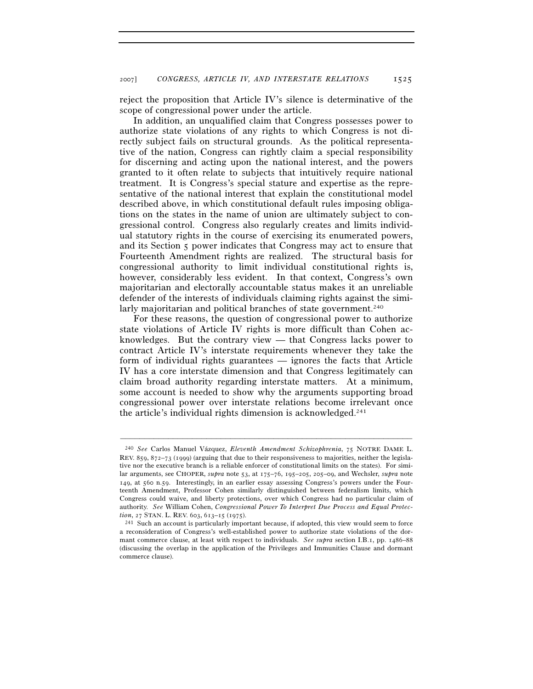reject the proposition that Article IV's silence is determinative of the scope of congressional power under the article.

In addition, an unqualified claim that Congress possesses power to authorize state violations of any rights to which Congress is not directly subject fails on structural grounds. As the political representative of the nation, Congress can rightly claim a special responsibility for discerning and acting upon the national interest, and the powers granted to it often relate to subjects that intuitively require national treatment. It is Congress's special stature and expertise as the representative of the national interest that explain the constitutional model described above, in which constitutional default rules imposing obligations on the states in the name of union are ultimately subject to congressional control. Congress also regularly creates and limits individual statutory rights in the course of exercising its enumerated powers, and its Section 5 power indicates that Congress may act to ensure that Fourteenth Amendment rights are realized. The structural basis for congressional authority to limit individual constitutional rights is, however, considerably less evident. In that context, Congress's own majoritarian and electorally accountable status makes it an unreliable defender of the interests of individuals claiming rights against the similarly majoritarian and political branches of state government.<sup>240</sup>

For these reasons, the question of congressional power to authorize state violations of Article IV rights is more difficult than Cohen acknowledges. But the contrary view — that Congress lacks power to contract Article IV's interstate requirements whenever they take the form of individual rights guarantees — ignores the facts that Article IV has a core interstate dimension and that Congress legitimately can claim broad authority regarding interstate matters. At a minimum, some account is needed to show why the arguments supporting broad congressional power over interstate relations become irrelevant once the article's individual rights dimension is acknowledged.<sup>241</sup>

<sup>240</sup> *See* Carlos Manuel Vázquez, *Eleventh Amendment Schizophrenia*, 75 NOTRE DAME L. REV. 859, 872–73 (1999) (arguing that due to their responsiveness to majorities, neither the legislative nor the executive branch is a reliable enforcer of constitutional limits on the states). For similar arguments, see CHOPER, *supra* note 53, at 175–76, 195–205, 205–09, and Wechsler, *supra* note 149, at 560 n.59. Interestingly, in an earlier essay assessing Congress's powers under the Fourteenth Amendment, Professor Cohen similarly distinguished between federalism limits, which Congress could waive, and liberty protections, over which Congress had no particular claim of authority. *See* William Cohen, *Congressional Power To Interpret Due Process and Equal Protec-*

<sup>&</sup>lt;sup>241</sup> Such an account is particularly important because, if adopted, this view would seem to force a reconsideration of Congress's well-established power to authorize state violations of the dormant commerce clause, at least with respect to individuals. *See supra* section I.B.1, pp. 1486–88 (discussing the overlap in the application of the Privileges and Immunities Clause and dormant commerce clause).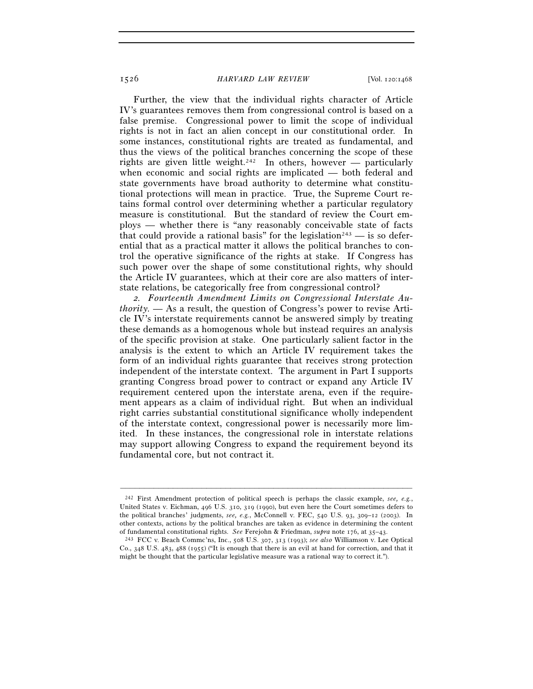Further, the view that the individual rights character of Article IV's guarantees removes them from congressional control is based on a false premise. Congressional power to limit the scope of individual rights is not in fact an alien concept in our constitutional order. In some instances, constitutional rights are treated as fundamental, and thus the views of the political branches concerning the scope of these rights are given little weight.<sup>242</sup> In others, however — particularly when economic and social rights are implicated — both federal and state governments have broad authority to determine what constitutional protections will mean in practice. True, the Supreme Court retains formal control over determining whether a particular regulatory measure is constitutional. But the standard of review the Court employs — whether there is "any reasonably conceivable state of facts that could provide a rational basis" for the legislation<sup>243</sup> — is so deferential that as a practical matter it allows the political branches to control the operative significance of the rights at stake. If Congress has such power over the shape of some constitutional rights, why should the Article IV guarantees, which at their core are also matters of interstate relations, be categorically free from congressional control?

*2. Fourteenth Amendment Limits on Congressional Interstate Authority. —* As a result, the question of Congress's power to revise Article IV's interstate requirements cannot be answered simply by treating these demands as a homogenous whole but instead requires an analysis of the specific provision at stake. One particularly salient factor in the analysis is the extent to which an Article IV requirement takes the form of an individual rights guarantee that receives strong protection independent of the interstate context. The argument in Part I supports granting Congress broad power to contract or expand any Article IV requirement centered upon the interstate arena, even if the requirement appears as a claim of individual right. But when an individual right carries substantial constitutional significance wholly independent of the interstate context, congressional power is necessarily more limited. In these instances, the congressional role in interstate relations may support allowing Congress to expand the requirement beyond its fundamental core, but not contract it.

<sup>242</sup> First Amendment protection of political speech is perhaps the classic example, *see, e.g.*, United States v. Eichman, 496 U.S. 310, 319 (1990), but even here the Court sometimes defers to the political branches' judgments, *see, e.g.*, McConnell v. FEC, 540 U.S. 93, 309–12 (2003). In other contexts, actions by the political branches are taken as evidence in determining the content

of fundamental constitutional rights. *See* Ferejohn & Friedman, *supra* note 176, at 35–43. 243 FCC v. Beach Commc'ns, Inc., 508 U.S. 307, 313 (1993); *see also* Williamson v. Lee Optical Co., 348 U.S. 483, 488 (1955) ("It is enough that there is an evil at hand for correction, and that it might be thought that the particular legislative measure was a rational way to correct it.").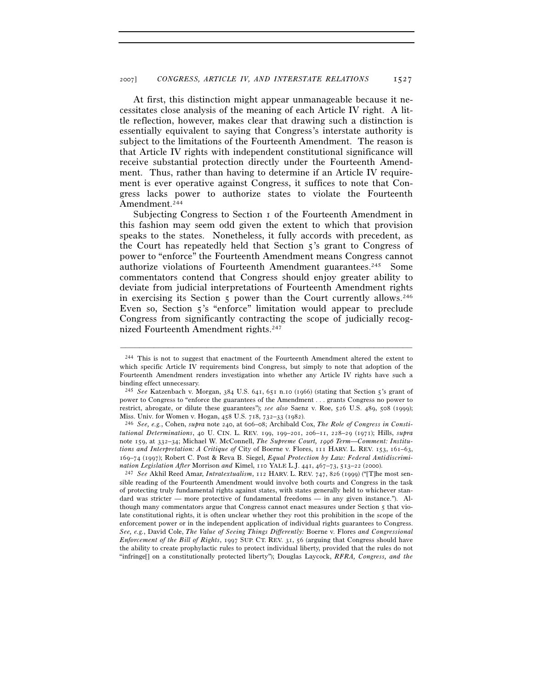At first, this distinction might appear unmanageable because it necessitates close analysis of the meaning of each Article IV right. A little reflection, however, makes clear that drawing such a distinction is essentially equivalent to saying that Congress's interstate authority is subject to the limitations of the Fourteenth Amendment. The reason is that Article IV rights with independent constitutional significance will receive substantial protection directly under the Fourteenth Amendment. Thus, rather than having to determine if an Article IV requirement is ever operative against Congress, it suffices to note that Congress lacks power to authorize states to violate the Fourteenth Amendment.<sup>244</sup>

Subjecting Congress to Section 1 of the Fourteenth Amendment in this fashion may seem odd given the extent to which that provision speaks to the states. Nonetheless, it fully accords with precedent, as the Court has repeatedly held that Section  $\zeta$ 's grant to Congress of power to "enforce" the Fourteenth Amendment means Congress cannot authorize violations of Fourteenth Amendment guarantees.245 Some commentators contend that Congress should enjoy greater ability to deviate from judicial interpretations of Fourteenth Amendment rights in exercising its Section  $\zeta$  power than the Court currently allows.<sup>246</sup> Even so, Section 5's "enforce" limitation would appear to preclude Congress from significantly contracting the scope of judicially recognized Fourteenth Amendment rights.247

–––––––––––––––––––––––––––––––––––––––––––––––––––––––––––––

sible reading of the Fourteenth Amendment would involve both courts and Congress in the task of protecting truly fundamental rights against states, with states generally held to whichever standard was stricter — more protective of fundamental freedoms — in any given instance."). Although many commentators argue that Congress cannot enact measures under Section 5 that violate constitutional rights, it is often unclear whether they root this prohibition in the scope of the enforcement power or in the independent application of individual rights guarantees to Congress. *See, e.g.*, David Cole, *The Value of Seeing Things Differently:* Boerne v. Flores *and Congressional Enforcement of the Bill of Rights*, 1997 SUP. CT. REV. 31, 56 (arguing that Congress should have the ability to create prophylactic rules to protect individual liberty, provided that the rules do not "infringe[] on a constitutionally protected liberty"); Douglas Laycock, *RFRA, Congress, and the* 

<sup>244</sup> This is not to suggest that enactment of the Fourteenth Amendment altered the extent to which specific Article IV requirements bind Congress, but simply to note that adoption of the Fourteenth Amendment renders investigation into whether any Article IV rights have such a binding effect unnecessary.

<sup>245</sup> *See* Katzenbach v. Morgan, 384 U.S. 641, 651 n.10 (1966) (stating that Section 5's grant of power to Congress to "enforce the guarantees of the Amendment . . . grants Congress no power to restrict, abrogate, or dilute these guarantees"); *see also* Saenz v. Roe, 526 U.S. 489, 508 (1999);

Miss. Univ. for Women v. Hogan, 458 U.S. 718, 732–33 (1982). 246 *See, e.g.*, Cohen, *supra* note 240, at 606–08; Archibald Cox, *The Role of Congress in Constitutional Determinations*, 40 U. CIN. L. REV. 199, 199–201, 206–11, 228–29 (1971); Hills, *supra* note 159, at 332–34; Michael W. McConnell, *The Supreme Court, 1996 Term—Comment: Institutions and Interpretation: A Critique of* City of Boerne v. Flores, 111 HARV. L. REV. 153, 161–63, 169–74 (1997); Robert C. Post & Reva B. Siegel, *Equal Protection by Law: Federal Antidiscrimination Legislation After* Morrison *and* Kimel, 110 YALE L.J. 441, 467–73, 513–22 (2000). 247 *See* Akhil Reed Amar, *Intratextualism*, 112 HARV. L. REV. 747, 826 (1999) ("[T]he most sen-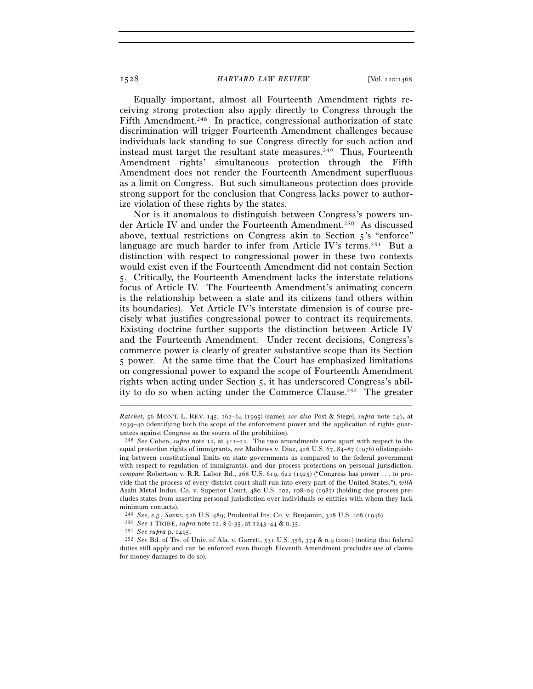Equally important, almost all Fourteenth Amendment rights receiving strong protection also apply directly to Congress through the Fifth Amendment.<sup>248</sup> In practice, congressional authorization of state discrimination will trigger Fourteenth Amendment challenges because individuals lack standing to sue Congress directly for such action and instead must target the resultant state measures.<sup>249</sup> Thus, Fourteenth Amendment rights' simultaneous protection through the Fifth Amendment does not render the Fourteenth Amendment superfluous as a limit on Congress. But such simultaneous protection does provide strong support for the conclusion that Congress lacks power to authorize violation of these rights by the states.

Nor is it anomalous to distinguish between Congress's powers under Article IV and under the Fourteenth Amendment.250 As discussed above, textual restrictions on Congress akin to Section 5's "enforce" language are much harder to infer from Article IV's terms.<sup>251</sup> But a distinction with respect to congressional power in these two contexts would exist even if the Fourteenth Amendment did not contain Section 5. Critically, the Fourteenth Amendment lacks the interstate relations focus of Article IV. The Fourteenth Amendment's animating concern is the relationship between a state and its citizens (and others within its boundaries). Yet Article IV's interstate dimension is of course precisely what justifies congressional power to contract its requirements. Existing doctrine further supports the distinction between Article IV and the Fourteenth Amendment. Under recent decisions, Congress's commerce power is clearly of greater substantive scope than its Section 5 power. At the same time that the Court has emphasized limitations on congressional power to expand the scope of Fourteenth Amendment rights when acting under Section 5, it has underscored Congress's ability to do so when acting under the Commerce Clause.252 The greater

*Ratchet*, 56 MONT. L. REV. 145, 162–64 (1995) (same); *see also* Post & Siegel, *supra* note 146, at 2039–40 (identifying both the scope of the enforcement power and the application of rights guarantees against Congress as the source of the prohibition).

<sup>248</sup> *See* Cohen, *supra* note 12, at 411–22. The two amendments come apart with respect to the equal protection rights of immigrants, *see* Mathews v. Diaz, 426 U.S. 67, 84–87 (1976) (distinguishing between constitutional limits on state governments as compared to the federal government with respect to regulation of immigrants), and due process protections on personal jurisdiction, *compare* Robertson v. R.R. Labor Bd., 268 U.S. 619, 622 (1925) ("Congress has power . . . to provide that the process of every district court shall run into every part of the United States."), *with* Asahi Metal Indus. Co. v. Superior Court, 480 U.S. 102, 108–09 (1987) (holding due process precludes states from asserting personal jurisdiction over individuals or entities with whom they lack

minimum contacts).<br> $^{249}$  See, e.g., Saenz, 526 U.S. 489; Prudential Ins. Co. v. Benjamin, 328 U.S. 408 (1946).

<sup>&</sup>lt;sup>250</sup> See 1 TRIBE, *supra* note 12, § 6-35, at 1243–44 & n.35.<br>
<sup>251</sup> See supra p. 1495.<br>
<sup>252</sup> See Bd. of Trs. of Univ. of Ala. v. Garrett, 531 U.S. 356, 374 & n.9 (2001) (noting that federal duties still apply and can be enforced even though Eleventh Amendment precludes use of claims for money damages to do so).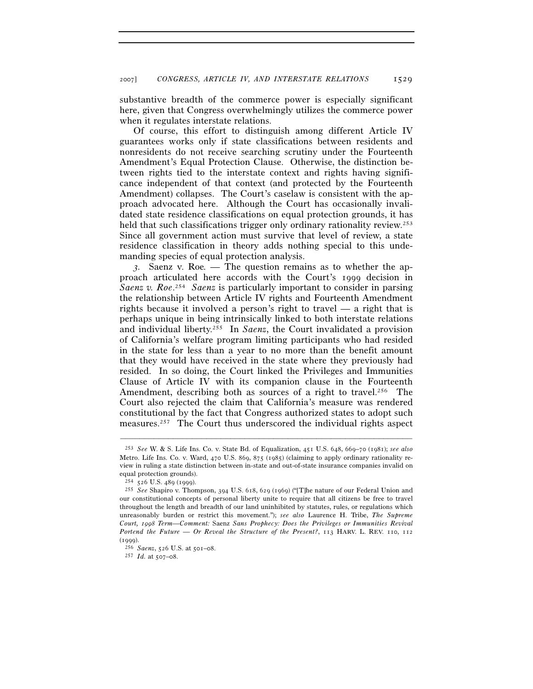substantive breadth of the commerce power is especially significant here, given that Congress overwhelmingly utilizes the commerce power when it regulates interstate relations.

Of course, this effort to distinguish among different Article IV guarantees works only if state classifications between residents and nonresidents do not receive searching scrutiny under the Fourteenth Amendment's Equal Protection Clause. Otherwise, the distinction between rights tied to the interstate context and rights having significance independent of that context (and protected by the Fourteenth Amendment) collapses. The Court's caselaw is consistent with the approach advocated here. Although the Court has occasionally invalidated state residence classifications on equal protection grounds, it has held that such classifications trigger only ordinary rationality review.<sup>253</sup> Since all government action must survive that level of review, a state residence classification in theory adds nothing special to this undemanding species of equal protection analysis.

*3.* Saenz v. Roe*. —* The question remains as to whether the approach articulated here accords with the Court's 1999 decision in *Saenz v. Roe*. 254 *Saenz* is particularly important to consider in parsing the relationship between Article IV rights and Fourteenth Amendment rights because it involved a person's right to travel — a right that is perhaps unique in being intrinsically linked to both interstate relations and individual liberty.255 In *Saenz*, the Court invalidated a provision of California's welfare program limiting participants who had resided in the state for less than a year to no more than the benefit amount that they would have received in the state where they previously had resided. In so doing, the Court linked the Privileges and Immunities Clause of Article IV with its companion clause in the Fourteenth Amendment, describing both as sources of a right to travel.<sup>256</sup> The Court also rejected the claim that California's measure was rendered constitutional by the fact that Congress authorized states to adopt such measures.257 The Court thus underscored the individual rights aspect

<sup>253</sup> *See* W. & S. Life Ins. Co. v. State Bd. of Equalization, 451 U.S. 648, 669–70 (1981); *see also* Metro. Life Ins. Co. v. Ward, 470 U.S. 869, 875 (1985) (claiming to apply ordinary rationality review in ruling a state distinction between in-state and out-of-state insurance companies invalid on

equal protection grounds).<br> $^{254}$  526 U.S. 489 (1999).

<sup>&</sup>lt;sup>255</sup> See Shapiro v. Thompson, 394 U.S. 618, 629 (1969) ("[T]he nature of our Federal Union and our constitutional concepts of personal liberty unite to require that all citizens be free to travel throughout the length and breadth of our land uninhibited by statutes, rules, or regulations which unreasonably burden or restrict this movement."); *see also* Laurence H. Tribe, *The Supreme Court, 1998 Term—Comment:* Saenz *Sans Prophecy: Does the Privileges or Immunities Revival Portend the Future — Or Reveal the Structure of the Present?*, 113 HARV. L. REV. 110, 112 (1999). 256 *Saenz*, 526 U.S. at 501–08. 257 *Id.* at 507–08.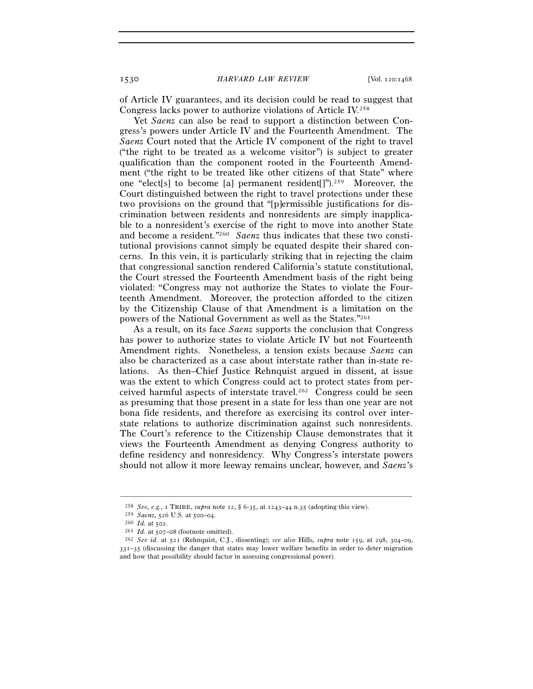of Article IV guarantees, and its decision could be read to suggest that Congress lacks power to authorize violations of Article IV.258

Yet *Saenz* can also be read to support a distinction between Congress's powers under Article IV and the Fourteenth Amendment. The *Saenz* Court noted that the Article IV component of the right to travel ("the right to be treated as a welcome visitor") is subject to greater qualification than the component rooted in the Fourteenth Amendment ("the right to be treated like other citizens of that State" where one "elect[s] to become [a] permanent resident[]").259 Moreover, the Court distinguished between the right to travel protections under these two provisions on the ground that "[p]ermissible justifications for discrimination between residents and nonresidents are simply inapplicable to a nonresident's exercise of the right to move into another State and become a resident."260 *Saenz* thus indicates that these two constitutional provisions cannot simply be equated despite their shared concerns. In this vein, it is particularly striking that in rejecting the claim that congressional sanction rendered California's statute constitutional, the Court stressed the Fourteenth Amendment basis of the right being violated: "Congress may not authorize the States to violate the Fourteenth Amendment. Moreover, the protection afforded to the citizen by the Citizenship Clause of that Amendment is a limitation on the powers of the National Government as well as the States."261

As a result, on its face *Saenz* supports the conclusion that Congress has power to authorize states to violate Article IV but not Fourteenth Amendment rights. Nonetheless, a tension exists because *Saenz* can also be characterized as a case about interstate rather than in-state relations. As then–Chief Justice Rehnquist argued in dissent, at issue was the extent to which Congress could act to protect states from perceived harmful aspects of interstate travel.262 Congress could be seen as presuming that those present in a state for less than one year are not bona fide residents, and therefore as exercising its control over interstate relations to authorize discrimination against such nonresidents. The Court's reference to the Citizenship Clause demonstrates that it views the Fourteenth Amendment as denying Congress authority to define residency and nonresidency. Why Congress's interstate powers should not allow it more leeway remains unclear, however, and *Saenz*'s

<sup>258</sup> *See, e.g.*, 1 TRIBE, *supra* note 12, § 6-35, at 1243–44 n.35 (adopting this view).

<sup>&</sup>lt;sup>260</sup> *Id.* at 502.<br><sup>261</sup> *Id.* at 507–08 (footnote omitted).<br><sup>262</sup> *See id.* at 521 (Rehnquist, C.J., dissenting); *see also* Hills, *subra* note 159, at 298, 304–09, 331–35 (discussing the danger that states may lower welfare benefits in order to deter migration and how that possibility should factor in assessing congressional power).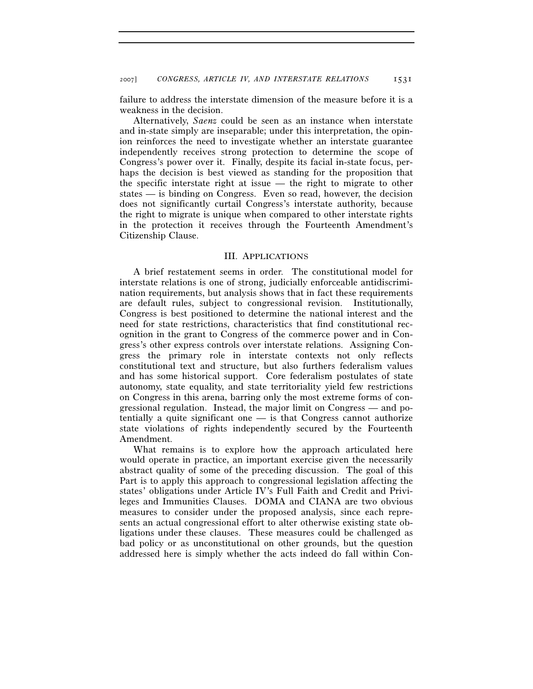failure to address the interstate dimension of the measure before it is a weakness in the decision.

 Alternatively, *Saenz* could be seen as an instance when interstate and in-state simply are inseparable; under this interpretation, the opinion reinforces the need to investigate whether an interstate guarantee independently receives strong protection to determine the scope of Congress's power over it. Finally, despite its facial in-state focus, perhaps the decision is best viewed as standing for the proposition that the specific interstate right at issue — the right to migrate to other states — is binding on Congress. Even so read, however, the decision does not significantly curtail Congress's interstate authority, because the right to migrate is unique when compared to other interstate rights in the protection it receives through the Fourteenth Amendment's Citizenship Clause.

### III. APPLICATIONS

A brief restatement seems in order. The constitutional model for interstate relations is one of strong, judicially enforceable antidiscrimination requirements, but analysis shows that in fact these requirements are default rules, subject to congressional revision. Institutionally, Congress is best positioned to determine the national interest and the need for state restrictions, characteristics that find constitutional recognition in the grant to Congress of the commerce power and in Congress's other express controls over interstate relations. Assigning Congress the primary role in interstate contexts not only reflects constitutional text and structure, but also furthers federalism values and has some historical support. Core federalism postulates of state autonomy, state equality, and state territoriality yield few restrictions on Congress in this arena, barring only the most extreme forms of congressional regulation. Instead, the major limit on Congress — and potentially a quite significant one — is that Congress cannot authorize state violations of rights independently secured by the Fourteenth Amendment.

What remains is to explore how the approach articulated here would operate in practice, an important exercise given the necessarily abstract quality of some of the preceding discussion. The goal of this Part is to apply this approach to congressional legislation affecting the states' obligations under Article IV's Full Faith and Credit and Privileges and Immunities Clauses. DOMA and CIANA are two obvious measures to consider under the proposed analysis, since each represents an actual congressional effort to alter otherwise existing state obligations under these clauses. These measures could be challenged as bad policy or as unconstitutional on other grounds, but the question addressed here is simply whether the acts indeed do fall within Con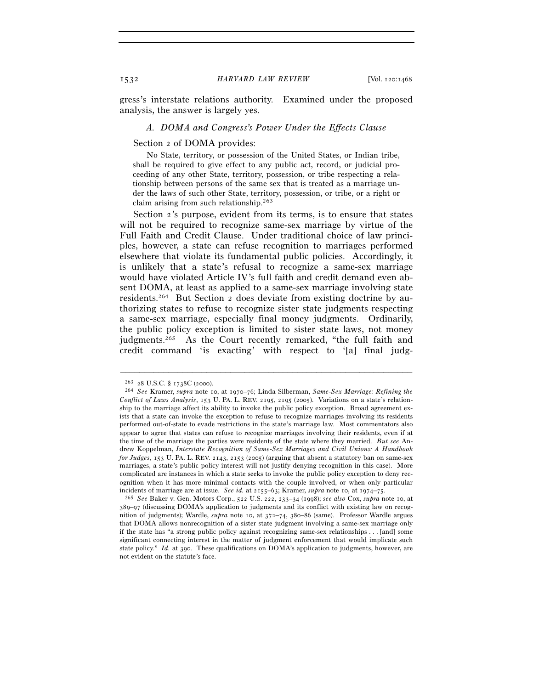gress's interstate relations authority. Examined under the proposed analysis, the answer is largely yes.

### *A. DOMA and Congress's Power Under the Effects Clause*

### Section 2 of DOMA provides:

 No State, territory, or possession of the United States, or Indian tribe, shall be required to give effect to any public act, record, or judicial proceeding of any other State, territory, possession, or tribe respecting a relationship between persons of the same sex that is treated as a marriage under the laws of such other State, territory, possession, or tribe, or a right or claim arising from such relationship.263

Section 2's purpose, evident from its terms, is to ensure that states will not be required to recognize same-sex marriage by virtue of the Full Faith and Credit Clause. Under traditional choice of law principles, however, a state can refuse recognition to marriages performed elsewhere that violate its fundamental public policies. Accordingly, it is unlikely that a state's refusal to recognize a same-sex marriage would have violated Article IV's full faith and credit demand even absent DOMA, at least as applied to a same-sex marriage involving state residents.264 But Section 2 does deviate from existing doctrine by authorizing states to refuse to recognize sister state judgments respecting a same-sex marriage, especially final money judgments. Ordinarily, the public policy exception is limited to sister state laws, not money judgments.<sup>265</sup> As the Court recently remarked, "the full faith and credit command 'is exacting' with respect to '[a] final judg-

<sup>263</sup> <sup>28</sup> U.S.C. § 1738C (2000). 264 *See* Kramer, *supra* note 10, at 1970–76; Linda Silberman, *Same-Sex Marriage: Refining the Conflict of Laws Analysis*, 153 U. PA. L. REV. 2195, 2195 (2005). Variations on a state's relationship to the marriage affect its ability to invoke the public policy exception. Broad agreement exists that a state can invoke the exception to refuse to recognize marriages involving its residents performed out-of-state to evade restrictions in the state's marriage law. Most commentators also appear to agree that states can refuse to recognize marriages involving their residents, even if at the time of the marriage the parties were residents of the state where they married. *But see* Andrew Koppelman, *Interstate Recognition of Same-Sex Marriages and Civil Unions: A Handbook for Judges*, 153 U. PA. L. REV. 2143, 2153 (2005) (arguing that absent a statutory ban on same-sex marriages, a state's public policy interest will not justify denying recognition in this case). More complicated are instances in which a state seeks to invoke the public policy exception to deny recognition when it has more minimal contacts with the couple involved, or when only particular incidents of marriage are at issue. *See id.* at 2155–63; Kramer, *supra* note 10, at 1974–75. 265 *See* Baker v. Gen. Motors Corp., 522 U.S. 222, 233–34 (1998); *see also* Cox, *supra* note 10, at

<sup>389</sup>–97 (discussing DOMA's application to judgments and its conflict with existing law on recognition of judgments); Wardle, *supra* note 10, at 372–74, 380–86 (same). Professor Wardle argues that DOMA allows nonrecognition of a sister state judgment involving a same-sex marriage only if the state has "a strong public policy against recognizing same-sex relationships . . . [and] some significant connecting interest in the matter of judgment enforcement that would implicate such state policy." *Id.* at 390. These qualifications on DOMA's application to judgments, however, are not evident on the statute's face.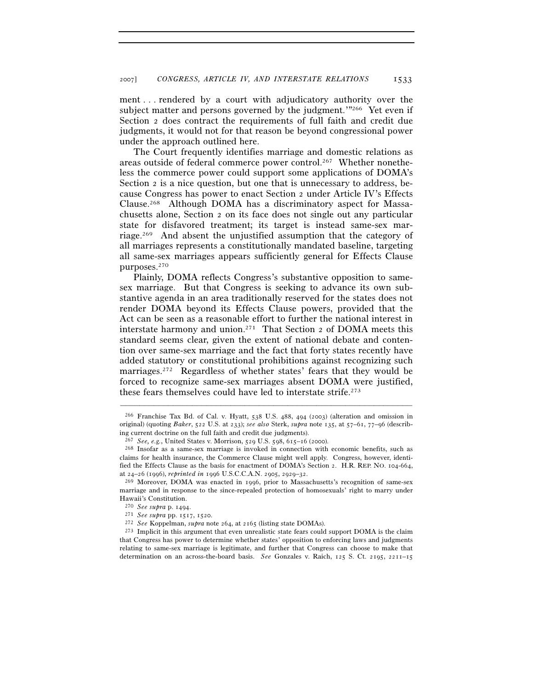ment . . . rendered by a court with adjudicatory authority over the subject matter and persons governed by the judgment.'"<sup>266</sup> Yet even if Section 2 does contract the requirements of full faith and credit due judgments, it would not for that reason be beyond congressional power under the approach outlined here.

The Court frequently identifies marriage and domestic relations as areas outside of federal commerce power control.267 Whether nonetheless the commerce power could support some applications of DOMA's Section 2 is a nice question, but one that is unnecessary to address, because Congress has power to enact Section 2 under Article IV's Effects Clause.268 Although DOMA has a discriminatory aspect for Massachusetts alone, Section 2 on its face does not single out any particular state for disfavored treatment; its target is instead same-sex marriage.269 And absent the unjustified assumption that the category of all marriages represents a constitutionally mandated baseline, targeting all same-sex marriages appears sufficiently general for Effects Clause purposes.270

Plainly, DOMA reflects Congress's substantive opposition to samesex marriage. But that Congress is seeking to advance its own substantive agenda in an area traditionally reserved for the states does not render DOMA beyond its Effects Clause powers, provided that the Act can be seen as a reasonable effort to further the national interest in interstate harmony and union.271 That Section 2 of DOMA meets this standard seems clear, given the extent of national debate and contention over same-sex marriage and the fact that forty states recently have added statutory or constitutional prohibitions against recognizing such marriages.272 Regardless of whether states' fears that they would be forced to recognize same-sex marriages absent DOMA were justified, these fears themselves could have led to interstate strife.273

 $^{266}$  Franchise Tax Bd. of Cal. v. Hyatt, 538 U.S. 488, 494 (2003) (alteration and omission in original) (quoting *Baker*, 522 U.S. at 233); *see also* Sterk, *supra* note 135, at 57–61, 77–96 (describ-

ing current doctrine on the full faith and credit due judgments).<br><sup>267</sup> *See*, *e.g.*, United States v. Morrison, 529 U.S. 598, 615–16 (2000).<br><sup>268</sup> Insofar as a same-sex marriage is invoked in connection with economic be claims for health insurance, the Commerce Clause might well apply. Congress, however, identified the Effects Clause as the basis for enactment of DOMA's Section 2. H.R. REP. NO. 104-664, at 24–26 (1996), *reprinted in* 1996 U.S.C.C.A.N. 2905, 2929–32.<br><sup>269</sup> Moreover, DOMA was enacted in 1996, prior to Massachusetts's recognition of same-sex

marriage and in response to the since-repealed protection of homosexuals' right to marry under Hawaii's Constitution.<br><sup>270</sup> See supra p. 1494.

<sup>&</sup>lt;sup>271</sup> See supra pp. 1517, 1520.<br><sup>272</sup> See Koppelman, *supra* note 264, at 2165 (listing state DOMAs).<br><sup>273</sup> Implicit in this argument that even unrealistic state fears could support DOMA is the claim that Congress has power to determine whether states' opposition to enforcing laws and judgments relating to same-sex marriage is legitimate, and further that Congress can choose to make that determination on an across-the-board basis. *See* Gonzales v. Raich, 125 S. Ct. 2195, 2211–15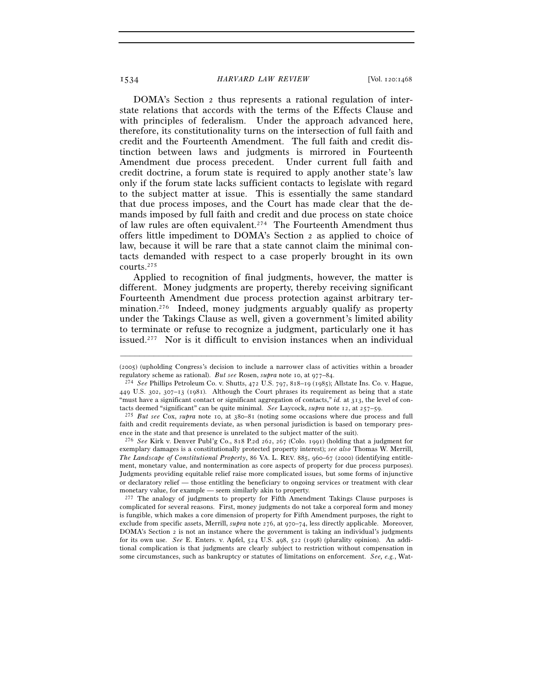DOMA's Section 2 thus represents a rational regulation of interstate relations that accords with the terms of the Effects Clause and with principles of federalism. Under the approach advanced here, therefore, its constitutionality turns on the intersection of full faith and credit and the Fourteenth Amendment. The full faith and credit distinction between laws and judgments is mirrored in Fourteenth Amendment due process precedent. Under current full faith and credit doctrine, a forum state is required to apply another state's law only if the forum state lacks sufficient contacts to legislate with regard to the subject matter at issue. This is essentially the same standard that due process imposes, and the Court has made clear that the demands imposed by full faith and credit and due process on state choice of law rules are often equivalent.274 The Fourteenth Amendment thus offers little impediment to DOMA's Section 2 as applied to choice of law, because it will be rare that a state cannot claim the minimal contacts demanded with respect to a case properly brought in its own courts.275

Applied to recognition of final judgments, however, the matter is different. Money judgments are property, thereby receiving significant Fourteenth Amendment due process protection against arbitrary termination.<sup>276</sup> Indeed, money judgments arguably qualify as property under the Takings Clause as well, given a government's limited ability to terminate or refuse to recognize a judgment, particularly one it has issued.277 Nor is it difficult to envision instances when an individual

277 The analogy of judgments to property for Fifth Amendment Takings Clause purposes is complicated for several reasons. First, money judgments do not take a corporeal form and money is fungible, which makes a core dimension of property for Fifth Amendment purposes, the right to exclude from specific assets, Merrill, *supra* note 276, at 970–74, less directly applicable. Moreover, DOMA's Section 2 is not an instance where the government is taking an individual's judgments for its own use. *See* E. Enters. v. Apfel, 524 U.S. 498, 522 (1998) (plurality opinion). An additional complication is that judgments are clearly subject to restriction without compensation in some circumstances, such as bankruptcy or statutes of limitations on enforcement. *See, e.g.*, Wat-

<sup>–––––––––––––––––––––––––––––––––––––––––––––––––––––––––––––</sup> (2005) (upholding Congress's decision to include a narrower class of activities within a broader regulatory scheme as rational). But see Rosen, supra note 10, at  $977-84$ .

regulatory scheme as rational). *But see* Rosen, *supra* note 10, at 977–84. 274 *See* Phillips Petroleum Co. v. Shutts, 472 U.S. 797, 818–19 (1985); Allstate Ins. Co. v. Hague, 449 U.S. 302, 307–13 (1981). Although the Court phrases its requirement as being that a state "must have a significant contact or significant aggregation of contacts," *id.* at 313, the level of contacts deemed "significant" can be quite minimal. *See* Laycock, *supra* note 12, at 257–59. 275 *But see* Cox, *supra* note 10, at 380–81 (noting some occasions where due process and full

faith and credit requirements deviate, as when personal jurisdiction is based on temporary presence in the state and that presence is unrelated to the subject matter of the suit). 276 *See* Kirk v. Denver Publ'g Co., 818 P.2d 262, 267 (Colo. 1991) (holding that a judgment for

exemplary damages is a constitutionally protected property interest); *see also* Thomas W. Merrill, *The Landscape of Constitutional Property*, 86 VA. L. REV. 885, 960–67 (2000) (identifying entitlement, monetary value, and nontermination as core aspects of property for due process purposes). Judgments providing equitable relief raise more complicated issues, but some forms of injunctive or declaratory relief — those entitling the beneficiary to ongoing services or treatment with clear monetary value, for example — seem similarly akin to property.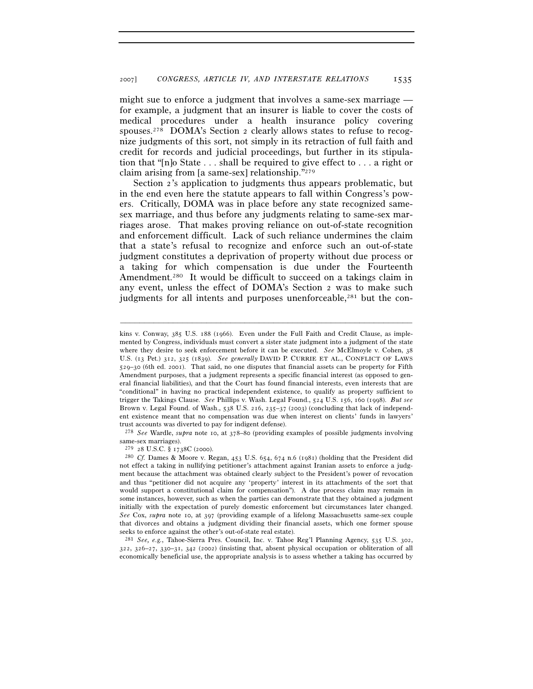might sue to enforce a judgment that involves a same-sex marriage for example, a judgment that an insurer is liable to cover the costs of medical procedures under a health insurance policy covering spouses.278 DOMA's Section 2 clearly allows states to refuse to recognize judgments of this sort, not simply in its retraction of full faith and credit for records and judicial proceedings, but further in its stipulation that "[n]o State . . . shall be required to give effect to . . . a right or claim arising from [a same-sex] relationship."279

Section 2's application to judgments thus appears problematic, but in the end even here the statute appears to fall within Congress's powers. Critically, DOMA was in place before any state recognized samesex marriage, and thus before any judgments relating to same-sex marriages arose. That makes proving reliance on out-of-state recognition and enforcement difficult. Lack of such reliance undermines the claim that a state's refusal to recognize and enforce such an out-of-state judgment constitutes a deprivation of property without due process or a taking for which compensation is due under the Fourteenth Amendment.<sup>280</sup> It would be difficult to succeed on a takings claim in any event, unless the effect of DOMA's Section 2 was to make such judgments for all intents and purposes unenforceable,<sup>281</sup> but the con-

–––––––––––––––––––––––––––––––––––––––––––––––––––––––––––––

trust accounts was diverted to pay for indigent defense). 278 *See* Wardle, *supra* note 10, at 378–80 (providing examples of possible judgments involving same-sex marriages).<br> $^{279}$   $^{28}$  U.S.C. § 1738C (2000).

281 *See, e.g.*, Tahoe-Sierra Pres. Council, Inc. v. Tahoe Reg'l Planning Agency, 535 U.S. 302, 322, 326–27, 330–31, 342 (2002) (insisting that, absent physical occupation or obliteration of all economically beneficial use, the appropriate analysis is to assess whether a taking has occurred by

kins v. Conway, 385 U.S. 188 (1966). Even under the Full Faith and Credit Clause, as implemented by Congress, individuals must convert a sister state judgment into a judgment of the state where they desire to seek enforcement before it can be executed. *See* McElmoyle v. Cohen, 38 U.S. (13 Pet.) 312, 325 (1839). *See generally* DAVID P. CURRIE ET AL., CONFLICT OF LAWS 529–30 (6th ed. 2001). That said, no one disputes that financial assets can be property for Fifth Amendment purposes, that a judgment represents a specific financial interest (as opposed to general financial liabilities), and that the Court has found financial interests, even interests that are "conditional" in having no practical independent existence, to qualify as property sufficient to trigger the Takings Clause. *See* Phillips v. Wash. Legal Found., 524 U.S. 156, 160 (1998). *But see* Brown v. Legal Found. of Wash., 538 U.S. 216, 235–37 (2003) (concluding that lack of independent existence meant that no compensation was due when interest on clients' funds in lawyers'

<sup>&</sup>lt;sup>280</sup> Cf. Dames & Moore v. Regan, 453 U.S. 654, 674 n.6 (1981) (holding that the President did not effect a taking in nullifying petitioner's attachment against Iranian assets to enforce a judgment because the attachment was obtained clearly subject to the President's power of revocation and thus "petitioner did not acquire any 'property' interest in its attachments of the sort that would support a constitutional claim for compensation"). A due process claim may remain in some instances, however, such as when the parties can demonstrate that they obtained a judgment initially with the expectation of purely domestic enforcement but circumstances later changed. *See* Cox, *supra* note 10, at 397 (providing example of a lifelong Massachusetts same-sex couple that divorces and obtains a judgment dividing their financial assets, which one former spouse seeks to enforce against the other's out-of-state real estate).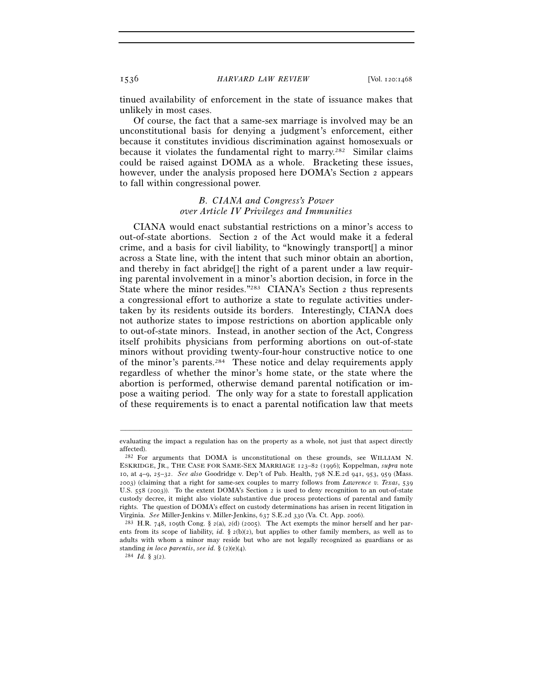tinued availability of enforcement in the state of issuance makes that unlikely in most cases.

Of course, the fact that a same-sex marriage is involved may be an unconstitutional basis for denying a judgment's enforcement, either because it constitutes invidious discrimination against homosexuals or because it violates the fundamental right to marry.<sup>282</sup> Similar claims could be raised against DOMA as a whole. Bracketing these issues, however, under the analysis proposed here DOMA's Section 2 appears to fall within congressional power.

# *B. CIANA and Congress's Power over Article IV Privileges and Immunities*

CIANA would enact substantial restrictions on a minor's access to out-of-state abortions. Section 2 of the Act would make it a federal crime, and a basis for civil liability, to "knowingly transport[] a minor across a State line, with the intent that such minor obtain an abortion, and thereby in fact abridge[] the right of a parent under a law requiring parental involvement in a minor's abortion decision, in force in the State where the minor resides."283 CIANA's Section 2 thus represents a congressional effort to authorize a state to regulate activities undertaken by its residents outside its borders. Interestingly, CIANA does not authorize states to impose restrictions on abortion applicable only to out-of-state minors. Instead, in another section of the Act, Congress itself prohibits physicians from performing abortions on out-of-state minors without providing twenty-four-hour constructive notice to one of the minor's parents.284 These notice and delay requirements apply regardless of whether the minor's home state, or the state where the abortion is performed, otherwise demand parental notification or impose a waiting period. The only way for a state to forestall application of these requirements is to enact a parental notification law that meets

<sup>–––––––––––––––––––––––––––––––––––––––––––––––––––––––––––––</sup> evaluating the impact a regulation has on the property as a whole, not just that aspect directly affected).

<sup>282</sup> For arguments that DOMA is unconstitutional on these grounds, see WILLIAM N. ESKRIDGE, JR., THE CASE FOR SAME-SEX MARRIAGE 123–82 (1996); Koppelman, *supra* note 10, at 4–9, 25–32. *See also* Goodridge v. Dep't of Pub. Health, 798 N.E.2d 941, 953, 959 (Mass. 2003) (claiming that a right for same-sex couples to marry follows from *Lawrence v. Texas*, 539 U.S. 558 (2003)). To the extent DOMA's Section 2 is used to deny recognition to an out-of-state custody decree, it might also violate substantive due process protections of parental and family rights. The question of DOMA's effect on custody determinations has arisen in recent litigation in Virginia. *See* Miller-Jenkins v. Miller-Jenkins, 637 S.E.2d 330 (Va. Ct. App. 2006).<br><sup>283</sup> H.R. 748, 109th Cong. § 2(a), 2(d) (2005). The Act exempts the minor herself and her par-

ents from its scope of liability,  $id.$  §  $2(b)(2)$ , but applies to other family members, as well as to adults with whom a minor may reside but who are not legally recognized as guardians or as standing *in loco parentis*, *see id.* § (2)(e)(4). 284 *Id.* § 3(2).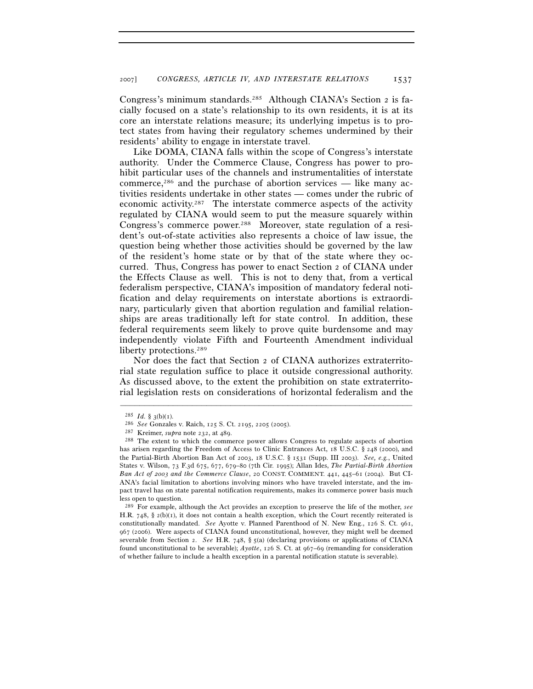Congress's minimum standards.285 Although CIANA's Section 2 is facially focused on a state's relationship to its own residents, it is at its core an interstate relations measure; its underlying impetus is to protect states from having their regulatory schemes undermined by their residents' ability to engage in interstate travel.

Like DOMA, CIANA falls within the scope of Congress's interstate authority. Under the Commerce Clause, Congress has power to prohibit particular uses of the channels and instrumentalities of interstate commerce,286 and the purchase of abortion services — like many activities residents undertake in other states — comes under the rubric of economic activity.287 The interstate commerce aspects of the activity regulated by CIANA would seem to put the measure squarely within Congress's commerce power.<sup>288</sup> Moreover, state regulation of a resident's out-of-state activities also represents a choice of law issue, the question being whether those activities should be governed by the law of the resident's home state or by that of the state where they occurred. Thus, Congress has power to enact Section 2 of CIANA under the Effects Clause as well. This is not to deny that, from a vertical federalism perspective, CIANA's imposition of mandatory federal notification and delay requirements on interstate abortions is extraordinary, particularly given that abortion regulation and familial relationships are areas traditionally left for state control. In addition, these federal requirements seem likely to prove quite burdensome and may independently violate Fifth and Fourteenth Amendment individual liberty protections.<sup>289</sup>

Nor does the fact that Section 2 of CIANA authorizes extraterritorial state regulation suffice to place it outside congressional authority. As discussed above, to the extent the prohibition on state extraterritorial legislation rests on considerations of horizontal federalism and the

<sup>&</sup>lt;sup>285</sup> *Id.* § 3(b)(1). <sup>286</sup> *See* Gonzales v. Raich, 125 S. Ct. 2195, 2205 (2005). <sup>287</sup> Kreimer, *supra* note 232, at 489. <sup>288</sup> The extent to which the commerce power allows Congress to regulate aspects of abortion <sup>288</sup> has arisen regarding the Freedom of Access to Clinic Entrances Act, 18 U.S.C. § 248 (2000), and the Partial-Birth Abortion Ban Act of 2003, 18 U.S.C. § 1531 (Supp. III 2003). *See, e.g.*, United States v. Wilson, 73 F.3d 675, 677, 679–80 (7th Cir. 1995); Allan Ides, *The Partial-Birth Abortion Ban Act of 2003 and the Commerce Clause*, 20 CONST. COMMENT. 441, 445–61 (2004). But CI-ANA's facial limitation to abortions involving minors who have traveled interstate, and the impact travel has on state parental notification requirements, makes its commerce power basis much less open to question.

<sup>289</sup> For example, although the Act provides an exception to preserve the life of the mother, *see* H.R. 748, § 2(b)(1), it does not contain a health exception, which the Court recently reiterated is constitutionally mandated. *See* Ayotte v. Planned Parenthood of N. New Eng., 126 S. Ct. 961, 967 (2006). Were aspects of CIANA found unconstitutional, however, they might well be deemed severable from Section 2. *See* H.R. 748, § 5(a) (declaring provisions or applications of CIANA found unconstitutional to be severable); *Ayotte*, 126 S. Ct. at 967–69 (remanding for consideration of whether failure to include a health exception in a parental notification statute is severable).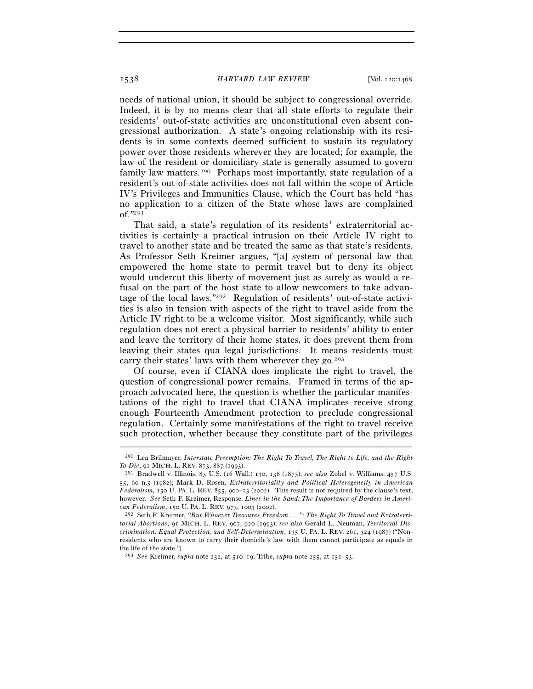needs of national union, it should be subject to congressional override. Indeed, it is by no means clear that all state efforts to regulate their residents' out-of-state activities are unconstitutional even absent congressional authorization. A state's ongoing relationship with its residents is in some contexts deemed sufficient to sustain its regulatory power over those residents wherever they are located; for example, the law of the resident or domiciliary state is generally assumed to govern family law matters.<sup>290</sup> Perhaps most importantly, state regulation of a resident's out-of-state activities does not fall within the scope of Article IV's Privileges and Immunities Clause, which the Court has held "has no application to a citizen of the State whose laws are complained of."291

That said, a state's regulation of its residents' extraterritorial activities is certainly a practical intrusion on their Article IV right to travel to another state and be treated the same as that state's residents. As Professor Seth Kreimer argues, "[a] system of personal law that empowered the home state to permit travel but to deny its object would undercut this liberty of movement just as surely as would a refusal on the part of the host state to allow newcomers to take advantage of the local laws."292 Regulation of residents' out-of-state activities is also in tension with aspects of the right to travel aside from the Article IV right to be a welcome visitor. Most significantly, while such regulation does not erect a physical barrier to residents' ability to enter and leave the territory of their home states, it does prevent them from leaving their states qua legal jurisdictions. It means residents must carry their states' laws with them wherever they  $\gamma^{293}$ 

Of course, even if CIANA does implicate the right to travel, the question of congressional power remains. Framed in terms of the approach advocated here, the question is whether the particular manifestations of the right to travel that CIANA implicates receive strong enough Fourteenth Amendment protection to preclude congressional regulation. Certainly some manifestations of the right to travel receive such protection, whether because they constitute part of the privileges

<sup>–––––––––––––––––––––––––––––––––––––––––––––––––––––––––––––</sup> 290 Lea Brilmayer, *Interstate Preemption: The Right To Travel, The Right to Life, and the Right To Die*, 91 MICH. L. REV. 873, 887 (1993). 291 Bradwell v. Illinois, 83 U.S. (16 Wall.) 130, 138 (1873); *see also* Zobel v. Williams, 457 U.S.

<sup>55</sup>, 60 n.5 (1982); Mark D. Rosen, *Extraterritoriality and Political Heterogeneity in American Federalism*, 150 U. PA. L. REV. 855, 900–13 (2002). This result is not required by the clause's text, however. *See* Seth F. Kreimer, Response, *Lines in the Sand: The Importance of Borders in American Federalism*, 150 U. PA. L. REV. 973, 1003 (2002). 292 Seth F. Kreimer, *"But Whoever Treasures Freedom . . .": The Right To Travel and Extraterri-*

*torial Abortions*, 91 MICH. L. REV. 907, 920 (1993); *see also* Gerald L. Neuman, *Territorial Discrimination, Equal Protection, and Self-Determination*, 135 U. PA. L. REV. 261, 324 (1987) ("Nonresidents who are known to carry their domicile's law with them cannot participate as equals in the life of the state.").

<sup>293</sup> *See* Kreimer, *supra* note 232, at 510–19; Tribe, *supra* note 255, at 151–53.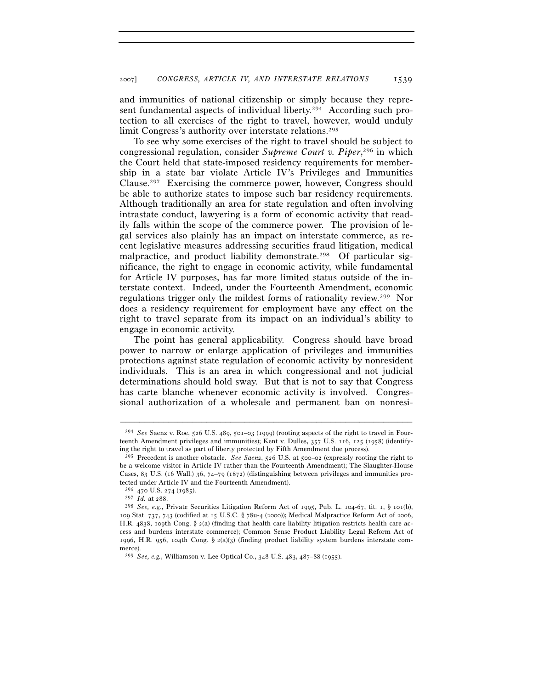and immunities of national citizenship or simply because they represent fundamental aspects of individual liberty.<sup>294</sup> According such protection to all exercises of the right to travel, however, would unduly limit Congress's authority over interstate relations.<sup>295</sup>

To see why some exercises of the right to travel should be subject to congressional regulation, consider *Supreme Court v. Piper*, 296 in which the Court held that state-imposed residency requirements for membership in a state bar violate Article IV's Privileges and Immunities Clause.297 Exercising the commerce power, however, Congress should be able to authorize states to impose such bar residency requirements. Although traditionally an area for state regulation and often involving intrastate conduct, lawyering is a form of economic activity that readily falls within the scope of the commerce power. The provision of legal services also plainly has an impact on interstate commerce, as recent legislative measures addressing securities fraud litigation, medical malpractice, and product liability demonstrate.<sup>298</sup> Of particular significance, the right to engage in economic activity, while fundamental for Article IV purposes, has far more limited status outside of the interstate context. Indeed, under the Fourteenth Amendment, economic regulations trigger only the mildest forms of rationality review.299 Nor does a residency requirement for employment have any effect on the right to travel separate from its impact on an individual's ability to engage in economic activity.

The point has general applicability. Congress should have broad power to narrow or enlarge application of privileges and immunities protections against state regulation of economic activity by nonresident individuals. This is an area in which congressional and not judicial determinations should hold sway. But that is not to say that Congress has carte blanche whenever economic activity is involved. Congressional authorization of a wholesale and permanent ban on nonresi-

<sup>294</sup> *See* Saenz v. Roe, 526 U.S. 489, 501–03 (1999) (rooting aspects of the right to travel in Fourteenth Amendment privileges and immunities); Kent v. Dulles, 357 U.S. 116, 125 (1958) (identifying the right to travel as part of liberty protected by Fifth Amendment due process).

<sup>295</sup> Precedent is another obstacle. *See Saenz*, 526 U.S. at 500–02 (expressly rooting the right to be a welcome visitor in Article IV rather than the Fourteenth Amendment); The Slaughter-House Cases, 83 U.S. (16 Wall.) 36, 74–79 (1872) (distinguishing between privileges and immunities protected under Article IV and the Fourteenth Amendment).

 $^{296}$  470 U.S. 274 (1985).<br><sup>297</sup> Id. at 288.

<sup>&</sup>lt;sup>298</sup> *See, e.g.*, Private Securities Litigation Reform Act of 1995, Pub. L. 104-67, tit. 1, § 101(b), 109 Stat. 737, 743 (codified at 15 U.S.C. § 78u-4 (2000)); Medical Malpractice Reform Act of 2006, H.R. 4838, 109th Cong. § 2(a) (finding that health care liability litigation restricts health care access and burdens interstate commerce); Common Sense Product Liability Legal Reform Act of 1996, H.R. 956, 104th Cong. § 2(a)(3) (finding product liability system burdens interstate commerce).

<sup>299</sup> *See, e.g.*, Williamson v. Lee Optical Co., 348 U.S. 483, 487–88 (1955).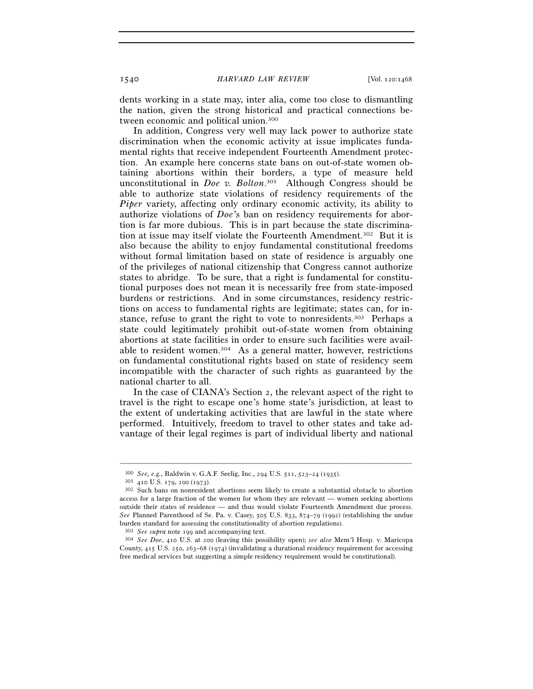1540 *HARVARD LAW REVIEW* [Vol. 120:1468

dents working in a state may, inter alia, come too close to dismantling the nation, given the strong historical and practical connections between economic and political union.300

In addition, Congress very well may lack power to authorize state discrimination when the economic activity at issue implicates fundamental rights that receive independent Fourteenth Amendment protection. An example here concerns state bans on out-of-state women obtaining abortions within their borders, a type of measure held unconstitutional in *Doe v. Bolton*. 301 Although Congress should be able to authorize state violations of residency requirements of the *Piper* variety, affecting only ordinary economic activity, its ability to authorize violations of *Doe*'s ban on residency requirements for abortion is far more dubious. This is in part because the state discrimination at issue may itself violate the Fourteenth Amendment.302 But it is also because the ability to enjoy fundamental constitutional freedoms without formal limitation based on state of residence is arguably one of the privileges of national citizenship that Congress cannot authorize states to abridge. To be sure, that a right is fundamental for constitutional purposes does not mean it is necessarily free from state-imposed burdens or restrictions. And in some circumstances, residency restrictions on access to fundamental rights are legitimate; states can, for instance, refuse to grant the right to vote to nonresidents.303 Perhaps a state could legitimately prohibit out-of-state women from obtaining abortions at state facilities in order to ensure such facilities were available to resident women.304 As a general matter, however, restrictions on fundamental constitutional rights based on state of residency seem incompatible with the character of such rights as guaranteed by the national charter to all.

In the case of CIANA's Section 2, the relevant aspect of the right to travel is the right to escape one's home state's jurisdiction, at least to the extent of undertaking activities that are lawful in the state where performed. Intuitively, freedom to travel to other states and take advantage of their legal regimes is part of individual liberty and national

–––––––––––––––––––––––––––––––––––––––––––––––––––––––––––––

<sup>&</sup>lt;sup>300</sup> *See, e.g.*, Baldwin v. G.A.F. Seelig, Inc., 294 U.S. 511, 523–24 (1935).<br><sup>301</sup> 410 U.S. 179, 200 (1973).<br><sup>302</sup> Such bans on nonresident abortions seem likely to create a substantial obstacle to abortion access for a large fraction of the women for whom they are relevant — women seeking abortions outside their states of residence — and thus would violate Fourteenth Amendment due process. *See* Planned Parenthood of Se. Pa. v. Casey, 505 U.S. 833, 874–79 (1992) (establishing the undue burden standard for assessing the constitutionality of abortion regulations).

<sup>303</sup> *See supra* note 199 and accompanying text. 304 *See Doe*, 410 U.S. at 200 (leaving this possibility open); *see also* Mem'l Hosp. v. Maricopa County, 415 U.S. 250, 263–68 (1974) (invalidating a durational residency requirement for accessing free medical services but suggesting a simple residency requirement would be constitutional).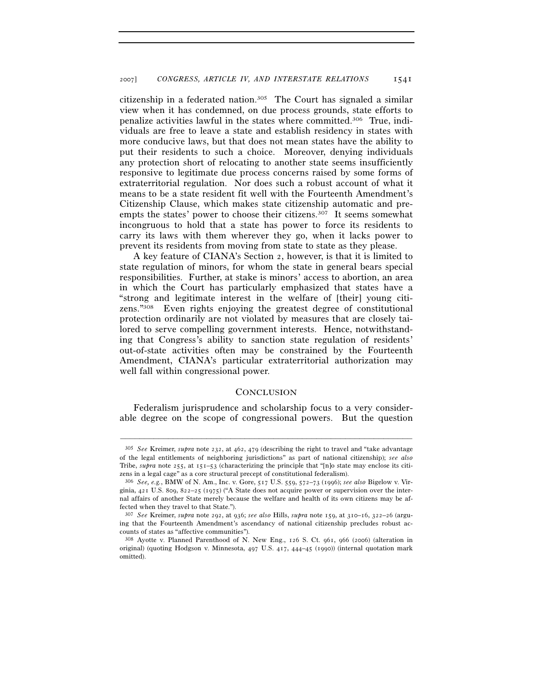citizenship in a federated nation.305 The Court has signaled a similar view when it has condemned, on due process grounds, state efforts to penalize activities lawful in the states where committed.306 True, individuals are free to leave a state and establish residency in states with more conducive laws, but that does not mean states have the ability to put their residents to such a choice. Moreover, denying individuals any protection short of relocating to another state seems insufficiently responsive to legitimate due process concerns raised by some forms of extraterritorial regulation. Nor does such a robust account of what it means to be a state resident fit well with the Fourteenth Amendment's Citizenship Clause, which makes state citizenship automatic and preempts the states' power to choose their citizens.<sup>307</sup> It seems somewhat incongruous to hold that a state has power to force its residents to carry its laws with them wherever they go, when it lacks power to prevent its residents from moving from state to state as they please.

A key feature of CIANA's Section 2, however, is that it is limited to state regulation of minors, for whom the state in general bears special responsibilities. Further, at stake is minors' access to abortion, an area in which the Court has particularly emphasized that states have a "strong and legitimate interest in the welfare of [their] young citizens."308 Even rights enjoying the greatest degree of constitutional protection ordinarily are not violated by measures that are closely tailored to serve compelling government interests. Hence, notwithstanding that Congress's ability to sanction state regulation of residents' out-of-state activities often may be constrained by the Fourteenth Amendment, CIANA's particular extraterritorial authorization may well fall within congressional power.

## **CONCLUSION**

Federalism jurisprudence and scholarship focus to a very considerable degree on the scope of congressional powers. But the question

–––––––––––––––––––––––––––––––––––––––––––––––––––––––––––––

<sup>305</sup> *See* Kreimer, *supra* note 232, at 462, 479 (describing the right to travel and "take advantage of the legal entitlements of neighboring jurisdictions" as part of national citizenship); *see also* Tribe, *supra* note 255, at 151–53 (characterizing the principle that "[n]o state may enclose its citizens in a legal cage" as a core structural precept of constitutional federalism).

<sup>306</sup> *See, e.g.*, BMW of N. Am., Inc. v. Gore, 517 U.S. 559, 572–73 (1996); *see also* Bigelow v. Virginia, 421 U.S. 809, 822–25 (1975) ("A State does not acquire power or supervision over the internal affairs of another State merely because the welfare and health of its own citizens may be affected when they travel to that State.").

<sup>307</sup> *See* Kreimer, *supra* note 292, at 936; *see also* Hills, *supra* note 159, at 310–16, 322–26 (arguing that the Fourteenth Amendment's ascendancy of national citizenship precludes robust accounts of states as "affective communities").

<sup>308</sup> Ayotte v. Planned Parenthood of N. New Eng., 126 S. Ct. 961, 966 (2006) (alteration in original) (quoting Hodgson v. Minnesota, 497 U.S. 417, 444–45 (1990)) (internal quotation mark omitted).